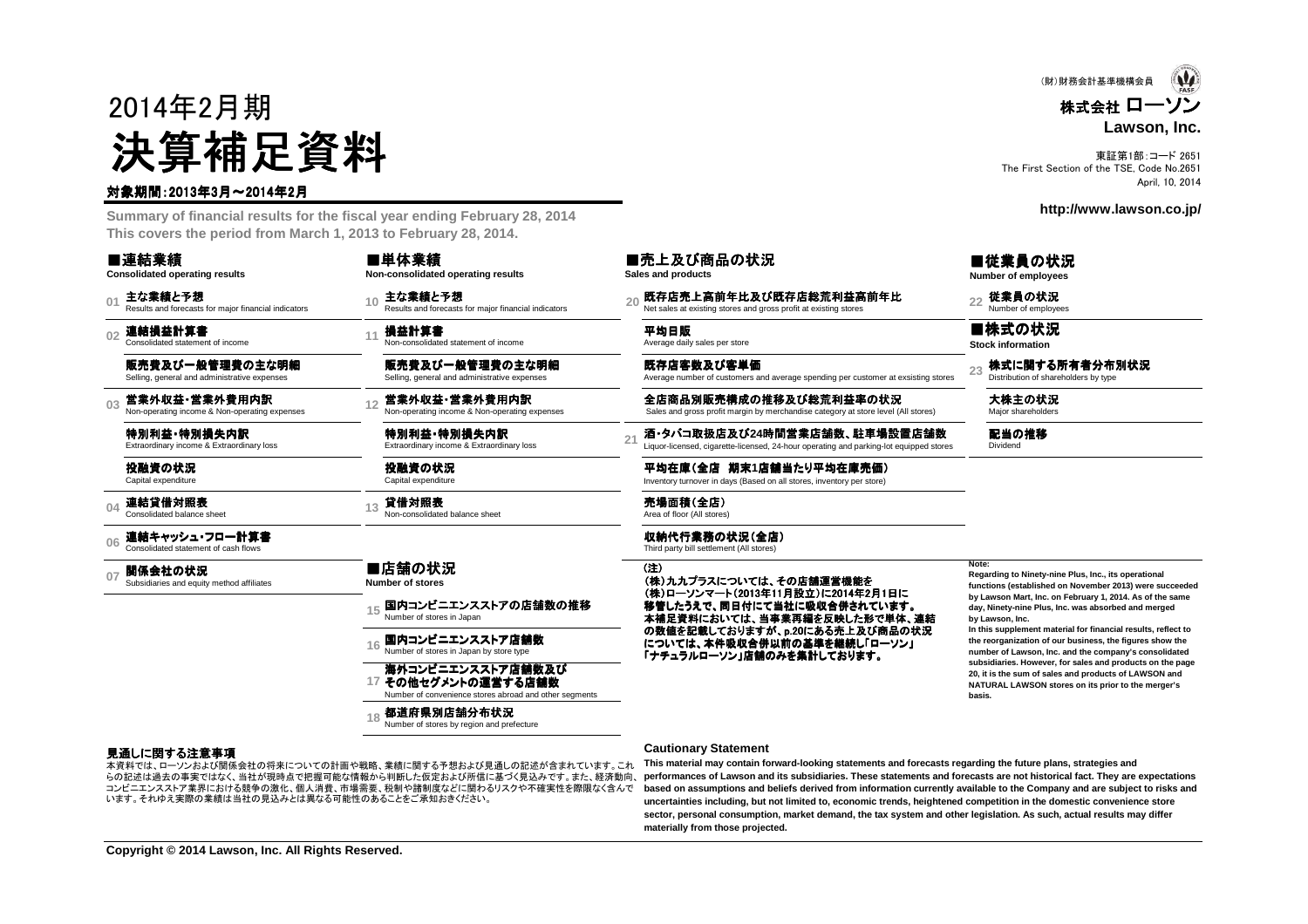# 2014年2月期決算補足資料

#### 対象期間:2013年3月~2014年2月

 **Summary of financial results for the fiscal year ending February 28, 2014This covers the period from March 1, 2013 to February 28, 2014.**

■連結業績

**Consolidated operating results**

**01**主な業績と予想<br>Results and forecasts for maior financial indicators

**02**連結損益計算書<br>Consolidated statement of income

販売費及び一般管理費の主な明細Selling, general and administrative expenses

**03**営業外収益・営業外費用内訳<br>Non-operating income & Non-operating expenses

> 特別利益・特別損失内訳<br><sub>Extraordinary income & Extraordin</sub> Extraordinary income & Extraordinary loss

投融資の状況Capital expenditure

**04**連結貸借対照表<br>Consolidated balance sheet

**06**連結キャッシュ・フロー計算書 Consolidated statement of cash flows

**07関係会社の状況**<br>Subsidiaries and equity method affiliates

**Non-consolidated operating results**

■単体業績

販売費及び一般管理費の主な明細Selling, general and administrative expenses

国内コンビニエンスストアの店舗数の推移<br>Number of stores in Japan

国内コンビニエンスストア店舗数

**都道府県別店舗分布状況**<br>Number of stores by region and prefecture

海外コンビニエンスストア店舗数及び<br>その他セグメントの演堂する店舗数 その他セグメントの運営する店舗数Number of convenience stores abroad and other segments

特別利益・特別損失内訳<br><sub>Extraordinary income & Extraordin</sub> Extraordinary income & Extraordinary loss

投融資の状況Capital expenditure

■店舗の状況 **Number of stores**

**<sup>13</sup>** 貸借対照表 Non-consolidated balance sheet 売場面積(全店) Area of floor (All stores)

#### ■売上及び商品の状況

**Sales and products**

**<sup>10</sup>** 主な業績と予想 Results and forecasts for major financial indicators **<sup>20</sup>** 既存店売上高前年比及び既存店総荒利益高前年比 び既存店総荒利益高前年比Net sales at existing stores and gross profit at existing stores **<sup>22</sup>** 従業員の状況 Number of employees

**損益計算書**<br>Non-consolidated statement of income Average daily sales per store

既存店客数及び客単価Average number of customers and average spending per customer at exsisting stores

営業外収益 **- 営業外費用内訳 スピングの - 会店商品別販売構成の推移及び総荒利益率の状況 - 大株主の状況**<br>Non-operating income & Non-operating expenses **category at store and gross profit margin by merchandise category at store level (All stores) Major shareholders** 

**酒 •タバコ取扱店及び24時間営業店舗数、駐車場設置店舗数**<br>Liquor-licensed, cigarette-licensed, 24-hour operating and parking-lot equipped stores

平均在庫(全店 期末1店舗当たり平均在庫売価)<br>Inventory turnover in days (Based on all stores, inventory per store) Inventory turnover in days (Based on all stores, inventory per store)

収納代行業務の状況(全店) Third party bill settlement (All stores)

(注)(株)九九プラスについては、その店舗運営機能を<br>(株)ローソンマート(2013年11日設立)に2014年2 (株)ローソンマート(2013年11月設立)に2014年2月1日に<br>旅遊したここ、日日はにエルリに電気へ営さんゴルナ 移管したうえで、同日付にて当社に吸収合併されています。<br>させら海がにかいこは、火室電気をにはいさなっかと 本補足資料においては、当事業再編を反映した形で単体、連結 の数値を記載しておりますが、p.20にある売上及び商品の状況については、本件吸収合併以前の基準を継続し「ローソン」<br>「ナチュラルローソン」店舗のみを集計しております。 「ナチュラルローソン」店舗のみを集計しております。<br>-

■従業員の状況 **Number of employees**

■株式の状況 **Stock information**

23 株式に関する所有者分布別状況

配当の推移<br><sub>Dividend</sub>

**Note:**

 **Regarding to Ninety-nine Plus, Inc., its operational functions (established on November 2013) were succeededby Lawson Mart, Inc. on February 1, 2014. As of the sameday, Ninety-nine Plus, Inc. was absorbed and mergedby Lawson, Inc.**

 **In this supplement material for financial results, reflect to the reorganization of our business, the figures show the number of Lawson, Inc. and the company's consolidated subsidiaries. However, for sales and products on the page20, it is the sum of sales and products of LAWSON and NATURAL LAWSON stores on its prior to the merger'sbasis.**

#### 見通しに関する注意事項

 らの記述は過去の事実ではなく、当社が現時点で把握可能な情報から判断した仮定および所信に基づく見込みです。また、経済動向、本資料では、ローソンおよび関係会社の将来についての計画や戦略、業績に関する予想および見通しの記述が含まれています。これ コンビニエンスストア業界における競争の激化、個人消費、市場需要、税制や諸制度などに関わるリスクや不確実性を際限なく含んでいます。それゆえ実際の業績は当社の見込みとは異なる可能性のあることをご承知おきください。

**15**

**16**

**17**

**18**

#### **Cautionary Statement**

 **This material may contain forward-looking statements and forecasts regarding the future plans, strategies and performances of Lawson and its subsidiaries. These statements and forecasts are not historical fact. They are expectations based on assumptions and beliefs derived from information currently available to the Company and are subject to risks anduncertainties including, but not limited to, economic trends, heightened competition in the domestic convenience store sector, personal consumption, market demand, the tax system and other legislation. As such, actual results may differmaterially from those projected.**

 $\mathbf{\Psi}$ (財)財務会計基準機構会員株式会社 ローソン**Lawson, Inc.**

東証第1部:コード 2651 The First Section of the TSE, Code No.2651April, 10, 2014

**http://www.lawson.co.jp/**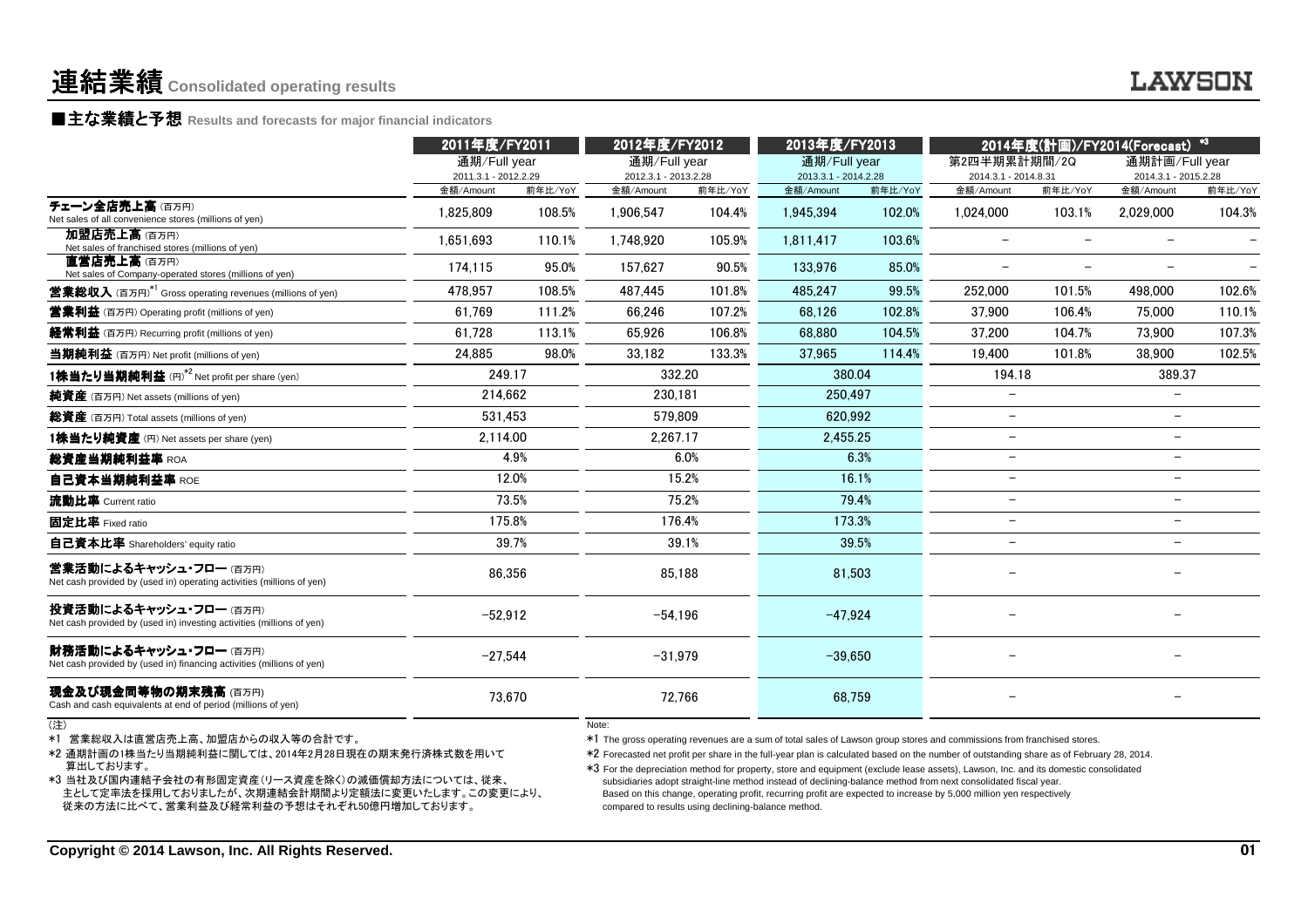### **LAWSON**

■主な業績と予想 Results and forecasts for major financial indicators<br>←←←

|                                                                                                                                                                                                                                                               | 2011年度/FY2011                     |         | 2012年度/FY2012                                                |         | 2013年度/FY2013                     |         | 2014年度(計画)/FY2014(Forecast) *3                                                                                                                                                                                                                                                                                                                                                                                                                                                                                                                                                                                                                       |                          |                                   |                 |
|---------------------------------------------------------------------------------------------------------------------------------------------------------------------------------------------------------------------------------------------------------------|-----------------------------------|---------|--------------------------------------------------------------|---------|-----------------------------------|---------|------------------------------------------------------------------------------------------------------------------------------------------------------------------------------------------------------------------------------------------------------------------------------------------------------------------------------------------------------------------------------------------------------------------------------------------------------------------------------------------------------------------------------------------------------------------------------------------------------------------------------------------------------|--------------------------|-----------------------------------|-----------------|
|                                                                                                                                                                                                                                                               | 通期/Full year                      |         | 通期/Full year                                                 |         | 通期/Full year                      |         | 第2四半期累計期間/2Q                                                                                                                                                                                                                                                                                                                                                                                                                                                                                                                                                                                                                                         |                          | 通期計画/Full year                    |                 |
|                                                                                                                                                                                                                                                               | 2011.3.1 - 2012.2.29<br>金額/Amount | 前年比/YoY | 2012.3.1 - 2013.2.28<br>金額/Amount                            | 前年比/YoY | 2013.3.1 - 2014.2.28<br>金額/Amount | 前年比/YoY | 2014.3.1 - 2014.8.31<br>金額/Amount                                                                                                                                                                                                                                                                                                                                                                                                                                                                                                                                                                                                                    | 前年比/YoY                  | 2014.3.1 - 2015.2.28<br>金額/Amount | 前年比/YoY         |
| チェーン全店売上高(百万円)<br>Net sales of all convenience stores (millions of yen)                                                                                                                                                                                       | 1,825,809                         | 108.5%  | 1,906,547                                                    | 104.4%  | 1,945,394                         | 102.0%  | 1,024,000                                                                                                                                                                                                                                                                                                                                                                                                                                                                                                                                                                                                                                            | 103.1%                   | 2,029,000                         | 104.3%          |
| 加盟店売上高(百万円)<br>Net sales of franchised stores (millions of yen)                                                                                                                                                                                               | 1,651,693                         | 110.1%  | 1,748,920                                                    | 105.9%  | 1,811,417                         | 103.6%  | $\overline{\phantom{0}}$                                                                                                                                                                                                                                                                                                                                                                                                                                                                                                                                                                                                                             | $\overline{\phantom{a}}$ | $\overline{\phantom{0}}$          |                 |
| 直営店売上高(百万円)<br>Net sales of Company-operated stores (millions of yen)                                                                                                                                                                                         | 174,115                           | 95.0%   | 157,627                                                      | 90.5%   | 133,976                           | 85.0%   | $\overline{\phantom{0}}$                                                                                                                                                                                                                                                                                                                                                                                                                                                                                                                                                                                                                             | $\overline{\phantom{m}}$ | $-$                               |                 |
| <b>営業総収入</b> (百万円) <sup>*1</sup> Gross operating revenues (millions of yen)                                                                                                                                                                                   | 478.957                           | 108.5%  | 487.445                                                      | 101.8%  | 485.247                           | 99.5%   | 252,000                                                                                                                                                                                                                                                                                                                                                                                                                                                                                                                                                                                                                                              | 101.5%                   | 498,000                           | 102.6%          |
| <b>営業利益</b> (百万円) Operating profit (millions of yen)                                                                                                                                                                                                          | 61,769                            | 111.2%  | 66,246                                                       | 107.2%  | 68,126                            | 102.8%  | 37,900                                                                                                                                                                                                                                                                                                                                                                                                                                                                                                                                                                                                                                               | 106.4%                   | 75,000                            | 110.1%          |
| 経常利益 (百万円) Recurring profit (millions of yen)                                                                                                                                                                                                                 | 61.728                            | 113.1%  | 65.926                                                       | 106.8%  | 68,880                            | 104.5%  | 37.200                                                                                                                                                                                                                                                                                                                                                                                                                                                                                                                                                                                                                                               | 104.7%                   | 73,900                            | 107.3%          |
| 当期純利益 (百万円) Net profit (millions of yen)                                                                                                                                                                                                                      | 24.885                            | 98.0%   | 33,182                                                       | 133.3%  | 37.965                            | 114.4%  | 19.400                                                                                                                                                                                                                                                                                                                                                                                                                                                                                                                                                                                                                                               | 101.8%                   | 38.900                            | 102.5%          |
| 1株当たり当期純利益 (円) <sup>*2</sup> Net profit per share (yen)                                                                                                                                                                                                       | 249.17                            |         |                                                              | 332.20  | 380.04                            |         | 194.18                                                                                                                                                                                                                                                                                                                                                                                                                                                                                                                                                                                                                                               |                          | 389.37                            |                 |
| 純資産 (百万円) Net assets (millions of yen)                                                                                                                                                                                                                        | 214,662                           |         | 230,181                                                      |         | 250,497                           |         | $\equiv$                                                                                                                                                                                                                                                                                                                                                                                                                                                                                                                                                                                                                                             |                          |                                   |                 |
| 総資産 (百万円) Total assets (millions of yen)                                                                                                                                                                                                                      | 531.453                           |         | 579.809                                                      |         | 620.992                           |         | $\overline{\phantom{0}}$                                                                                                                                                                                                                                                                                                                                                                                                                                                                                                                                                                                                                             |                          |                                   |                 |
| 1株当たり純資産 (円) Net assets per share (yen)                                                                                                                                                                                                                       | 2,114.00                          |         | 2,267.17                                                     |         | 2,455.25                          |         | $\overline{\phantom{0}}$                                                                                                                                                                                                                                                                                                                                                                                                                                                                                                                                                                                                                             |                          |                                   |                 |
| 総資産当期純利益率 ROA                                                                                                                                                                                                                                                 |                                   | 4.9%    |                                                              | 6.0%    |                                   | 6.3%    | $\overline{\phantom{0}}$                                                                                                                                                                                                                                                                                                                                                                                                                                                                                                                                                                                                                             |                          | $\overline{\phantom{a}}$          |                 |
| 自己資本当期純利益率 ROE                                                                                                                                                                                                                                                | 12.0%                             |         |                                                              | 15.2%   |                                   | 16.1%   | $\overline{\phantom{0}}$                                                                                                                                                                                                                                                                                                                                                                                                                                                                                                                                                                                                                             |                          | $\overline{\phantom{0}}$          |                 |
| 流動比率 Current ratio                                                                                                                                                                                                                                            |                                   | 73.5%   |                                                              | 75.2%   |                                   | 79.4%   | $\overline{\phantom{0}}$                                                                                                                                                                                                                                                                                                                                                                                                                                                                                                                                                                                                                             |                          | $\overline{\phantom{a}}$          |                 |
| 固定比率 Fixed ratio                                                                                                                                                                                                                                              | 175.8%                            |         |                                                              | 176.4%  | 173.3%                            |         | $\overline{\phantom{0}}$                                                                                                                                                                                                                                                                                                                                                                                                                                                                                                                                                                                                                             | $\overline{\phantom{m}}$ |                                   |                 |
| 自己資本比率 Shareholders' equity ratio                                                                                                                                                                                                                             | 39.7%                             |         |                                                              | 39.1%   | 39.5%                             |         | $\overline{\phantom{0}}$                                                                                                                                                                                                                                                                                                                                                                                                                                                                                                                                                                                                                             |                          | $\overline{\phantom{0}}$          |                 |
| 営業活動によるキャッシュ・フロー(百万円)<br>Net cash provided by (used in) operating activities (millions of yen)                                                                                                                                                                | 86,356                            |         | 85,188                                                       |         | 81,503                            |         |                                                                                                                                                                                                                                                                                                                                                                                                                                                                                                                                                                                                                                                      |                          |                                   |                 |
| 投資活動によるキャッシュ・フロー (百万円)<br>Net cash provided by (used in) investing activities (millions of yen)                                                                                                                                                               | $-52,912$                         |         | $-54,196$                                                    |         | $-47,924$                         |         |                                                                                                                                                                                                                                                                                                                                                                                                                                                                                                                                                                                                                                                      |                          |                                   |                 |
| 財務活動によるキャッシュ・フロー (百万円)<br>Net cash provided by (used in) financing activities (millions of yen)                                                                                                                                                               | $-27,544$                         |         | $-31,979$                                                    |         | $-39.650$                         |         |                                                                                                                                                                                                                                                                                                                                                                                                                                                                                                                                                                                                                                                      |                          |                                   |                 |
| 現金及び現金同等物の期末残高 (百万円)<br>Cash and cash equivalents at end of period (millions of yen)                                                                                                                                                                          | 73,670                            |         |                                                              | 72,766  | 68.759                            |         |                                                                                                                                                                                                                                                                                                                                                                                                                                                                                                                                                                                                                                                      |                          |                                   |                 |
| (注)<br>*1 営業総収入は直営店売上高、加盟店からの収入等の合計です。<br>*2 通期計画の1株当たり当期純利益に関しては、2014年2月28日現在の期末発行済株式数を用いて<br>算出しております。<br>*3 当社及び国内連結子会社の有形固定資産(リース資産を除く)の減価償却方法については、従来、<br>主として定率法を採用しておりましたが、次期連結会計期間より定額法に変更いたします。この変更により、<br>従来の方法に比べて、営業利益及び経常利益の予想はそれぞれ50億円増加しております。 |                                   |         | Note:<br>compared to results using declining-balance method. |         |                                   |         | *1 The gross operating revenues are a sum of total sales of Lawson group stores and commissions from franchised stores.<br>*2 Forecasted net profit per share in the full-year plan is calculated based on the number of outstanding share as of February 28, 2014.<br>*3 For the depreciation method for property, store and equipment (exclude lease assets), Lawson, Inc. and its domestic consolidated<br>subsidiaries adopt straight-line method instead of declining-balance method from next consolidated fiscal year.<br>Based on this change, operating profit, recurring profit are expected to increase by 5,000 million yen respectively |                          |                                   |                 |
| Copyright © 2014 Lawson, Inc. All Rights Reserved.                                                                                                                                                                                                            |                                   |         |                                                              |         |                                   |         |                                                                                                                                                                                                                                                                                                                                                                                                                                                                                                                                                                                                                                                      |                          |                                   | $\overline{01}$ |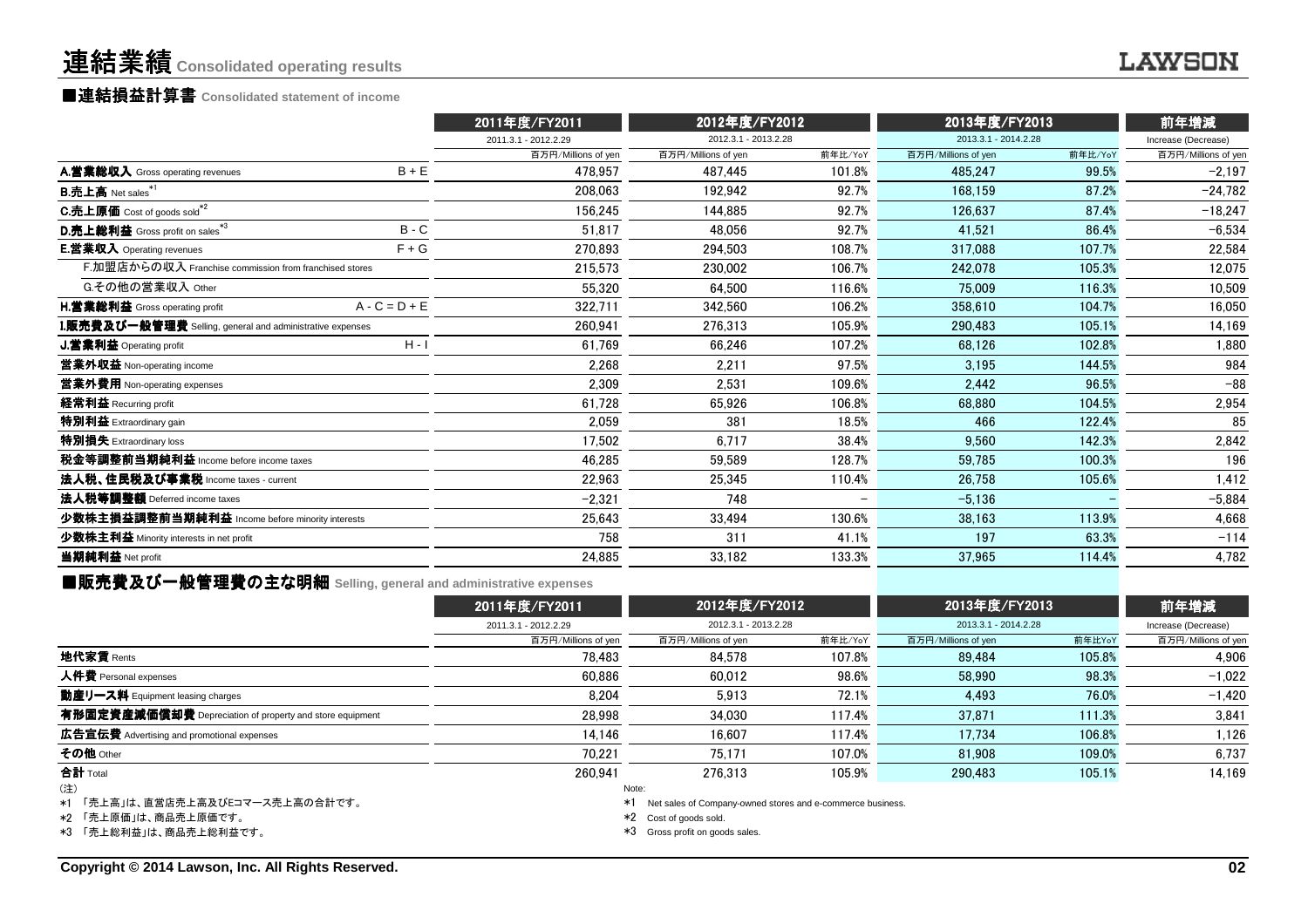## 連結業績**Consolidated operating results**

# ■連結損益計算書 ■連結損益計算書**Consolidated statement of income**

|                                                          |                 | 2011年度/FY2011        | 2012年度/FY2012        |                          | 2013年度/FY2013        |         | 前年増減                |  |
|----------------------------------------------------------|-----------------|----------------------|----------------------|--------------------------|----------------------|---------|---------------------|--|
|                                                          |                 | 2011.3.1 - 2012.2.29 | 2012.3.1 - 2013.2.28 |                          | 2013.3.1 - 2014.2.28 |         | Increase (Decrease) |  |
|                                                          |                 | 百万円/Millions of yen  | 百万円/Millions of yen  | 前年比/YoY                  | 百万円/Millions of yen  | 前年比/YoY | 百万円/Millions of yen |  |
| A.営業総収入 Gross operating revenues                         | $B + E$         | 478.957              | 487.445              | 101.8%                   | 485.247              | 99.5%   | $-2,197$            |  |
| $B.\overline{\textbf{h}}$ 上高 Net sales $*1$              |                 | 208.063              | 192.942              | 92.7%                    | 168.159              | 87.2%   | $-24,782$           |  |
| C.売上原価 Cost of goods sold <sup>*2</sup>                  |                 | 156,245              | 144.885              | 92.7%                    | 126,637              | 87.4%   | $-18,247$           |  |
| D.売上総利益 Gross profit on sales*3                          | $B - C$         | 51,817               | 48,056               | 92.7%                    | 41.521               | 86.4%   | $-6,534$            |  |
| <b>E.営業収入</b> Operating revenues                         | $F + G$         | 270,893              | 294.503              | 108.7%                   | 317.088              | 107.7%  | 22,584              |  |
| F.加盟店からの収入 Franchise commission from franchised stores   |                 | 215,573              | 230,002              | 106.7%                   | 242.078              | 105.3%  | 12,075              |  |
| G.その他の営業収入 Other                                         |                 | 55.320               | 64.500               | 116.6%                   | 75,009               | 116.3%  | 10,509              |  |
| H.営業総利益 Gross operating profit                           | $A - C = D + E$ | 322,711              | 342.560              | 106.2%                   | 358.610              | 104.7%  | 16,050              |  |
| L販売費及び一般管理費 Selling, general and administrative expenses |                 | 260.941              | 276.313              | 105.9%                   | 290.483              | 105.1%  | 14,169              |  |
| <b>J.営業利益</b> Operating profit                           | $H - I$         | 61,769               | 66.246               | 107.2%                   | 68.126               | 102.8%  | 1,880               |  |
| 営業外収益 Non-operating income                               |                 | 2,268                | 2,211                | 97.5%                    | 3.195                | 144.5%  | 984                 |  |
| 営業外費用 Non-operating expenses                             |                 | 2,309                | 2,531                | 109.6%                   | 2,442                | 96.5%   | $-88$               |  |
| 経常利益 Recurring profit                                    |                 | 61,728               | 65.926               | 106.8%                   | 68.880               | 104.5%  | 2,954               |  |
| 特別利益 Extraordinary gain                                  |                 | 2.059                | 381                  | 18.5%                    | 466                  | 122.4%  | 85                  |  |
| 特別損失 Extraordinary loss                                  |                 | 17,502               | 6.717                | 38.4%                    | 9.560                | 142.3%  | 2,842               |  |
| 税金等調整前当期純利益 Income before income taxes                   |                 | 46.285               | 59.589               | 128.7%                   | 59.785               | 100.3%  | 196                 |  |
| 法人税、住民税及び事業税 Income taxes - current                      |                 | 22,963               | 25,345               | 110.4%                   | 26.758               | 105.6%  | 1,412               |  |
| 法人税等調整額 Deferred income taxes                            |                 | $-2,321$             | 748                  | $\overline{\phantom{0}}$ | $-5.136$             |         | $-5,884$            |  |
| 少数株主損益調整前当期純利益 Income before minority interests          |                 | 25,643               | 33,494               | 130.6%                   | 38,163               | 113.9%  | 4,668               |  |
| 少数株主利益 Minority interests in net profit                  |                 | 758                  | 311                  | 41.1%                    | 197                  | 63.3%   | $-114$              |  |
| 当期純利益 Net profit                                         |                 | 24,885               | 33,182               | 133.3%                   | 37,965               | 114.4%  | 4,782               |  |
|                                                          |                 |                      |                      |                          |                      |         |                     |  |

■販売費及び一般管理費の主な明細 **Selling, general and administrative expenses**

|                                                          | 2011年度/FY2011        | 2012年度/FY2012<br>2012.3.1 - 2013.2.28 |         | 2013年度/FY2013<br>2013.3.1 - 2014.2.28 |        | 前年増減<br>Increase (Decrease) |  |
|----------------------------------------------------------|----------------------|---------------------------------------|---------|---------------------------------------|--------|-----------------------------|--|
|                                                          | 2011.3.1 - 2012.2.29 |                                       |         |                                       |        |                             |  |
|                                                          | 百万円/Millions of yen  | 百万円/Millions of yen                   | 前年比/YoY | 百万円/Millions of yen                   | 前年比YoY | 百万円/Millions of yen         |  |
| 地代家賃 Rents                                               | 78.483               | 84.578                                | 107.8%  | 89.484                                | 105.8% | 4,906                       |  |
| 人件費 Personal expenses                                    | 60.886               | 60.012                                | 98.6%   | 58,990                                | 98.3%  | $-1.022$                    |  |
| 動産リース料 Equipment leasing charges                         | 8,204                | 5.913                                 | 72.1%   | 4,493                                 | 76.0%  | $-1,420$                    |  |
| 有形固定資産減価償却費 Depreciation of property and store equipment | 28.998               | 34.030                                | 117.4%  | 37.871                                | 111.3% | 3,841                       |  |
| 広告宣伝費 Advertising and promotional expenses               | 14.146               | 16.607                                | 117.4%  | 17.734                                | 106.8% | 1,126                       |  |
| その他 Other                                                | 70.221               | 75.171                                | 107.0%  | 81,908                                | 109.0% | 6,737                       |  |
| 合計 Total                                                 | 260.941              | 276.313                               | 105.9%  | 290.483                               | 105.1% | 14.169                      |  |
| (注)                                                      | Note:                |                                       |         |                                       |        |                             |  |

\*1「売上高」は、直営店売上高及びEコマース売上高の合計です。

\*2 「売上原価」は、商品売上原価です。

\*3 「売上総利益」は、商品売上総利益です。

\*1 Net sales of Company-owned stores and e-commerce business.

\*2 Cost of goods sold.

\*3 Gross profit on goods sales.

**LAWSON**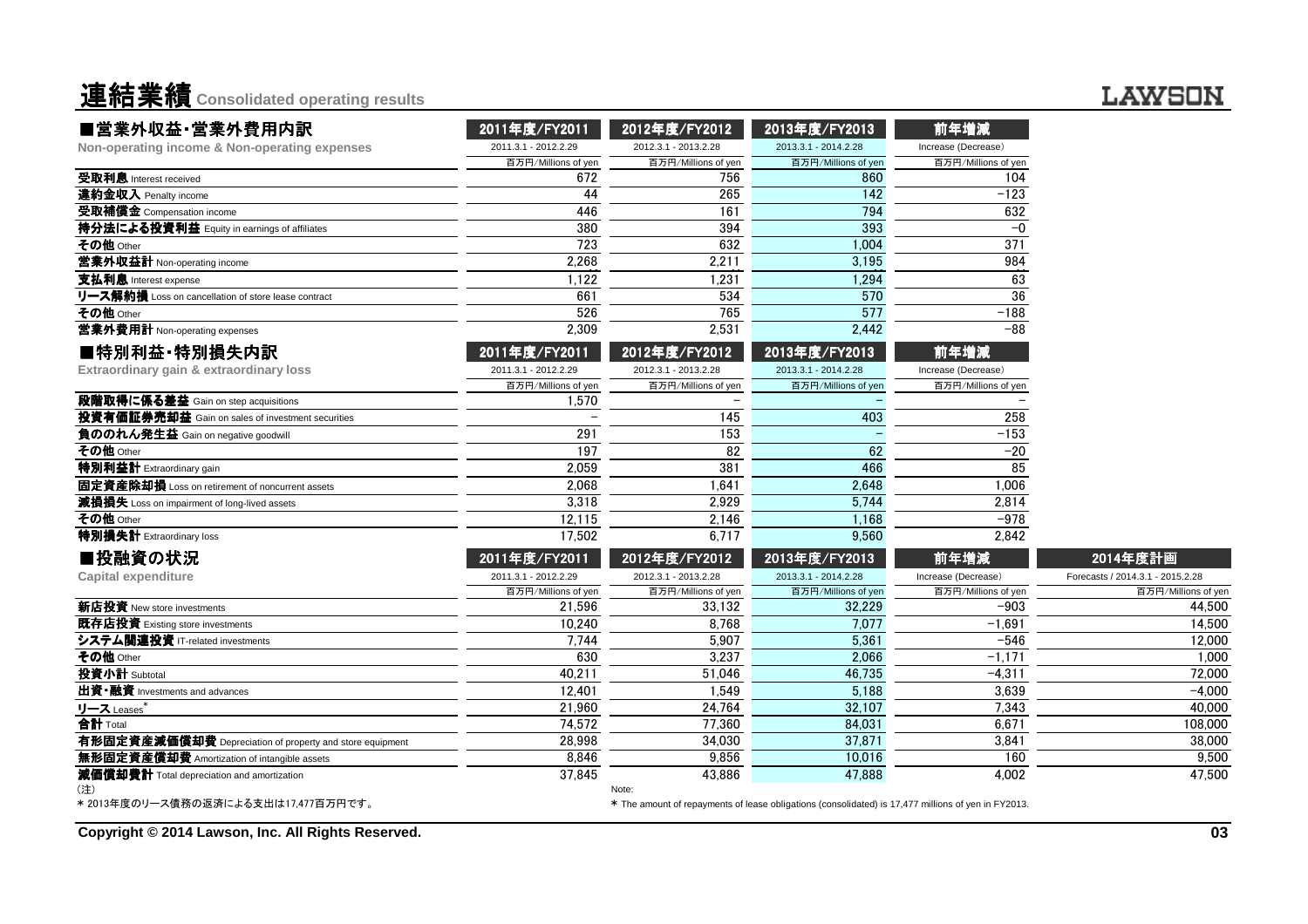連結業績**Consolidated operating results**

## **LAWSON**

| ■営業外収益·営業外費用内訳                                           | 2011年度/FY2011        | 2012年度/FY2012        | 2013年度/FY2013                                                                                       | 前年増減                |                                  |
|----------------------------------------------------------|----------------------|----------------------|-----------------------------------------------------------------------------------------------------|---------------------|----------------------------------|
| Non-operating income & Non-operating expenses            | 2011.3.1 - 2012.2.29 | 2012.3.1 - 2013.2.28 | 2013.3.1 - 2014.2.28                                                                                | Increase (Decrease) |                                  |
|                                                          | 百万円/Millions of yen  | 百万円/Millions of yen  | 百万円/Millions of yen                                                                                 | 百万円/Millions of yen |                                  |
| 受取利息 Interest received                                   | 672                  | 756                  | 860                                                                                                 | 104                 |                                  |
| 違約金収入 Penalty income                                     | 44                   | 265                  | 142                                                                                                 | $-123$              |                                  |
| 受取補償金 Compensation income                                | 446                  | 161                  | 794                                                                                                 | 632                 |                                  |
| 持分法による投資利益 Equity in earnings of affiliates              | 380                  | 394                  | 393                                                                                                 | $-0$                |                                  |
| その他 Other                                                | 723                  | 632                  | 1,004                                                                                               | 371                 |                                  |
| 営業外収益計 Non-operating income                              | 2,268                | 2,211                | 3,195                                                                                               | 984                 |                                  |
| 支払利息 Interest expense                                    | 1,122                | 1,231                | 1,294                                                                                               | 63                  |                                  |
| リース解約損 Loss on cancellation of store lease contract      | 661                  | 534                  | 570                                                                                                 | 36                  |                                  |
| その他 Other                                                | 526                  | 765                  | 577                                                                                                 | $-188$              |                                  |
| 営業外費用計 Non-operating expenses                            | 2,309                | 2,531                | 2,442                                                                                               | $-88$               |                                  |
| ■特別利益·特別損失内訳                                             | 2011年度/FY2011        | 2012年度/FY2012        | 2013年度/FY2013                                                                                       | 前年増減                |                                  |
| Extraordinary gain & extraordinary loss                  | 2011.3.1 - 2012.2.29 | 2012.3.1 - 2013.2.28 | 2013.3.1 - 2014.2.28                                                                                | Increase (Decrease) |                                  |
|                                                          | 百万円/Millions of yen  | 百万円/Millions of yen  | 百万円/Millions of yen                                                                                 | 百万円/Millions of yen |                                  |
| 段階取得に係る差益 Gain on step acquisitions                      | 1,570                |                      |                                                                                                     |                     |                                  |
| 投資有価証券売却益 Gain on sales of investment securities         |                      | 145                  | 403                                                                                                 | 258                 |                                  |
| 負ののれん発生益 Gain on negative goodwill                       | 291                  | 153                  |                                                                                                     | $-153$              |                                  |
| その他 Other                                                | 197                  | 82                   | 62                                                                                                  | $-20$               |                                  |
| 特別利益計 Extraordinary gain                                 | 2,059                | 381                  | 466                                                                                                 | 85                  |                                  |
| 固定資産除却損 Loss on retirement of noncurrent assets          | 2.068                | 1.641                | 2,648                                                                                               | 1.006               |                                  |
| 減損損失 Loss on impairment of long-lived assets             | 3,318                | 2,929                | 5,744                                                                                               | 2,814               |                                  |
| その他 Other                                                | 12,115               | 2,146                | 1,168                                                                                               | $-978$              |                                  |
| 特別損失計 Extraordinary loss                                 | 17,502               | 6,717                | 9,560                                                                                               | 2,842               |                                  |
| ■投融資の状況                                                  | 2011年度/FY2011        | 2012年度/FY2012        | 2013年度/FY2013                                                                                       | 前年増減                | 2014年度計画                         |
| <b>Capital expenditure</b>                               | 2011.3.1 - 2012.2.29 | 2012.3.1 - 2013.2.28 | 2013.3.1 - 2014.2.28                                                                                | Increase (Decrease) | Forecasts / 2014.3.1 - 2015.2.28 |
|                                                          | 百万円/Millions of yen  | 百万円/Millions of yen  | 百万円/Millions of yen                                                                                 | 百万円/Millions of yen | 百万円/Millions of yer              |
| 新店投資 New store investments                               | 21,596               | 33,132               | 32,229                                                                                              | $-903$              | 44,500                           |
| 既存店投資 Existing store investments                         | 10,240               | 8.768                | 7,077                                                                                               | $-1,691$            | 14,500                           |
| システム関連投資 IT-related investments                          | 7,744                | 5,907                | 5,361                                                                                               | $-546$              | 12.000                           |
| その他 Other                                                | 630                  | 3,237                | 2.066                                                                                               | $-1,17$             | 1.000                            |
| 投資小計 Subtotal                                            | 40,211               | 51,046               | 46,735                                                                                              | $-4,311$            | 72,000                           |
| 出資·融資 Investments and advances                           | 12,401               | 1,549                | 5,188                                                                                               | 3,639               | $-4.000$                         |
| リース Leases*                                              | 21,960               | 24,764               | 32,107                                                                                              | 7,343               | 40,000                           |
| 合計 Total                                                 | 74,572               | 77,360               | 84,031                                                                                              | 6.671               | 108,000                          |
| 有形固定資産減価償却費 Depreciation of property and store equipment | 28,998               | 34,030               | 37,871                                                                                              | 3,841               | 38,000                           |
| 無形固定資産償却費 Amortization of intangible assets              | 8,846                | 9,856                | 10,016                                                                                              | 160                 | 9.500                            |
| 減価償却費計 Total depreciation and amortization<br>注)         | 37,845               | 43.886<br>Note:      | 47,888                                                                                              | 4.002               | 47.500                           |
| * 2013年度のリース債務の返済による支出は17,477百万円です。                      |                      |                      | * The amount of repayments of lease obligations (consolidated) is 17,477 millions of yen in FY2013. |                     |                                  |

**Copyright © 2014 Lawson, Inc. All Rights Reserved.**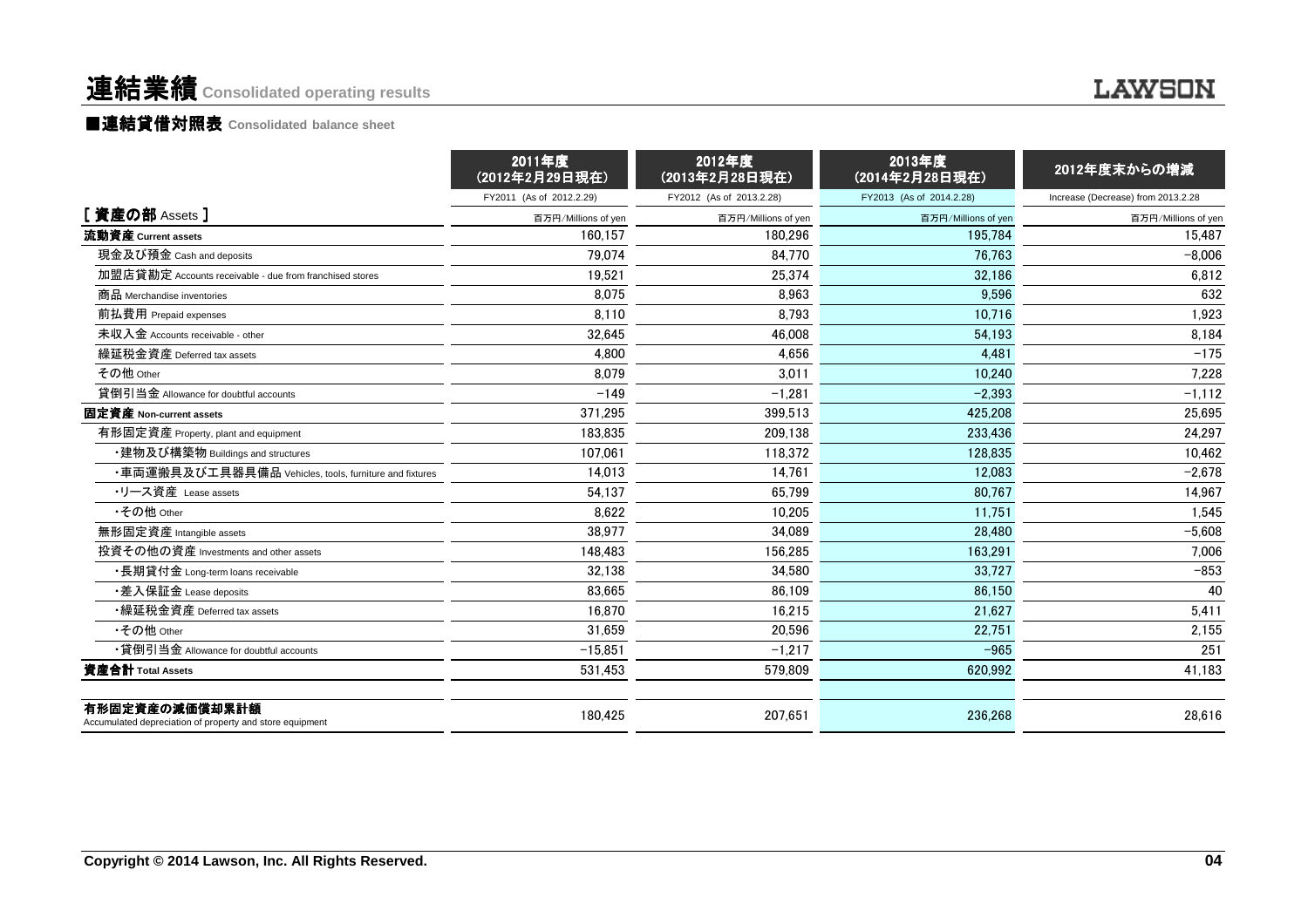# 連結業績 **Consolidated operating results**

### ■連結貸借対照表 Consolidated balance sheet

|                                                                            | 2011年度<br>(2012年2月29日現在) | 2012年度<br>(2013年2月28日現在) | 2013年度<br>(2014年2月28日現在) | 2012年度末からの増減                       |
|----------------------------------------------------------------------------|--------------------------|--------------------------|--------------------------|------------------------------------|
|                                                                            | FY2011 (As of 2012.2.29) | FY2012 (As of 2013.2.28) | FY2013 (As of 2014.2.28) | Increase (Decrease) from 2013.2.28 |
| [資産の部 Assets ]                                                             | 百万円/Millions of yen      | 百万円/Millions of yen      | 百万円/Millions of yen      | 百万円/Millions of yen                |
| 流動資産 Current assets                                                        | 160.157                  | 180.296                  | 195.784                  | 15,487                             |
| 現金及び預金 Cash and deposits                                                   | 79,074                   | 84,770                   | 76.763                   | $-8,006$                           |
| 加盟店貸勘定 Accounts receivable - due from franchised stores                    | 19.521                   | 25,374                   | 32.186                   | 6,812                              |
| 商品 Merchandise inventories                                                 | 8,075                    | 8,963                    | 9,596                    | 632                                |
| 前払費用 Prepaid expenses                                                      | 8.110                    | 8,793                    | 10.716                   | 1,923                              |
| 未収入金 Accounts receivable - other                                           | 32.645                   | 46,008                   | 54,193                   | 8,184                              |
| 繰延税金資産 Deferred tax assets                                                 | 4,800                    | 4,656                    | 4,481                    | $-175$                             |
| その他 Other                                                                  | 8.079                    | 3,011                    | 10.240                   | 7,228                              |
| 貸倒引当金 Allowance for doubtful accounts                                      | $-149$                   | $-1,281$                 | $-2,393$                 | $-1,112$                           |
| 固定資産 Non-current assets                                                    | 371,295                  | 399.513                  | 425.208                  | 25,695                             |
| 有形固定資産 Property, plant and equipment                                       | 183.835                  | 209.138                  | 233.436                  | 24,297                             |
| ・建物及び構築物 Buildings and structures                                          | 107.061                  | 118.372                  | 128.835                  | 10.462                             |
| ・車両運搬具及び工具器具備品 Vehicles, tools, furniture and fixtures                     | 14.013                   | 14.761                   | 12,083                   | $-2,678$                           |
| ・リース資産 Lease assets                                                        | 54.137                   | 65,799                   | 80,767                   | 14,967                             |
| •その他 Other                                                                 | 8.622                    | 10.205                   | 11.751                   | 1,545                              |
| 無形固定資産 Intangible assets                                                   | 38,977                   | 34,089                   | 28,480                   | $-5,608$                           |
| 投資その他の資産 Investments and other assets                                      | 148.483                  | 156,285                  | 163.291                  | 7.006                              |
| ・長期貸付金 Long-term loans receivable                                          | 32,138                   | 34,580                   | 33,727                   | $-853$                             |
| •差入保証金 Lease deposits                                                      | 83,665                   | 86.109                   | 86.150                   | 40                                 |
| •繰延税金資産 Deferred tax assets                                                | 16,870                   | 16,215                   | 21,627                   | 5,411                              |
| •その他 Other                                                                 | 31,659                   | 20,596                   | 22,751                   | 2,155                              |
| •貸倒引当金 Allowance for doubtful accounts                                     | $-15,851$                | $-1,217$                 | $-965$                   | 251                                |
| 資産合計 Total Assets                                                          | 531,453                  | 579,809                  | 620,992                  | 41,183                             |
| 有形固定資産の減価償却累計額<br>Accumulated depreciation of property and store equipment | 180,425                  | 207,651                  | 236,268                  | 28,616                             |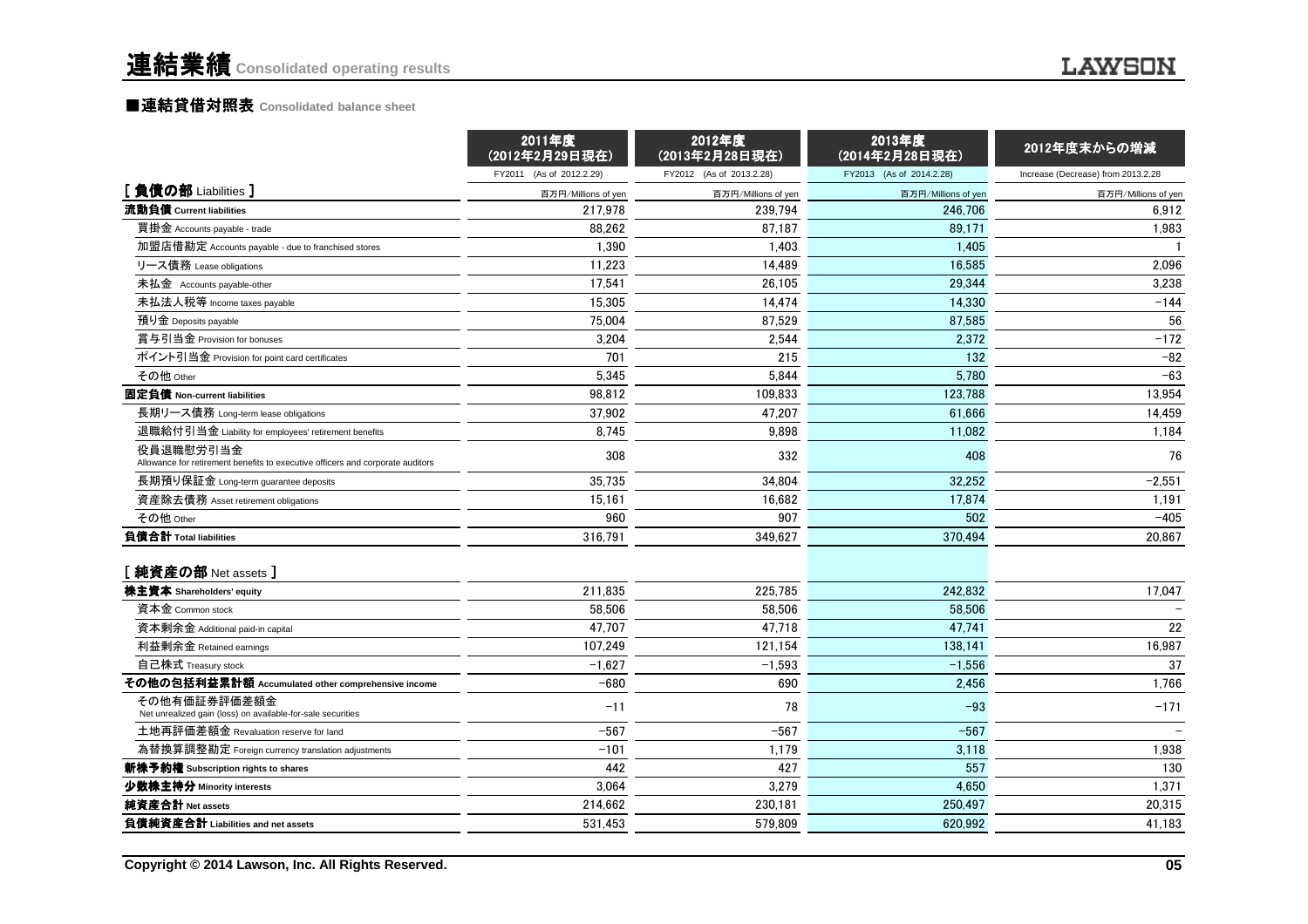|                                                                                             | 2011年度<br>(2012年2月29日現在) | 2012年度<br>(2013年2月28日現在) | 2013年度<br>(2014年2月28日現在) | 2012年度末からの増減                       |
|---------------------------------------------------------------------------------------------|--------------------------|--------------------------|--------------------------|------------------------------------|
|                                                                                             | FY2011 (As of 2012.2.29) | FY2012 (As of 2013.2.28) | FY2013 (As of 2014.2.28) | Increase (Decrease) from 2013.2.28 |
| [負債の部 Liabilities]                                                                          | 百万円/Millions of yen      | 百万円/Millions of yen      | 百万円/Millions of yen      | 百万円/Millions of yen                |
| 流動負債 Current liabilities                                                                    | 217.978                  | 239.794                  | 246.706                  | 6.912                              |
| 買掛金 Accounts payable - trade                                                                | 88,262                   | 87,187                   | 89.171                   | 1,983                              |
| 加盟店借勘定 Accounts payable - due to franchised stores                                          | 1.390                    | 1.403                    | 1.405                    |                                    |
| リース債務 Lease obligations                                                                     | 11,223                   | 14,489                   | 16.585                   | 2,096                              |
| 未払金 Accounts payable-other                                                                  | 17,541                   | 26,105                   | 29,344                   | 3,238                              |
| 未払法人税等 Income taxes payable                                                                 | 15,305                   | 14,474                   | 14.330                   | $-144$                             |
| 預り金 Deposits payable                                                                        | 75,004                   | 87,529                   | 87,585                   | 56                                 |
| 賞与引当金 Provision for bonuses                                                                 | 3.204                    | 2.544                    | 2.372                    | $-172$                             |
| ポイント引当金 Provision for point card certificates                                               | 701                      | 215                      | 132                      | $-82$                              |
| その他 Other                                                                                   | 5,345                    | 5,844                    | 5,780                    | $-63$                              |
| 固定負債 Non-current liabilities                                                                | 98.812                   | 109,833                  | 123.788                  | 13,954                             |
| 長期リース債務 Long-term lease obligations                                                         | 37,902                   | 47,207                   | 61,666                   | 14,459                             |
| 退職給付引当金 Liability for employees' retirement benefits                                        | 8.745                    | 9.898                    | 11,082                   | 1,184                              |
| 役員退職慰労引当金<br>Allowance for retirement benefits to executive officers and corporate auditors | 308                      | 332                      | 408                      | 76                                 |
| 長期預り保証金 Long-term guarantee deposits                                                        | 35,735                   | 34.804                   | 32,252                   | $-2,551$                           |
| 資産除去債務 Asset retirement obligations                                                         | 15,161                   | 16,682                   | 17,874                   | 1,191                              |
| その他 Other                                                                                   | 960                      | 907                      | 502                      | $-405$                             |
| 負債合計 Total liabilities                                                                      | 316,791                  | 349,627                  | 370.494                  | 20.867                             |
| [ 純資産の部 Net assets ]                                                                        |                          |                          |                          |                                    |
| 株主資本 Shareholders' equity                                                                   | 211,835                  | 225,785                  | 242.832                  | 17,047                             |
| 資本金 Common stock                                                                            | 58.506                   | 58.506                   | 58.506                   |                                    |
| 資本剰余金 Additional paid-in capital                                                            | 47.707                   | 47,718                   | 47,741                   | 22                                 |
| 利益剰余金 Retained earnings                                                                     | 107.249                  | 121.154                  | 138.141                  | 16,987                             |
| 自己株式 Treasury stock                                                                         | $-1,627$                 | $-1,593$                 | $-1,556$                 | 37                                 |
| その他の包括利益累計額 Accumulated other comprehensive income                                          | $-680$                   | 690                      | 2,456                    | 1,766                              |
| その他有価証券評価差額金<br>Net unrealized gain (loss) on available-for-sale securities                 | $-11$                    | 78                       | $-93$                    | $-171$                             |
| 土地再評価差額金 Revaluation reserve for land                                                       | $-567$                   | $-567$                   | $-567$                   |                                    |
| 為替換算調整勘定 Foreign currency translation adjustments                                           | $-101$                   | 1,179                    | 3,118                    | 1,938                              |
| 新株予約権 Subscription rights to shares                                                         | 442                      | 427                      | 557                      | 130                                |
| 少数株主持分 Minority interests                                                                   | 3,064                    | 3,279                    | 4,650                    | 1,371                              |
| 純資産合計 Net assets                                                                            | 214,662                  | 230,181                  | 250,497                  | 20,315                             |
| 負債純資産合計 Liabilities and net assets                                                          | 531,453                  | 579,809                  | 620,992                  | 41,183                             |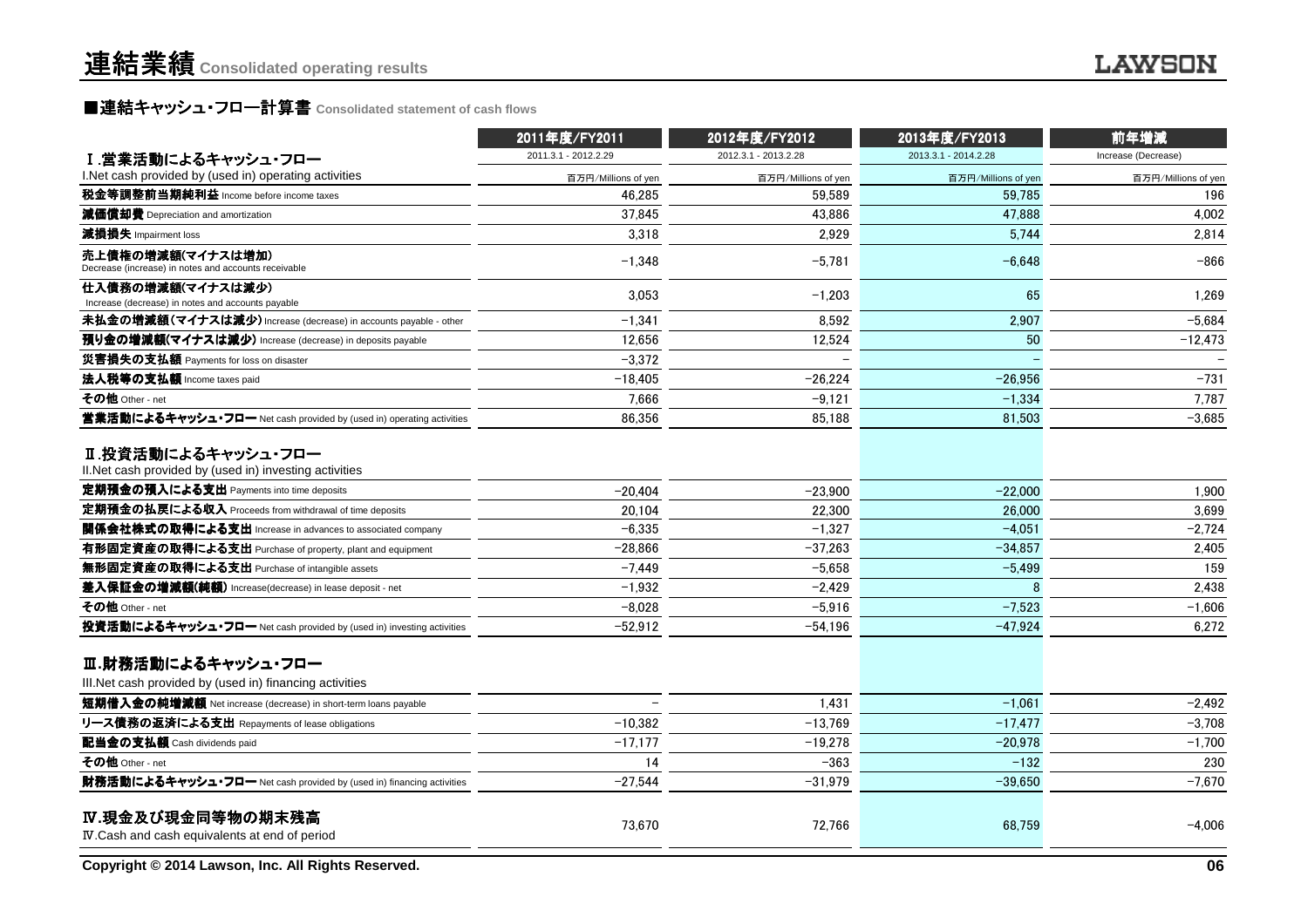## ■連結キャッシュ・フロー計算書 Consolidated statement of cash flows<br>————————————————————

|                                                                                                                           | 2011年度/FY2011        | 2012年度/FY2012        | 2013年度/FY2013        | 前年増減                |  |
|---------------------------------------------------------------------------------------------------------------------------|----------------------|----------------------|----------------------|---------------------|--|
| Ⅰ.営業活動によるキャッシュ・フロー                                                                                                        | 2011.3.1 - 2012.2.29 | 2012.3.1 - 2013.2.28 | 2013.3.1 - 2014.2.28 | Increase (Decrease) |  |
| I.Net cash provided by (used in) operating activities                                                                     | 百万円/Millions of yen  | 百万円/Millions of yen  | 百万円/Millions of yen  | 百万円/Millions of yen |  |
| 税金等調整前当期純利益 Income before income taxes                                                                                    | 46.285               | 59.589               | 59.785               | 196                 |  |
| 減価償却費 Depreciation and amortization                                                                                       | 37,845               | 43.886               | 47,888               | 4,002               |  |
| 減損損失 Impairment loss                                                                                                      | 3,318                | 2,929                | 5,744                | 2,814               |  |
| 売上債権の増減額(マイナスは増加)<br>Decrease (increase) in notes and accounts receivable                                                 | $-1,348$             | $-5,781$             | $-6,648$             | $-866$              |  |
| 仕入債務の増減額(マイナスは減少)<br>Increase (decrease) in notes and accounts payable                                                    | 3,053                | $-1,203$             | 65                   | 1,269               |  |
| 未払金の増減額(マイナスは減少) Increase (decrease) in accounts payable - other                                                          | -1,341               | 8,592                | 2,907                | $-5,684$            |  |
| 預り金の増減額(マイナスは減少) Increase (decrease) in deposits payable                                                                  | 12,656               | 12,524               | 50                   | $-12,473$           |  |
| 災害損失の支払額 Payments for loss on disaster                                                                                    | -3,372               |                      |                      |                     |  |
| 法人税等の支払額 Income taxes paid                                                                                                | $-18,405$            | $-26.224$            | $-26,956$            | $-731$              |  |
| その他 Other - net                                                                                                           | 7,666                | $-9.121$             | $-1,334$             | 7,787               |  |
| 営業活動によるキャッシュ・フロー Net cash provided by (used in) operating activities                                                      | 86,356               | 85,188               | 81,503               | $-3,685$            |  |
| Ⅱ.投資活動によるキャッシュ・フロー<br>II. Net cash provided by (used in) investing activities<br>定期預金の預入による支出 Payments into time deposits | $-20,404$            | $-23,900$            | $-22.000$            | 1,900               |  |
| 定期預金の払戻による収入 Proceeds from withdrawal of time deposits                                                                    | 20.104               | 22,300               | 26,000               | 3,699               |  |
| 関係会社株式の取得による支出 Increase in advances to associated company                                                                 | $-6,335$             | $-1,327$             | $-4,051$             | $-2,724$            |  |
| 有形固定資産の取得による支出 Purchase of property, plant and equipment                                                                  | $-28,866$            | $-37.263$            | $-34,857$            | 2,405               |  |
| 無形固定資産の取得による支出 Purchase of intangible assets                                                                              | $-7.449$             | $-5.658$             | $-5,499$             | 159                 |  |
| 差入保証金の増減額(純額) Increase(decrease) in lease deposit - net                                                                   | $-1,932$             | $-2,429$             | 8                    | 2,438               |  |
| その他 Other - net                                                                                                           | $-8.028$             | $-5,916$             | $-7,523$             | $-1,606$            |  |
| 投資活動によるキャッシュ・フロー Net cash provided by (used in) investing activities                                                      | $-52,912$            | $-54,196$            | $-47,924$            | 6,272               |  |
| Ⅲ.財務活動によるキャッシュ・フロー<br>III. Net cash provided by (used in) financing activities                                            |                      |                      |                      |                     |  |
| 短期借入金の純増減額 Net increase (decrease) in short-term loans payable                                                            |                      | 1.431                | $-1.061$             | $-2,492$            |  |
| リース債務の返済による支出 Repayments of lease obligations                                                                             | $-10,382$            | $-13,769$            | $-17,477$            | $-3,708$            |  |
| 配当金の支払額 Cash dividends paid                                                                                               | $-17,177$            | $-19,278$            | $-20,978$            | $-1,700$            |  |
| その他 Other - net                                                                                                           | 14                   | $-363$               | $-132$               | 230                 |  |
| 財務活動によるキャッシュ・フロー Net cash provided by (used in) financing activities                                                      | $-27,544$            | $-31,979$            | $-39,650$            | $-7,670$            |  |
| IV.現金及び現金同等物の期末残高<br>IV. Cash and cash equivalents at end of period                                                       | 73,670               | 72,766               | 68,759               | $-4,006$            |  |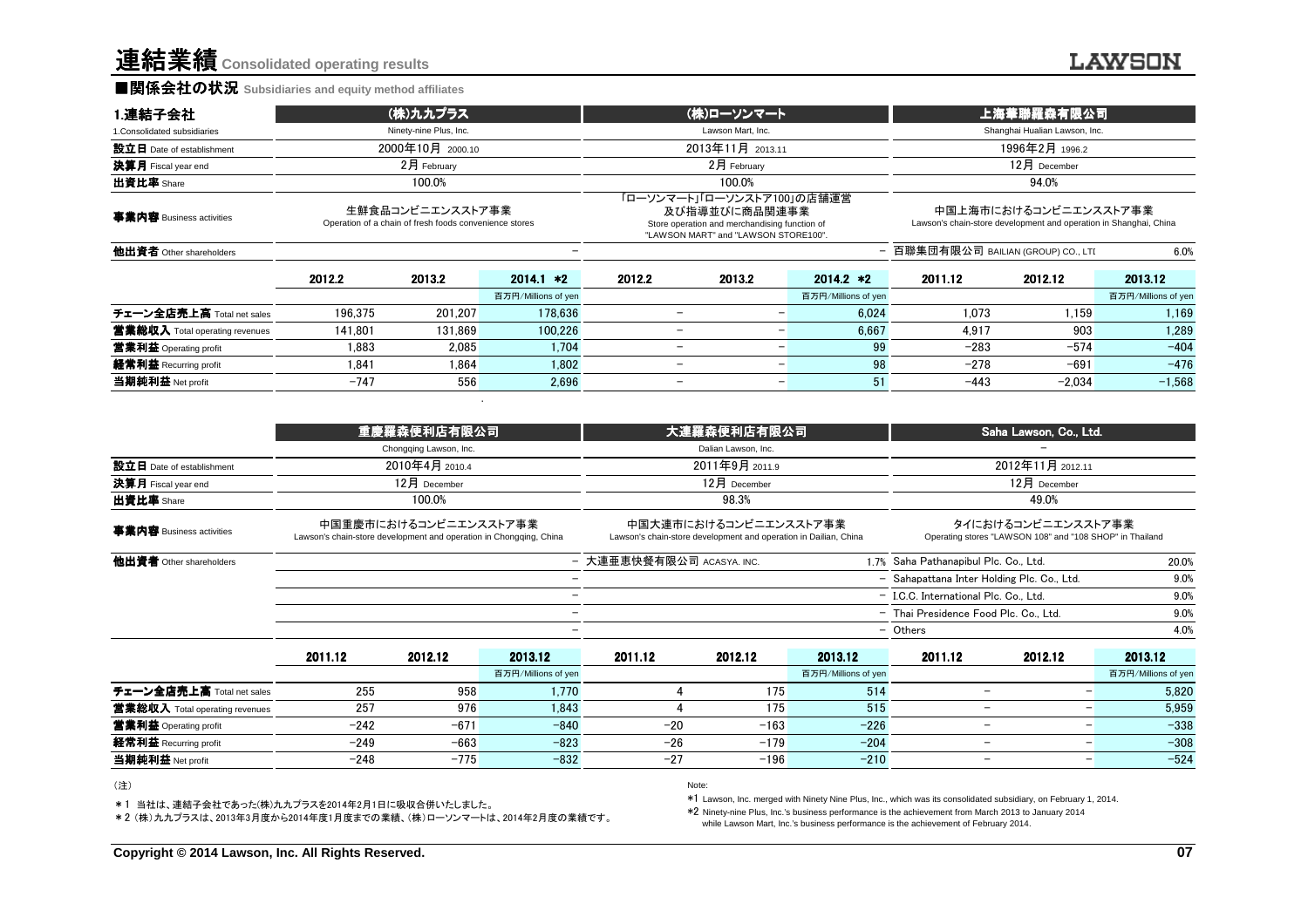連結業績**Consolidated operating results**

#### ■関係会社の状況 **Subsidiaries and equity method affiliates**

| 1.連結子会社                        |                  | (株)九九プラス                                                                   |                     | (株)ローソンマート                                                                                                                           |                          |                                                                                            | 上海華聯羅森有限公司                          |          |                     |  |
|--------------------------------|------------------|----------------------------------------------------------------------------|---------------------|--------------------------------------------------------------------------------------------------------------------------------------|--------------------------|--------------------------------------------------------------------------------------------|-------------------------------------|----------|---------------------|--|
| 1. Consolidated subsidiaries   |                  | Ninety-nine Plus, Inc.                                                     |                     | Lawson Mart, Inc.                                                                                                                    |                          |                                                                                            | Shanghai Hualian Lawson, Inc.       |          |                     |  |
| 設立日 Date of establishment      | 2000年10月 2000.10 |                                                                            |                     | 2013年11月 2013.11                                                                                                                     |                          |                                                                                            | 1996年2月 1996.2                      |          |                     |  |
| 決算月 Fiscal year end            | $2月$ February    |                                                                            |                     | $2月$ February                                                                                                                        |                          |                                                                                            | $12月$ December                      |          |                     |  |
| 出資比率 Share                     |                  | 100.0%                                                                     |                     |                                                                                                                                      | 100.0%                   |                                                                                            |                                     | 94.0%    |                     |  |
| 事業内容 Business activities       |                  | 生鮮食品コンビニエンスストア事業<br>Operation of a chain of fresh foods convenience stores |                     | 「ローソンマート」「ローソンストア100」の店舗運営<br>及び指導並びに商品関連事業<br>Store operation and merchandising function of<br>"LAWSON MART" and "LAWSON STORE100". |                          | 中国上海市におけるコンビニエンスストア事業<br>Lawson's chain-store development and operation in Shanghai, China |                                     |          |                     |  |
| 他出資者 Other shareholders        |                  |                                                                            |                     |                                                                                                                                      |                          |                                                                                            | - 百聯集団有限公司 BAILIAN (GROUP) CO., LTI |          | 6.0%                |  |
|                                | 2012.2           | 2013.2                                                                     | $2014.1 *2$         | 2012.2                                                                                                                               | 2013.2                   | $2014.2 *2$                                                                                | 2011.12                             | 2012.12  | 2013.12             |  |
|                                |                  |                                                                            | 百万円/Millions of yen |                                                                                                                                      |                          | 百万円/Millions of yen                                                                        |                                     |          | 百万円/Millions of yen |  |
| チェーン全店売上高 Total net sales      | 196.375          | 201.207                                                                    | 178.636             | ۰                                                                                                                                    | -                        | 6.024                                                                                      | 1.073                               | 1.159    | 1.169               |  |
| 営業総収入 Total operating revenues | 141.801          | 131.869                                                                    | 100.226             | ۰                                                                                                                                    |                          | 6.667<br>-                                                                                 | 4.917                               | 903      | 1.289               |  |
| 営業利益 Operating profit          | 1.883            | 2.085                                                                      | 1.704               | $\overline{\phantom{0}}$                                                                                                             |                          | 99<br>$\overline{\phantom{0}}$                                                             | $-283$                              | $-574$   | $-404$              |  |
| 経常利益 Recurring profit          | 1.841            | 1.864                                                                      | 1.802               | $\overline{\phantom{0}}$                                                                                                             |                          | 98<br>-                                                                                    | $-278$                              | $-691$   | $-476$              |  |
| 当期純利益 Net profit               | $-747$           | 556                                                                        | 2.696               | $\overline{\phantom{0}}$                                                                                                             | $\overline{\phantom{0}}$ | 51                                                                                         | $-443$                              | $-2.034$ | $-1,568$            |  |

|                                |                                                                    | 重慶羅森便利店有限公司            |                          | 大連羅森便利店有限公司                                                                               |                           |                     | Saha Lawson, Co., Ltd.                     |                                                      |                                                                                |  |  |
|--------------------------------|--------------------------------------------------------------------|------------------------|--------------------------|-------------------------------------------------------------------------------------------|---------------------------|---------------------|--------------------------------------------|------------------------------------------------------|--------------------------------------------------------------------------------|--|--|
|                                |                                                                    | Chongqing Lawson, Inc. |                          |                                                                                           | Dalian Lawson, Inc.       |                     |                                            |                                                      |                                                                                |  |  |
| 設立日 Date of establishment      |                                                                    | 2010年4月 2010.4         |                          | 2011年9月 2011.9                                                                            |                           |                     | 2012年11月 2012.11                           |                                                      |                                                                                |  |  |
| 決算月 Fiscal year end            |                                                                    | 12月 December           |                          |                                                                                           | 12月 December              |                     |                                            | 12月 December                                         |                                                                                |  |  |
| 出資比率 Share                     | 100.0%                                                             |                        |                          |                                                                                           | 98.3%                     |                     |                                            | 49.0%                                                |                                                                                |  |  |
| 事業内容 Business activities       | Lawson's chain-store development and operation in Chongqing, China | 中国重慶市におけるコンビニエンスストア事業  |                          | 中国大連市におけるコンビニエンスストア事業<br>Lawson's chain-store development and operation in Dailian, China |                           |                     |                                            |                                                      | タイにおけるコンビニエンスストア事業<br>Operating stores "LAWSON 108" and "108 SHOP" in Thailand |  |  |
| 他出資者 Other shareholders        |                                                                    |                        |                          |                                                                                           | - 大連亜恵快餐有限公司 ACASYA. INC. |                     | 1.7% Saha Pathanapibul Plc. Co., Ltd.      |                                                      | 20.0%                                                                          |  |  |
|                                |                                                                    |                        |                          |                                                                                           |                           |                     | - Sahapattana Inter Holding Plc. Co., Ltd. |                                                      | 9.0%                                                                           |  |  |
|                                |                                                                    |                        |                          |                                                                                           |                           |                     | - I.C.C. International Plc. Co., Ltd.      |                                                      | 9.0%                                                                           |  |  |
|                                |                                                                    |                        | $\overline{\phantom{0}}$ |                                                                                           |                           |                     | - Thai Presidence Food Plc. Co., Ltd.      |                                                      | 9.0%                                                                           |  |  |
|                                |                                                                    |                        | -                        |                                                                                           |                           |                     | - Others                                   |                                                      | 4.0%                                                                           |  |  |
|                                | 2011.12                                                            | 2012.12                | 2013.12                  | 2011.12                                                                                   | 2012.12                   | 2013.12             | 2011.12                                    | 2012.12                                              | 2013.12                                                                        |  |  |
|                                |                                                                    |                        | 百万円/Millions of yen      |                                                                                           |                           | 百万円/Millions of yen |                                            |                                                      | 百万円/Millions of yen                                                            |  |  |
| チェーン全店売上高 Total net sales      | 255                                                                | 958                    | 1.770                    |                                                                                           | 175                       | 514                 |                                            | $\overline{\phantom{0}}$                             | 5,820                                                                          |  |  |
| 當業総収入 Total operating revenues | 257                                                                | 976                    | 1,843                    |                                                                                           | 175                       | 515                 |                                            | $\overline{\phantom{0}}$<br>-                        | 5,959                                                                          |  |  |
| 営業利益 Operating profit          | $-242$                                                             | $-671$                 | $-840$                   | $-20$                                                                                     | $-163$                    | $-226$              |                                            | $\overline{\phantom{0}}$                             | $-338$                                                                         |  |  |
| 経常利益 Recurring profit          | $-249$                                                             | $-663$                 | $-823$                   | $-26$                                                                                     | $-179$                    | $-204$              |                                            | $\overline{\phantom{0}}$                             | $-308$                                                                         |  |  |
| 当期純利益 Net profit               | $-248$                                                             | $-775$                 | $-832$                   | $-27$                                                                                     | $-196$                    | $-210$              |                                            | $\overline{\phantom{0}}$<br>$\overline{\phantom{0}}$ | $-524$                                                                         |  |  |

#### (注)

\*1 当社は、連結子会社であった(株)九九プラスを2014年2月1日に吸収合併いたしました。

\*2 (株)九九プラスは、2013年3月度から2014年度1月度までの業績、(株)ローソンマートは、2014年2月度の業績です。

Note: and the contract of the contract of the contract of the contract of the contract of the contract of the contract of the contract of the contract of the contract of the contract of the contract of the contract of the

\*1 Lawson, Inc. merged with Ninety Nine Plus, Inc., which was its consolidated subsidiary, on February 1, 2014.

\*2 Ninety-nine Plus, Inc.'s business performance is the achievement from March 2013 to January 2014while Lawson Mart, Inc.'s business performance is the achievement of February 2014.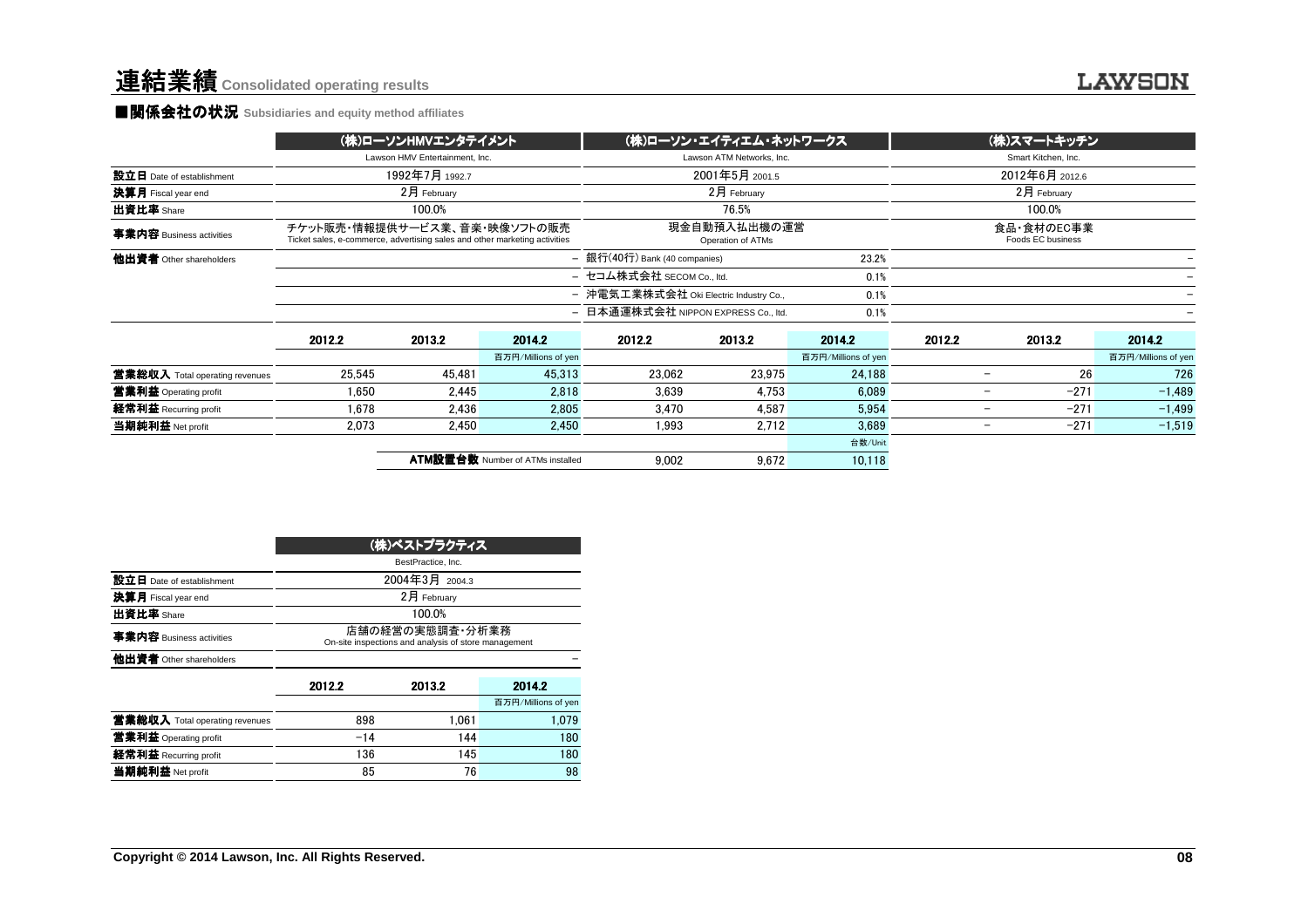#### ■関係会社の状況 **Subsidiaries and equity method affiliates**

|                                |                                                                                                                                                 | (株)ローソンHMVエンタテイメント             |                                         | (株)ローソン・エイティエム・ネットワークス                         |                           | (株)スマートキッチン         |                     |                                    |                     |
|--------------------------------|-------------------------------------------------------------------------------------------------------------------------------------------------|--------------------------------|-----------------------------------------|------------------------------------------------|---------------------------|---------------------|---------------------|------------------------------------|---------------------|
|                                |                                                                                                                                                 | Lawson HMV Entertainment. Inc. |                                         |                                                | Lawson ATM Networks, Inc. |                     | Smart Kitchen, Inc. |                                    |                     |
| 設立日 Date of establishment      |                                                                                                                                                 | 1992年7月 1992.7                 |                                         | 2001年5月 2001.5                                 |                           |                     | 2012年6月 2012.6      |                                    |                     |
| 決算月 Fiscal year end            |                                                                                                                                                 | 2月 February                    |                                         |                                                | 2月 February               |                     |                     | 2月 February                        |                     |
| 出資比率 Share                     |                                                                                                                                                 | 100.0%                         |                                         |                                                | 76.5%                     |                     |                     | 100.0%                             |                     |
| 事業内容 Business activities       | チケット販売・情報提供サービス業、音楽・映像ソフトの販売<br>現金自動預入払出機の運営<br>Ticket sales, e-commerce, advertising sales and other marketing activities<br>Operation of ATMs |                                |                                         |                                                |                           |                     |                     | 食品・食材のEC事業<br>Foods EC business    |                     |
| 他出資者 Other shareholders        |                                                                                                                                                 |                                |                                         | - 銀行(40行) Bank (40 companies)<br>23.2%         |                           |                     |                     |                                    |                     |
|                                |                                                                                                                                                 |                                |                                         | - セコム株式会社 SECOM Co., ltd.<br>0.1%              |                           |                     |                     |                                    |                     |
|                                |                                                                                                                                                 |                                |                                         | - 沖電気工業株式会社 Oki Electric Industry Co.,<br>0.1% |                           |                     |                     |                                    |                     |
|                                |                                                                                                                                                 |                                |                                         | - 日本通運株式会社 NIPPON EXPRESS Co., ltd.            |                           | 0.1%                |                     |                                    |                     |
|                                | 2012.2                                                                                                                                          | 2013.2                         | 2014.2                                  | 2012.2                                         | 2013.2                    | 2014.2              | 2012.2              | 2013.2                             | 2014.2              |
|                                |                                                                                                                                                 |                                | 百万円/Millions of yen                     |                                                |                           | 百万円/Millions of yen |                     |                                    | 百万円/Millions of yen |
| 営業総収入 Total operating revenues | 25.545                                                                                                                                          | 45.481                         | 45.313                                  | 23,062                                         | 23,975                    | 24.188              |                     | 26<br>$\overline{\phantom{0}}$     | 726                 |
| 営業利益 Operating profit          | 1.650                                                                                                                                           | 2.445                          | 2,818                                   | 3.639                                          | 4.753                     | 6.089               |                     | $-271$<br>$\overline{\phantom{a}}$ | $-1,489$            |
| 経常利益 Recurring profit          | 1,678                                                                                                                                           | 2,436                          | 2,805                                   | 3,470                                          | 4,587                     | 5,954               |                     | $-271$<br>$\overline{\phantom{0}}$ | $-1,499$            |
| 当期純利益 Net profit               | 2.073                                                                                                                                           | 2.450                          | 2.450                                   | 1.993                                          | 2.712                     | 3.689               |                     | $-271$<br>$\overline{\phantom{0}}$ | $-1,519$            |
|                                |                                                                                                                                                 |                                |                                         |                                                |                           | 台数/Unit             |                     |                                    |                     |
|                                |                                                                                                                                                 |                                | <b>ATM設置台数 Number of ATMs installed</b> | 9,002                                          | 9,672                     | 10,118              |                     |                                    |                     |

|                                | (株)ベストプラクティス                                                            |        |                     |  |  |  |  |
|--------------------------------|-------------------------------------------------------------------------|--------|---------------------|--|--|--|--|
|                                | BestPractice, Inc.                                                      |        |                     |  |  |  |  |
| 設立日 Date of establishment      | 2004年3月 2004.3                                                          |        |                     |  |  |  |  |
| 決算月 Fiscal year end            | 2月 Februarv                                                             |        |                     |  |  |  |  |
| 出資比率 Share                     | 100.0%                                                                  |        |                     |  |  |  |  |
| 事業内容 Business activities       | 店舗の経営の実態調査・分析業務<br>On-site inspections and analysis of store management |        |                     |  |  |  |  |
| 他出資者 Other shareholders        |                                                                         |        |                     |  |  |  |  |
|                                | 2012.2                                                                  | 2013.2 | 2014.2              |  |  |  |  |
|                                |                                                                         |        | 百万円/Millions of yen |  |  |  |  |
| 営業総収入 Total operating revenues | 898                                                                     | 1.061  | 1.079               |  |  |  |  |
| 営業利益 Operating profit          | $-14$                                                                   | 144    | 180                 |  |  |  |  |
| 経常利益 Recurring profit          | 136                                                                     | 145    | 180                 |  |  |  |  |
| 当期純利益 Net profit               | 85<br>76                                                                |        |                     |  |  |  |  |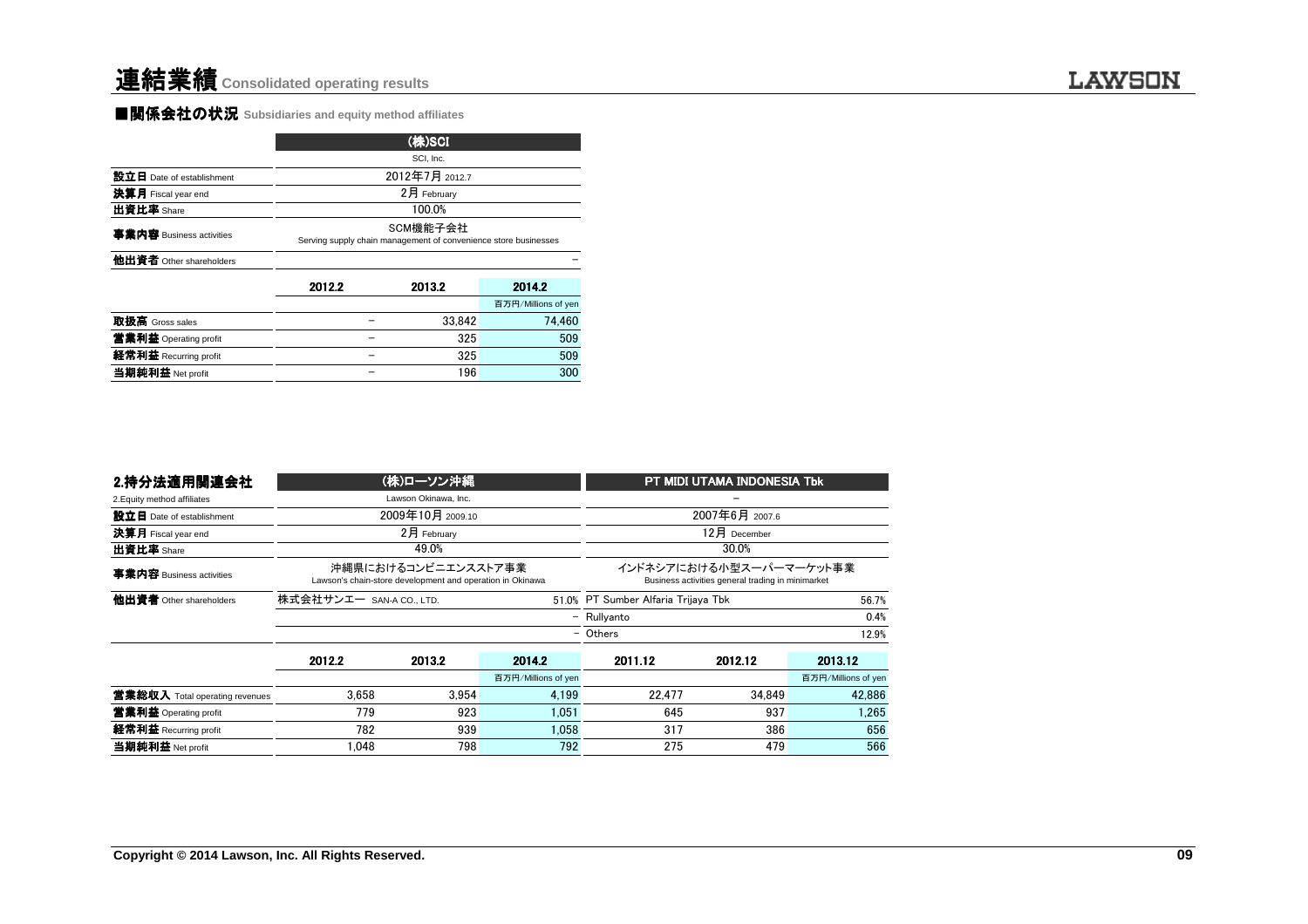#### ■関係会社の状況 **Subsidiaries and equity method affiliates**

|                           |                                                                             | (株)SCI         |                     |  |  |  |  |  |
|---------------------------|-----------------------------------------------------------------------------|----------------|---------------------|--|--|--|--|--|
|                           |                                                                             | SCI, Inc.      |                     |  |  |  |  |  |
| 設立日 Date of establishment |                                                                             | 2012年7月 2012.7 |                     |  |  |  |  |  |
| 決算月 Fiscal year end       | 2月 February                                                                 |                |                     |  |  |  |  |  |
| 出資比率 Share                | 100.0%                                                                      |                |                     |  |  |  |  |  |
| 事業内容 Business activities  | SCM機能子会社<br>Serving supply chain management of convenience store businesses |                |                     |  |  |  |  |  |
| 他出資者 Other shareholders   |                                                                             |                |                     |  |  |  |  |  |
|                           | 2012.2                                                                      | 2013.2         | 2014.2              |  |  |  |  |  |
|                           |                                                                             |                | 百万円/Millions of yen |  |  |  |  |  |
| 取扱高 Gross sales           |                                                                             | 33.842         | 74.460              |  |  |  |  |  |
| 営業利益 Operating profit     |                                                                             | 325            | 509                 |  |  |  |  |  |
| 経常利益 Recurring profit     |                                                                             | 325            | 509                 |  |  |  |  |  |
| 当期純利益 Net profit          |                                                                             | 196            | 300                 |  |  |  |  |  |

| 2.持分法適用関連会社                    |                          | (株)ローソン沖縄                                                                        |                     | PT MIDI UTAMA INDONESIA Tbk                                                  |                |                     |  |
|--------------------------------|--------------------------|----------------------------------------------------------------------------------|---------------------|------------------------------------------------------------------------------|----------------|---------------------|--|
| 2. Equity method affiliates    |                          | Lawson Okinawa, Inc.                                                             |                     |                                                                              |                |                     |  |
| 設立日 Date of establishment      |                          | 2009年10月 2009.10                                                                 |                     |                                                                              | 2007年6月 2007.6 |                     |  |
| 決算月 Fiscal year end            |                          | 2月 February                                                                      |                     |                                                                              | $12月$ December |                     |  |
| 出資比率 Share                     |                          | 49.0%                                                                            |                     |                                                                              | 30.0%          |                     |  |
| 事業内容 Business activities       |                          | 沖縄県におけるコンビニエンスストア事業<br>Lawson's chain-store development and operation in Okinawa |                     | インドネシアにおける小型スーパーマーケット事業<br>Business activities general trading in minimarket |                |                     |  |
| 他出資者 Other shareholders        | 株式会社サンエー SAN-A CO., LTD. |                                                                                  |                     | 51.0% PT Sumber Alfaria Trijaya Tbk                                          |                | 56.7%               |  |
|                                | - Rullyanto              |                                                                                  |                     |                                                                              |                | 0.4%                |  |
|                                |                          |                                                                                  |                     | - Others<br>12.9%                                                            |                |                     |  |
|                                | 2012.2                   | 2013.2                                                                           | 2014.2              | 2011.12                                                                      | 2012.12        | 2013.12             |  |
|                                |                          |                                                                                  | 百万円/Millions of yen |                                                                              |                | 百万円/Millions of yen |  |
| 當業総収入 Total operating revenues | 3.658                    | 3.954                                                                            | 4,199               | 22,477                                                                       | 34.849         | 42,886              |  |
| 営業利益 Operating profit          | 779                      | 923                                                                              | 1.051               | 645                                                                          | 937            | 1,265               |  |
| 経常利益 Recurring profit          | 782                      | 939                                                                              | 1.058               | 317                                                                          | 386            | 656                 |  |
| 当期純利益 Net profit               | 1.048                    | 798                                                                              | 792                 | 275                                                                          | 479            | 566                 |  |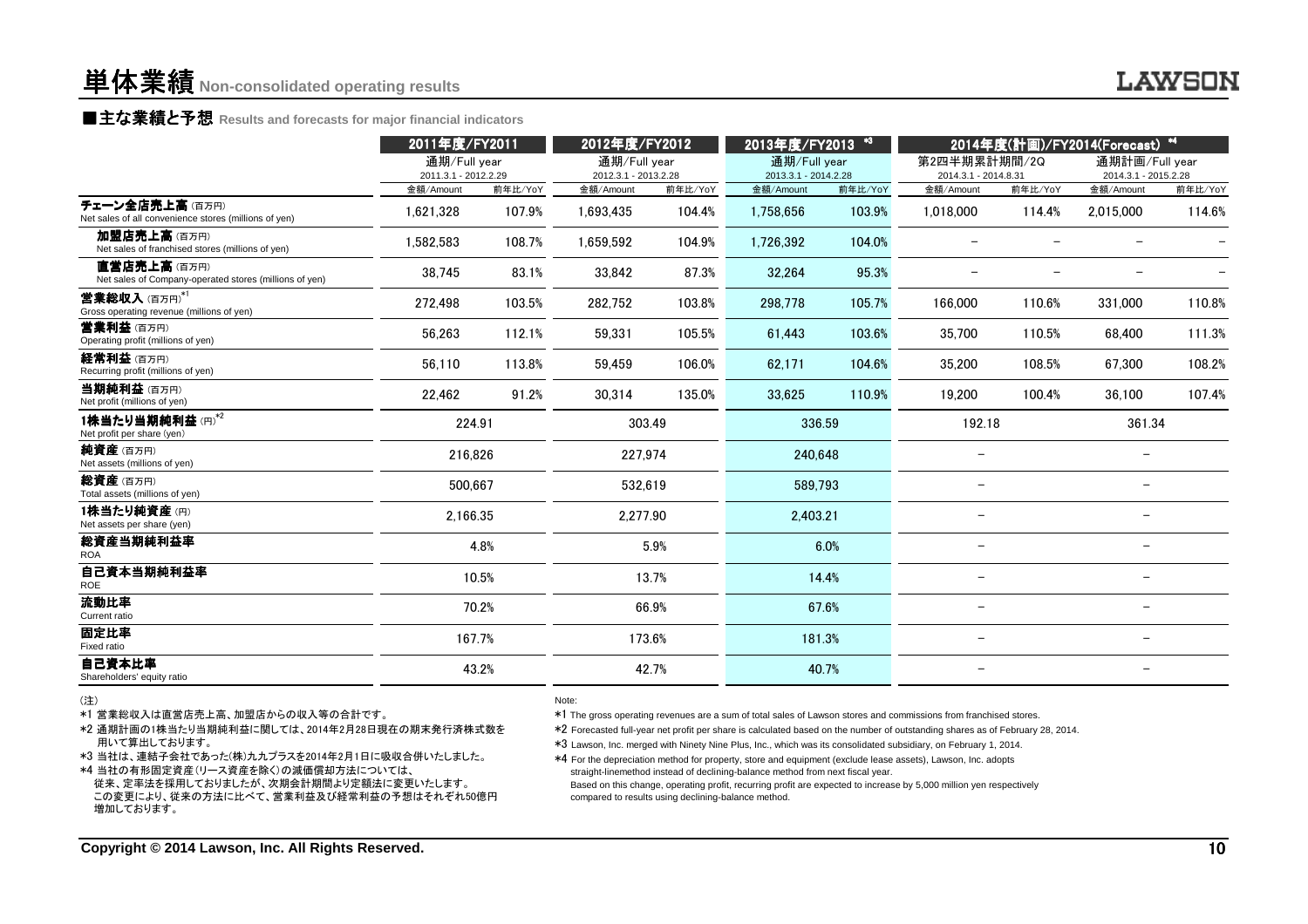■主な業績と予想 **Results and forecasts for major financial indicators**

| 通期/Full year<br>通期/Full year<br>第2四半期累計期間/2Q<br>通期計画/Full year<br>通期/Full year<br>2013.3.1 - 2014.2.28<br>2011.3.1 - 2012.2.29<br>2012.3.1 - 2013.2.28<br>2014.3.1 - 2014.8.31<br>2014.3.1 - 2015.2.28<br>前年比/YoY<br>前年比/YoY<br>前年比/YoY<br>前年比/YoY<br>金額/Amount<br>前年比/YoY<br>金額/Amount<br>金額/Amount<br>金額/Amount<br>金額/Amount<br>107.9%<br>1.621.328<br>1,693,435<br>104.4%<br>1,758,656<br>103.9%<br>1,018,000<br>114.4%<br>2,015,000<br>114.6%<br>加盟店売上高(百万円)<br>108.7%<br>104.9%<br>104.0%<br>1,582,583<br>1,659,592<br>1,726,392<br>Net sales of franchised stores (millions of yen)<br>直営店売上高(百万円)<br>83.1%<br>87.3%<br>95.3%<br>38,745<br>33,842<br>32,264<br>Net sales of Company-operated stores (millions of yen)<br>105.7%<br>272,498<br>103.5%<br>282,752<br>103.8%<br>298,778<br>166,000<br>110.6%<br>331,000<br>110.8%<br>111.3%<br>56,263<br>112.1%<br>105.5%<br>103.6%<br>35,700<br>110.5%<br>59,331<br>61,443<br>68,400<br>113.8%<br>106.0%<br>104.6%<br>35,200<br>108.2%<br>56,110<br>59,459<br>62,171<br>108.5%<br>67,300<br>Recurring profit (millions of yen)<br>当期純利益(百万円)<br>91.2%<br>22,462<br>30,314<br>135.0%<br>110.9%<br>19,200<br>100.4%<br>107.4%<br>33,625<br>36,100<br>Net profit (millions of yen)<br>1株当たり当期純利益(円)*2<br>361.34<br>224.91<br>303.49<br>336.59<br>192.18<br>216.826<br>227,974<br>240.648<br>Net assets (millions of yen)<br>500,667<br>532,619<br>589,793<br>$\overline{\phantom{0}}$<br>2.166.35<br>2.277.90<br>2.403.21<br>$\overline{\phantom{0}}$<br>4.8%<br>5.9%<br>6.0%<br>$\overline{\phantom{0}}$<br>$\qquad \qquad -$<br><b>ROA</b><br>自己資本当期純利益率<br>10.5%<br>13.7%<br>14.4%<br><b>ROE</b><br>流動比率<br>70.2%<br>67.6%<br>66.9%<br>$\overline{\phantom{0}}$<br>167.7%<br>173.6%<br>181.3%<br>$\overline{\phantom{0}}$<br>Fixed ratio<br>自己資本比率<br>43.2%<br>42.7%<br>40.7% |                                                                         | 2011年度/FY2011 |  |  | 2012年度/FY2012 |  | $*3$<br>2013年度/FY2013 |  | 2014年度(計画)/FY2014(Forecast) *4 |  |  |  |
|-----------------------------------------------------------------------------------------------------------------------------------------------------------------------------------------------------------------------------------------------------------------------------------------------------------------------------------------------------------------------------------------------------------------------------------------------------------------------------------------------------------------------------------------------------------------------------------------------------------------------------------------------------------------------------------------------------------------------------------------------------------------------------------------------------------------------------------------------------------------------------------------------------------------------------------------------------------------------------------------------------------------------------------------------------------------------------------------------------------------------------------------------------------------------------------------------------------------------------------------------------------------------------------------------------------------------------------------------------------------------------------------------------------------------------------------------------------------------------------------------------------------------------------------------------------------------------------------------------------------------------------------------------------------------------------------------------------------------------------------------------------------------------------------------------------------------------------|-------------------------------------------------------------------------|---------------|--|--|---------------|--|-----------------------|--|--------------------------------|--|--|--|
|                                                                                                                                                                                                                                                                                                                                                                                                                                                                                                                                                                                                                                                                                                                                                                                                                                                                                                                                                                                                                                                                                                                                                                                                                                                                                                                                                                                                                                                                                                                                                                                                                                                                                                                                                                                                                                   |                                                                         |               |  |  |               |  |                       |  |                                |  |  |  |
|                                                                                                                                                                                                                                                                                                                                                                                                                                                                                                                                                                                                                                                                                                                                                                                                                                                                                                                                                                                                                                                                                                                                                                                                                                                                                                                                                                                                                                                                                                                                                                                                                                                                                                                                                                                                                                   |                                                                         |               |  |  |               |  |                       |  |                                |  |  |  |
|                                                                                                                                                                                                                                                                                                                                                                                                                                                                                                                                                                                                                                                                                                                                                                                                                                                                                                                                                                                                                                                                                                                                                                                                                                                                                                                                                                                                                                                                                                                                                                                                                                                                                                                                                                                                                                   | チェーン全店売上高(百万円)<br>Net sales of all convenience stores (millions of yen) |               |  |  |               |  |                       |  |                                |  |  |  |
|                                                                                                                                                                                                                                                                                                                                                                                                                                                                                                                                                                                                                                                                                                                                                                                                                                                                                                                                                                                                                                                                                                                                                                                                                                                                                                                                                                                                                                                                                                                                                                                                                                                                                                                                                                                                                                   |                                                                         |               |  |  |               |  |                       |  |                                |  |  |  |
|                                                                                                                                                                                                                                                                                                                                                                                                                                                                                                                                                                                                                                                                                                                                                                                                                                                                                                                                                                                                                                                                                                                                                                                                                                                                                                                                                                                                                                                                                                                                                                                                                                                                                                                                                                                                                                   |                                                                         |               |  |  |               |  |                       |  |                                |  |  |  |
|                                                                                                                                                                                                                                                                                                                                                                                                                                                                                                                                                                                                                                                                                                                                                                                                                                                                                                                                                                                                                                                                                                                                                                                                                                                                                                                                                                                                                                                                                                                                                                                                                                                                                                                                                                                                                                   | 営業総収入(百万円)*1<br>Gross operating revenue (millions of yen)               |               |  |  |               |  |                       |  |                                |  |  |  |
|                                                                                                                                                                                                                                                                                                                                                                                                                                                                                                                                                                                                                                                                                                                                                                                                                                                                                                                                                                                                                                                                                                                                                                                                                                                                                                                                                                                                                                                                                                                                                                                                                                                                                                                                                                                                                                   | 营業利益 (百万円)<br>Operating profit (millions of yen)                        |               |  |  |               |  |                       |  |                                |  |  |  |
|                                                                                                                                                                                                                                                                                                                                                                                                                                                                                                                                                                                                                                                                                                                                                                                                                                                                                                                                                                                                                                                                                                                                                                                                                                                                                                                                                                                                                                                                                                                                                                                                                                                                                                                                                                                                                                   | 経常利益 (百万円)                                                              |               |  |  |               |  |                       |  |                                |  |  |  |
|                                                                                                                                                                                                                                                                                                                                                                                                                                                                                                                                                                                                                                                                                                                                                                                                                                                                                                                                                                                                                                                                                                                                                                                                                                                                                                                                                                                                                                                                                                                                                                                                                                                                                                                                                                                                                                   |                                                                         |               |  |  |               |  |                       |  |                                |  |  |  |
|                                                                                                                                                                                                                                                                                                                                                                                                                                                                                                                                                                                                                                                                                                                                                                                                                                                                                                                                                                                                                                                                                                                                                                                                                                                                                                                                                                                                                                                                                                                                                                                                                                                                                                                                                                                                                                   | Net profit per share (yen)                                              |               |  |  |               |  |                       |  |                                |  |  |  |
|                                                                                                                                                                                                                                                                                                                                                                                                                                                                                                                                                                                                                                                                                                                                                                                                                                                                                                                                                                                                                                                                                                                                                                                                                                                                                                                                                                                                                                                                                                                                                                                                                                                                                                                                                                                                                                   | 純資産(百万円)                                                                |               |  |  |               |  |                       |  |                                |  |  |  |
|                                                                                                                                                                                                                                                                                                                                                                                                                                                                                                                                                                                                                                                                                                                                                                                                                                                                                                                                                                                                                                                                                                                                                                                                                                                                                                                                                                                                                                                                                                                                                                                                                                                                                                                                                                                                                                   | 総資産(百万円)<br>Total assets (millions of yen)                              |               |  |  |               |  |                       |  |                                |  |  |  |
|                                                                                                                                                                                                                                                                                                                                                                                                                                                                                                                                                                                                                                                                                                                                                                                                                                                                                                                                                                                                                                                                                                                                                                                                                                                                                                                                                                                                                                                                                                                                                                                                                                                                                                                                                                                                                                   | 1株当たり純資産(円)<br>Net assets per share (yen)                               |               |  |  |               |  |                       |  |                                |  |  |  |
|                                                                                                                                                                                                                                                                                                                                                                                                                                                                                                                                                                                                                                                                                                                                                                                                                                                                                                                                                                                                                                                                                                                                                                                                                                                                                                                                                                                                                                                                                                                                                                                                                                                                                                                                                                                                                                   | 総資産当期純利益率                                                               |               |  |  |               |  |                       |  |                                |  |  |  |
|                                                                                                                                                                                                                                                                                                                                                                                                                                                                                                                                                                                                                                                                                                                                                                                                                                                                                                                                                                                                                                                                                                                                                                                                                                                                                                                                                                                                                                                                                                                                                                                                                                                                                                                                                                                                                                   |                                                                         |               |  |  |               |  |                       |  |                                |  |  |  |
|                                                                                                                                                                                                                                                                                                                                                                                                                                                                                                                                                                                                                                                                                                                                                                                                                                                                                                                                                                                                                                                                                                                                                                                                                                                                                                                                                                                                                                                                                                                                                                                                                                                                                                                                                                                                                                   | Current ratio                                                           |               |  |  |               |  |                       |  |                                |  |  |  |
|                                                                                                                                                                                                                                                                                                                                                                                                                                                                                                                                                                                                                                                                                                                                                                                                                                                                                                                                                                                                                                                                                                                                                                                                                                                                                                                                                                                                                                                                                                                                                                                                                                                                                                                                                                                                                                   | 固定比率                                                                    |               |  |  |               |  |                       |  |                                |  |  |  |
|                                                                                                                                                                                                                                                                                                                                                                                                                                                                                                                                                                                                                                                                                                                                                                                                                                                                                                                                                                                                                                                                                                                                                                                                                                                                                                                                                                                                                                                                                                                                                                                                                                                                                                                                                                                                                                   | Shareholders' equity ratio                                              |               |  |  |               |  |                       |  |                                |  |  |  |

(注)

\*1 営業総収入は直営店売上高、加盟店からの収入等の合計です。

 \*2 通期計画の1株当たり当期純利益に関しては、2014年2月28日現在の期末発行済株式数を用いて算出しております。

\*3 当社は、連結子会社であった(株)九九プラスを2014年2月1日に吸収合併いたしました。

\*4 当社の有形固定資産(リース資産を除く)の減価償却方法については、 従来、定率法を採用しておりましたが、次期会計期間より定額法に変更いたします。 この変更により、従来の方法に比べて、営業利益及び経常利益の予想はそれぞれ50億円増加しております。

#### Note:

\*1 The gross operating revenues are a sum of total sales of Lawson stores and commissions from franchised stores.

\*2 Forecasted full-year net profit per share is calculated based on the number of outstanding shares as of February 28, 2014.

\*3 Lawson, Inc. merged with Ninety Nine Plus, Inc., which was its consolidated subsidiary, on February 1, 2014.

\*4 For the depreciation method for property, store and equipment (exclude lease assets), Lawson, Inc. adopts straight-linemethod instead of declining-balance method from next fiscal year.Based on this change, operating profit, recurring profit are expected to increase by 5,000 million yen respectively

compared to results using declining-balance method.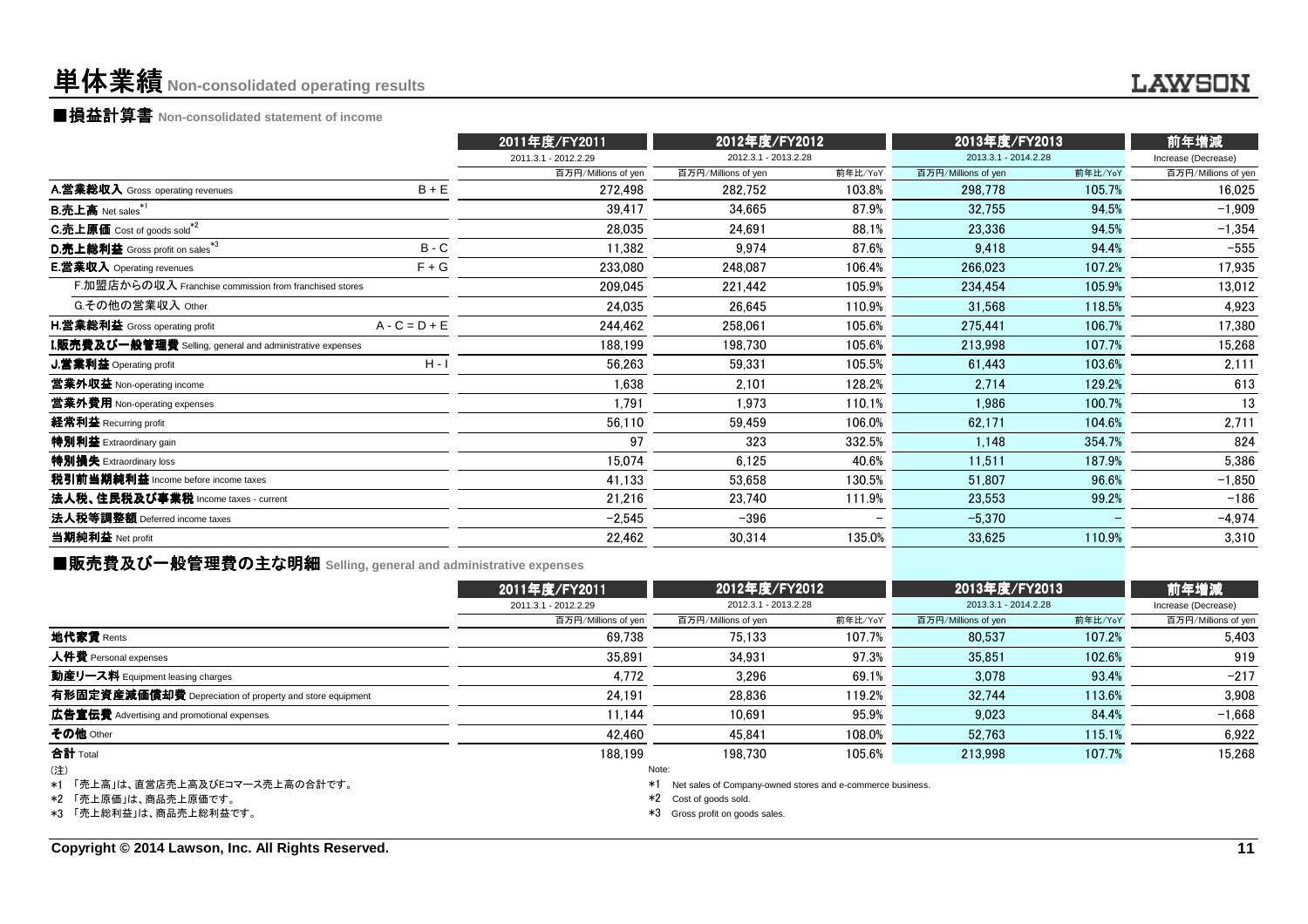# 単体業績**Non-consolidated operating results**

■損益計算書 **Non-consolidated statement of income**

|                                                                    | 2011年度/FY2011        | 2012年度/FY2012        |         | 2013年度/FY2013        | 前年増減    |                     |
|--------------------------------------------------------------------|----------------------|----------------------|---------|----------------------|---------|---------------------|
|                                                                    | 2011.3.1 - 2012.2.29 | 2012.3.1 - 2013.2.28 |         | 2013.3.1 - 2014.2.28 |         | Increase (Decrease) |
|                                                                    | 百万円/Millions of yen  | 百万円/Millions of yen  | 前年比/YoY | 百万円/Millions of yen  | 前年比/YoY | 百万円/Millions of yen |
| $B + E$<br>A.営業総収入 Gross operating revenues                        | 272,498              | 282,752              | 103.8%  | 298,778              | 105.7%  | 16,025              |
| <b>B.売上高</b> Net sales <sup>*1</sup>                               | 39,417               | 34,665               | 87.9%   | 32,755               | 94.5%   | $-1,909$            |
| <b>C.売上原価</b> Cost of goods sold <sup>*2</sup>                     | 28,035               | 24,691               | 88.1%   | 23,336               | 94.5%   | $-1,354$            |
| D.売上総利益 Gross profit on sales*3<br>$B - C$                         | 11,382               | 9.974                | 87.6%   | 9.418                | 94.4%   | $-555$              |
| $F + G$<br><b>E.営業収入</b> Operating revenues                        | 233,080              | 248,087              | 106.4%  | 266,023              | 107.2%  | 17,935              |
| F.加盟店からの収入 Franchise commission from franchised stores             | 209,045              | 221,442              | 105.9%  | 234.454              | 105.9%  | 13,012              |
| G.その他の営業収入 Other                                                   | 24.035               | 26,645               | 110.9%  | 31.568               | 118.5%  | 4,923               |
| $A - C = D + E$<br><b>H.営業総利益</b> Gross operating profit           | 244,462              | 258,061              | 105.6%  | 275,441              | 106.7%  | 17,380              |
| ${\bf I}.$ 販売費及び一般管理費 Selling, general and administrative expenses | 188,199              | 198,730              | 105.6%  | 213,998              | 107.7%  | 15,268              |
| $H - I$<br>J.営業利益 Operating profit                                 | 56,263               | 59,331               | 105.5%  | 61,443               | 103.6%  | 2,111               |
| 営業外収益 Non-operating income                                         | 1.638                | 2,101                | 128.2%  | 2.714                | 129.2%  | 613                 |
| 営業外費用 Non-operating expenses                                       | 1,791                | 1,973                | 110.1%  | 1,986                | 100.7%  | 13                  |
| 経常利益 Recurring profit                                              | 56,110               | 59,459               | 106.0%  | 62,171               | 104.6%  | 2,711               |
| 特別利益 Extraordinary gain                                            | 97                   | 323                  | 332.5%  | 1,148                | 354.7%  | 824                 |
| 特別損失 Extraordinary loss                                            | 15,074               | 6,125                | 40.6%   | 11,511               | 187.9%  | 5,386               |
| 税引前当期純利益 Income before income taxes                                | 41,133               | 53,658               | 130.5%  | 51,807               | 96.6%   | $-1,850$            |
| 法人税、住民税及び事業税 Income taxes - current                                | 21,216               | 23,740               | 111.9%  | 23,553               | 99.2%   | $-186$              |
| 法人税等調整額 Deferred income taxes                                      | $-2,545$             | $-396$               |         | $-5.370$             |         | $-4,974$            |
| 当期純利益 Net profit                                                   | 22,462               | 30,314               | 135.0%  | 33,625               | 110.9%  | 3,310               |
|                                                                    |                      |                      |         |                      |         |                     |

■販売費及び一般管理費の主な明細 **Selling, general and administrative expenses**

|                                                                                           | 2011年度/FY2011        | 2012年度/FY2012                                                                                                                             |         | 2013年度/FY2013        | 前年増減    |                     |
|-------------------------------------------------------------------------------------------|----------------------|-------------------------------------------------------------------------------------------------------------------------------------------|---------|----------------------|---------|---------------------|
|                                                                                           | 2011.3.1 - 2012.2.29 | 2012.3.1 - 2013.2.28                                                                                                                      |         | 2013.3.1 - 2014.2.28 |         | Increase (Decrease) |
|                                                                                           | 百万円/Millions of yen  | 百万円/Millions of yen                                                                                                                       | 前年比/YoY | 百万円/Millions of yen  | 前年比/YoY | 百万円/Millions of yen |
| 地代家賃 Rents                                                                                | 69.738               | 75.133                                                                                                                                    | 107.7%  | 80.537               | 107.2%  | 5.403               |
| 人件費 Personal expenses                                                                     | 35.891               | 34.931                                                                                                                                    | 97.3%   | 35.851               | 102.6%  | 919                 |
| 動産リース料 Equipment leasing charges                                                          | 4.772                | 3.296                                                                                                                                     | 69.1%   | 3.078                | 93.4%   | $-217$              |
| 有形固定資産減価償却費 Depreciation of property and store equipment                                  | 24.191               | 28.836                                                                                                                                    | 119.2%  | 32.744               | 113.6%  | 3.908               |
| 広告宣伝費 Advertising and promotional expenses                                                | 11.144               | 10.691                                                                                                                                    | 95.9%   | 9.023                | 84.4%   | $-1.668$            |
| その他 Other                                                                                 | 42.460               | 45.841                                                                                                                                    | 108.0%  | 52.763               | 115.1%  | 6,922               |
| 合計 Total                                                                                  | 188.199              | 198.730                                                                                                                                   | 105.6%  | 213,998              | 107.7%  | 15.268              |
| (注)<br>*1 「売上高」は、直営店売上高及びEコマース売上高の合計です。<br>*2 「売上原価」は、商品売上原価です。<br>*3 「売上総利益」は、商品売上総利益です。 |                      | Note:<br>Net sales of Company-owned stores and e-commerce business.<br>*1<br>*2 Cost of goods sold.<br>*3<br>Gross profit on goods sales. |         |                      |         |                     |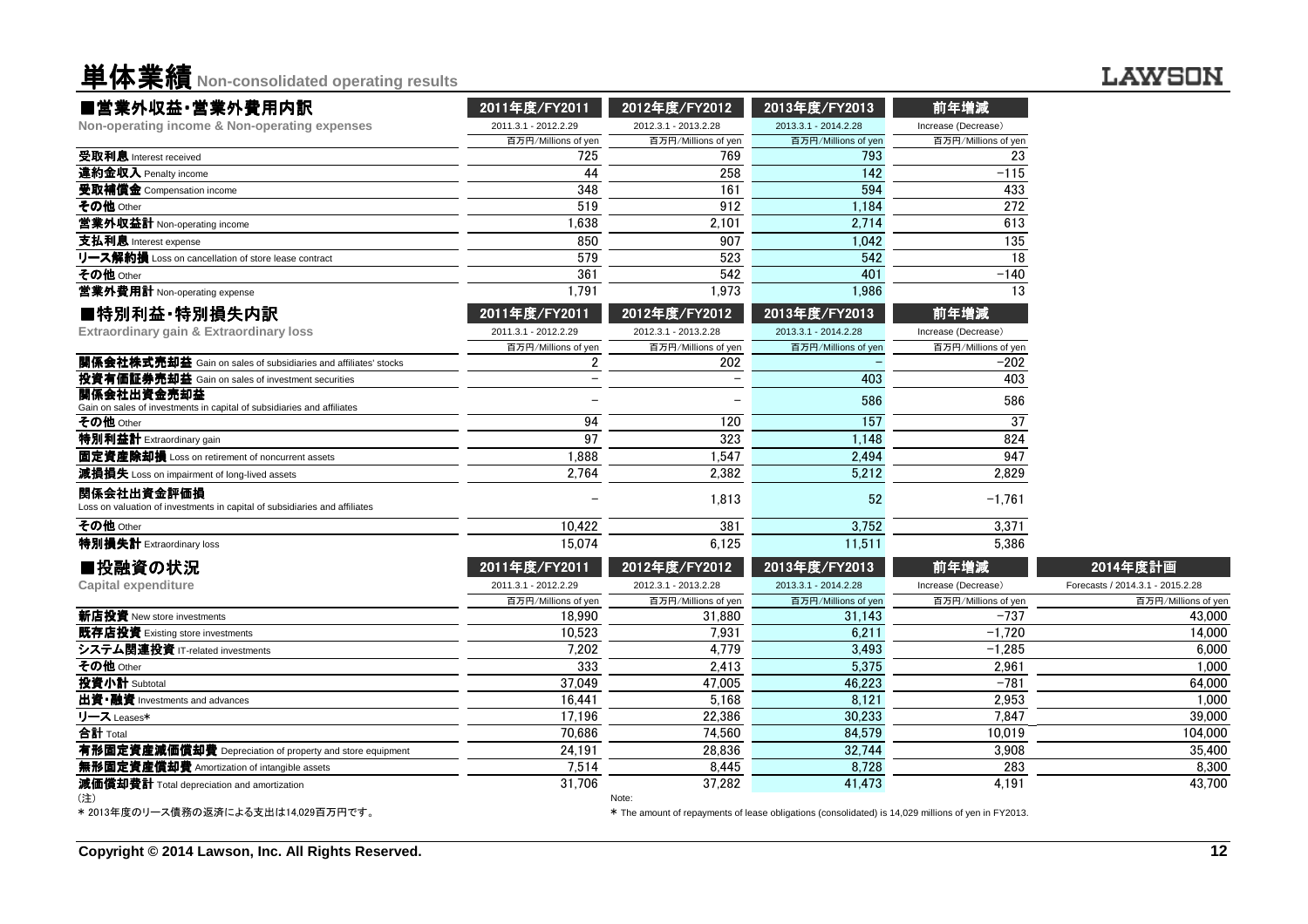**単体業績** Non-consolidated operating results

## **LAWSON**

| ■営業外収益·営業外費用内訳                                                                           | 2011年度/FY2011        | 2012年度/FY2012        | 2013年度/FY2013                                                                                       | 前年増減                |                                  |
|------------------------------------------------------------------------------------------|----------------------|----------------------|-----------------------------------------------------------------------------------------------------|---------------------|----------------------------------|
| Non-operating income & Non-operating expenses                                            | 2011.3.1 - 2012.2.29 | 2012.3.1 - 2013.2.28 | 2013.3.1 - 2014.2.28                                                                                | Increase (Decrease) |                                  |
|                                                                                          | 百万円/Millions of yen  | 百万円/Millions of yen  | 百万円/Millions of yen                                                                                 | 百万円/Millions of yen |                                  |
| 受取利息 Interest received                                                                   | 725                  | 769                  | 793                                                                                                 | 23                  |                                  |
| 違約金収入 Penalty income                                                                     | 44                   | 258                  | 142                                                                                                 | $-115$              |                                  |
| 受取補償金 Compensation income                                                                | 348                  | 161                  | 594                                                                                                 | 433                 |                                  |
| その他 Other                                                                                | 519                  | 912                  | 1,184                                                                                               | 272                 |                                  |
| 営業外収益計 Non-operating income                                                              | 1,638                | 2,101                | 2,714                                                                                               | 613                 |                                  |
| 支払利息 Interest expense                                                                    | 850                  | 907                  | 1,042                                                                                               | 135                 |                                  |
| リース解約損 Loss on cancellation of store lease contract                                      | 579                  | 523                  | 542                                                                                                 | 18                  |                                  |
| その他 Other                                                                                | 361                  | 542                  | 401                                                                                                 | $-140$              |                                  |
| 営業外費用計 Non-operating expense                                                             | 1,791                | 1,973                | 1,986                                                                                               | 13                  |                                  |
| ■特別利益·特別損失内訳                                                                             | 2011年度/FY2011        | 2012年度/FY2012        | 2013年度/FY2013                                                                                       | 前年増減                |                                  |
| Extraordinary gain & Extraordinary loss                                                  | 2011.3.1 - 2012.2.29 | 2012.3.1 - 2013.2.28 | 2013.3.1 - 2014.2.28                                                                                | Increase (Decrease) |                                  |
|                                                                                          | 百万円/Millions of yen  | 百万円/Millions of yen  | 百万円/Millions of yen                                                                                 | 百万円/Millions of yen |                                  |
| 関係会社株式売却益 Gain on sales of subsidiaries and affiliates' stocks                           | $\overline{2}$       | 202                  |                                                                                                     | $-202$              |                                  |
| 投資有価証券売却益 Gain on sales of investment securities                                         |                      |                      | 403                                                                                                 | 403                 |                                  |
| 関係会社出資金売却益<br>Gain on sales of investments in capital of subsidiaries and affiliates     |                      |                      | 586                                                                                                 | 586                 |                                  |
| その他 Other                                                                                | 94                   | 120                  | 157                                                                                                 | 37                  |                                  |
| 特別利益計 Extraordinary gain                                                                 | 97                   | 323                  | 1.148                                                                                               | 824                 |                                  |
| 固定資産除却損 Loss on retirement of noncurrent assets                                          | 1.888                | 1.547                | 2.494                                                                                               | 947                 |                                  |
| 減損損失 Loss on impairment of long-lived assets                                             | 2,764                | 2,382                | 5,212                                                                                               | 2,829               |                                  |
| 関係会社出資金評価損<br>Loss on valuation of investments in capital of subsidiaries and affiliates |                      | 1,813                | 52                                                                                                  | $-1,761$            |                                  |
| その他 Other                                                                                | 10.422               | 381                  | 3.752                                                                                               | 3,371               |                                  |
| 特別損失計 Extraordinary loss                                                                 | 15.074               | 6.125                | 11.511                                                                                              | 5,386               |                                  |
| ■投融資の状況                                                                                  | 2011年度/FY2011        | 2012年度/FY2012        | 2013年度/FY2013                                                                                       | 前年増減                | 2014年度計画                         |
| <b>Capital expenditure</b>                                                               | 2011.3.1 - 2012.2.29 | 2012.3.1 - 2013.2.28 | 2013.3.1 - 2014.2.28                                                                                | Increase (Decrease) | Forecasts / 2014.3.1 - 2015.2.28 |
|                                                                                          | 百万円/Millions of yen  | 百万円/Millions of yen  | 百万円/Millions of yen                                                                                 | 百万円/Millions of yen | 百万円/Millions of yer              |
| 新店投資 New store investments                                                               | 18.990               | 31,880               | 31,143                                                                                              | $-737$              | 43,000                           |
| 既存店投資 Existing store investments                                                         | 10.523               | 7,931                | 6,211                                                                                               | $-1.720$            | 14.000                           |
| システム関連投資 IT-related investments                                                          | 7,202                | 4.779                | 3,493                                                                                               | $-1,285$            | 6.000                            |
| その他 Other                                                                                | 333                  | 2,413                | 5,375                                                                                               | 2,961               | 1,000                            |
| 投資小計 Subtotal                                                                            | 37.049               | 47,005               | 46,223                                                                                              | $-781$              | 64,000                           |
| 出資·融資 Investments and advances                                                           | 16.441               | 5,168                | 8.121                                                                                               | 2.953               | 1,000                            |
| リース Leases*                                                                              | 17,196               | 22,386               | 30,233                                                                                              | 7.847               | 39,000                           |
| 合計 Total                                                                                 | 70,686               | 74,560               | 84,579                                                                                              | 10.019              | 104,000                          |
| 有形固定資産減価償却費 Depreciation of property and store equipment                                 | 24,191               | 28,836               | 32,744                                                                                              | 3,908               | 35,400                           |
| 無形固定資産償却費 Amortization of intangible assets                                              | 7,514                | 8,445                | 8.728                                                                                               | 283                 | 8,300                            |
| 減価償却費計 Total depreciation and amortization                                               | 31,706               | 37.282<br>Note:      | 41.473                                                                                              | 4.191               | 43,700                           |
| * 2013年度のリース債務の返済による支出は14.029百万円です。                                                      |                      |                      | * The amount of repayments of lease obligations (consolidated) is 14,029 millions of yen in FY2013. |                     |                                  |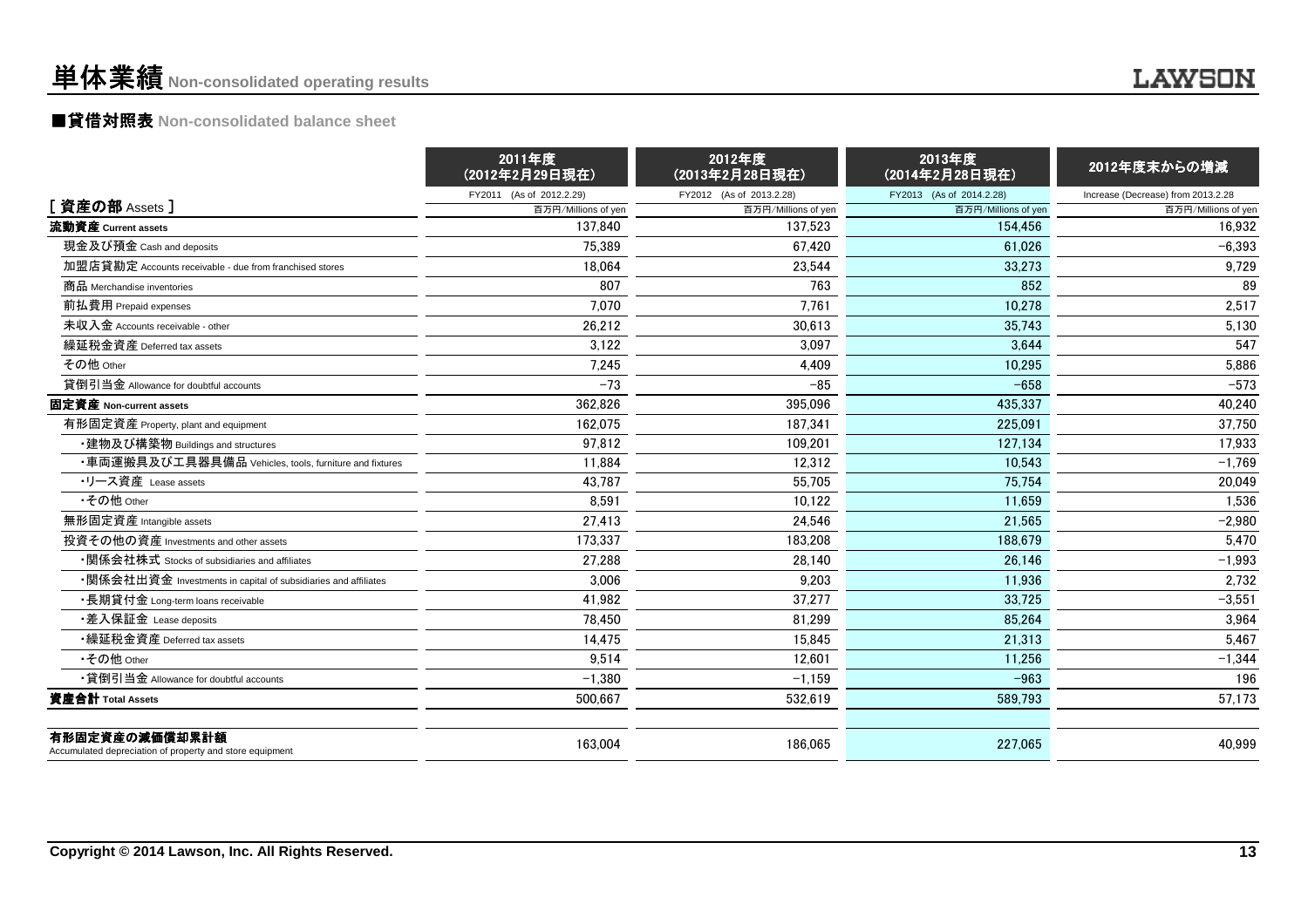# 単体業績**Non-consolidated operating results**

## **LAWSON**

# ■貸借対照表 **Non-consolidated balance sheet**

|                                                                            | 2011年度<br>(2012年2月29日現在) | 2012年度<br>(2013年2月28日現在) | 2013年度<br>(2014年2月28日現在) | 2012年度末からの増減                       |  |
|----------------------------------------------------------------------------|--------------------------|--------------------------|--------------------------|------------------------------------|--|
|                                                                            | FY2011 (As of 2012.2.29) | FY2012 (As of 2013.2.28) | FY2013 (As of 2014.2.28) | Increase (Decrease) from 2013.2.28 |  |
| [資産の部 Assets]                                                              | 百万円/Millions of yen      | 百万円/Millions of yen      | 百万円/Millions of yen      | 百万円/Millions of yen                |  |
| 流動資産 Current assets                                                        | 137.840                  | 137.523                  | 154.456                  | 16,932                             |  |
| 現金及び預金 Cash and deposits                                                   | 75,389                   | 67.420                   | 61.026                   | $-6,393$                           |  |
| 加盟店貸勘定 Accounts receivable - due from franchised stores                    | 18,064                   | 23,544                   | 33,273                   | 9,729                              |  |
| 商品 Merchandise inventories                                                 | 807                      | 763                      | 852                      | 89                                 |  |
| 前払費用 Prepaid expenses                                                      | 7.070                    | 7.761                    | 10,278                   | 2,517                              |  |
| 未収入金 Accounts receivable - other                                           | 26.212                   | 30.613                   | 35.743                   | 5,130                              |  |
| 繰延税金資産 Deferred tax assets                                                 | 3.122                    | 3.097                    | 3.644                    | 547                                |  |
| その他 Other                                                                  | 7,245                    | 4,409                    | 10,295                   | 5,886                              |  |
| 貸倒引当金 Allowance for doubtful accounts                                      | $-73$                    | $-85$                    | $-658$                   | $-573$                             |  |
| 固定資産 Non-current assets                                                    | 362,826                  | 395,096                  | 435,337                  | 40,240                             |  |
| 有形固定資産 Property, plant and equipment                                       | 162.075                  | 187.341                  | 225.091                  | 37,750                             |  |
| ・建物及び構築物 Buildings and structures                                          | 97,812                   | 109,201                  | 127,134                  | 17,933                             |  |
| ・車両運搬具及び工具器具備品 Vehicles, tools, furniture and fixtures                     | 11.884                   | 12.312                   | 10.543                   | $-1,769$                           |  |
| •リース資産 Lease assets                                                        | 43,787                   | 55,705                   | 75,754                   | 20,049                             |  |
| •その他 Other                                                                 | 8.591                    | 10.122                   | 11.659                   | 1,536                              |  |
| 無形固定資産 Intangible assets                                                   | 27,413                   | 24.546                   | 21.565                   | $-2,980$                           |  |
| 投資その他の資産 Investments and other assets                                      | 173,337                  | 183,208                  | 188.679                  | 5,470                              |  |
| •関係会社株式 Stocks of subsidiaries and affiliates                              | 27,288                   | 28,140                   | 26.146                   | $-1,993$                           |  |
| •関係会社出資金 Investments in capital of subsidiaries and affiliates             | 3,006                    | 9,203                    | 11.936                   | 2,732                              |  |
| •長期貸付金 Long-term loans receivable                                          | 41,982                   | 37,277                   | 33.725                   | $-3,551$                           |  |
| ・差入保証金 Lease deposits                                                      | 78.450                   | 81.299                   | 85.264                   | 3.964                              |  |
| •繰延税金資産 Deferred tax assets                                                | 14,475                   | 15,845                   | 21,313                   | 5,467                              |  |
| •その他 Other                                                                 | 9,514                    | 12,601                   | 11,256                   | $-1,344$                           |  |
| •貸倒引当金 Allowance for doubtful accounts                                     | $-1.380$                 | $-1.159$                 | $-963$                   | 196                                |  |
| 資産合計 Total Assets                                                          | 500,667                  | 532,619                  | 589,793                  | 57,173                             |  |
| 有形固定資産の減価償却累計額<br>Accumulated depreciation of property and store equipment | 163,004                  | 186,065                  | 227,065                  | 40.999                             |  |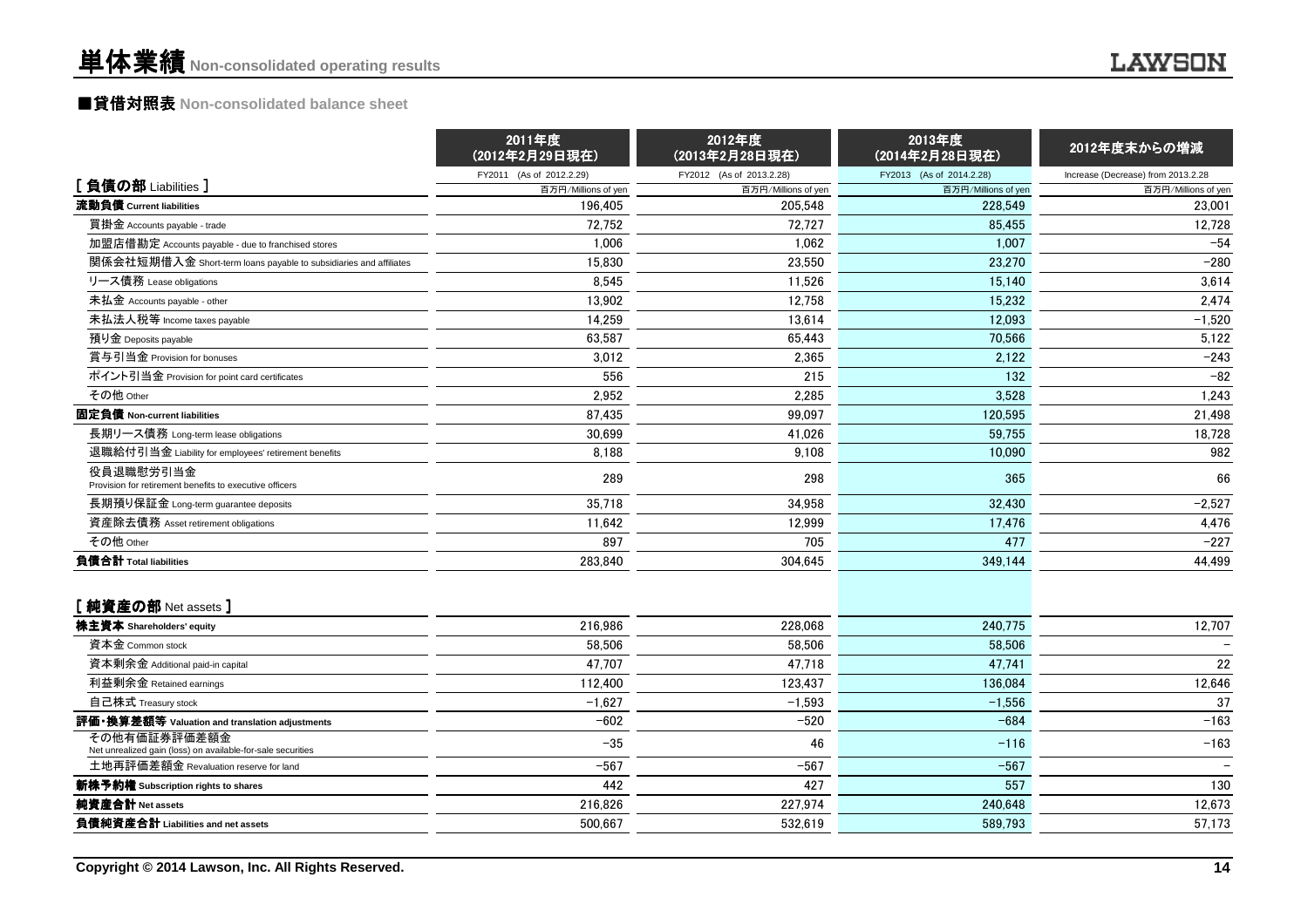# ■貸借対照表 **Non-consolidated balance sheet**

|                                                                             | 2011年度<br>(2012年2月29日現在) | 2012年度<br>(2013年2月28日現在) | 2013年度<br>(2014年2月28日現在) | 2012年度末からの増減                       |  |
|-----------------------------------------------------------------------------|--------------------------|--------------------------|--------------------------|------------------------------------|--|
|                                                                             | FY2011 (As of 2012.2.29) | FY2012 (As of 2013.2.28) | FY2013 (As of 2014.2.28) | Increase (Decrease) from 2013.2.28 |  |
| [負債の部 Liabilities]                                                          | 百万円/Millions of yen      | 百万円/Millions of yen      | 百万円/Millions of yen      | 百万円/Millions of yen                |  |
| 流動負債 Current liabilities                                                    | 196,405                  | 205,548                  | 228,549                  | 23,001                             |  |
| 買掛金 Accounts payable - trade                                                | 72.752                   | 72.727                   | 85.455                   | 12,728                             |  |
| 加盟店借勘定 Accounts payable - due to franchised stores                          | 1.006                    | 1.062                    | 1.007                    | $-54$                              |  |
| 関係会社短期借入金 Short-term loans payable to subsidiaries and affiliates           | 15,830                   | 23,550                   | 23,270                   | $-280$                             |  |
| リース債務 Lease obligations                                                     | 8,545                    | 11,526                   | 15.140                   | 3.614                              |  |
| 未払金 Accounts payable - other                                                | 13,902                   | 12,758                   | 15,232                   | 2,474                              |  |
| 未払法人税等 Income taxes payable                                                 | 14.259                   | 13.614                   | 12.093                   | $-1,520$                           |  |
| 預り金 Deposits payable                                                        | 63,587                   | 65,443                   | 70,566                   | 5,122                              |  |
| 賞与引当金 Provision for bonuses                                                 | 3,012                    | 2,365                    | 2,122                    | $-243$                             |  |
| ポイント引当金 Provision for point card certificates                               | 556                      | 215                      | 132                      | $-82$                              |  |
| その他 Other                                                                   | 2,952                    | 2,285                    | 3.528                    | 1,243                              |  |
| 固定負債 Non-current liabilities                                                | 87,435                   | 99,097                   | 120.595                  | 21,498                             |  |
| 長期リース債務 Long-term lease obligations                                         | 30,699                   | 41,026                   | 59,755                   | 18,728                             |  |
| 退職給付引当金 Liability for employees' retirement benefits                        | 8,188                    | 9.108                    | 10,090                   | 982                                |  |
| 役員退職慰労引当金<br>Provision for retirement benefits to executive officers        | 289                      | 298                      | 365                      | 66                                 |  |
| 長期預り保証金 Long-term guarantee deposits                                        | 35,718                   | 34,958                   | 32,430                   | $-2,527$                           |  |
| 資産除去債務 Asset retirement obligations                                         | 11.642                   | 12,999                   | 17,476                   | 4,476                              |  |
| その他 Other                                                                   | 897                      | 705                      | 477                      | $-227$                             |  |
| 負債合計 Total liabilities                                                      | 283,840                  | 304,645                  | 349,144                  | 44,499                             |  |
| [純資産の部 Net assets]                                                          |                          |                          |                          |                                    |  |
| 株主資本 Shareholders' equity                                                   | 216,986                  | 228,068                  | 240,775                  | 12,707                             |  |
| 資本金 Common stock                                                            | 58,506                   | 58,506                   | 58,506                   |                                    |  |
| 資本剰余金 Additional paid-in capital                                            | 47,707                   | 47,718                   | 47,741                   | 22                                 |  |
| 利益剰余金 Retained earnings                                                     | 112,400                  | 123,437                  | 136,084                  | 12,646                             |  |
| 自己株式 Treasury stock                                                         | $-1,627$                 | $-1,593$                 | $-1,556$                 | 37                                 |  |
| 評価・換算差額等 Valuation and translation adjustments                              | $-602$                   | $-520$                   | $-684$                   | $-163$                             |  |
| その他有価証券評価差額金<br>Net unrealized gain (loss) on available-for-sale securities | $-35$                    | 46                       | $-116$                   | $-163$                             |  |
| 土地再評価差額金 Revaluation reserve for land                                       | $-567$                   | $-567$                   | $-567$                   |                                    |  |
| 新株予約権 Subscription rights to shares                                         | 442                      | 427                      | 557                      | 130                                |  |
| 純資産合計 Net assets                                                            | 216,826                  | 227,974                  | 240,648                  | 12,673                             |  |
| 負債純資産合計 Liabilities and net assets                                          | 500.667                  | 532.619                  | 589.793                  | 57,173                             |  |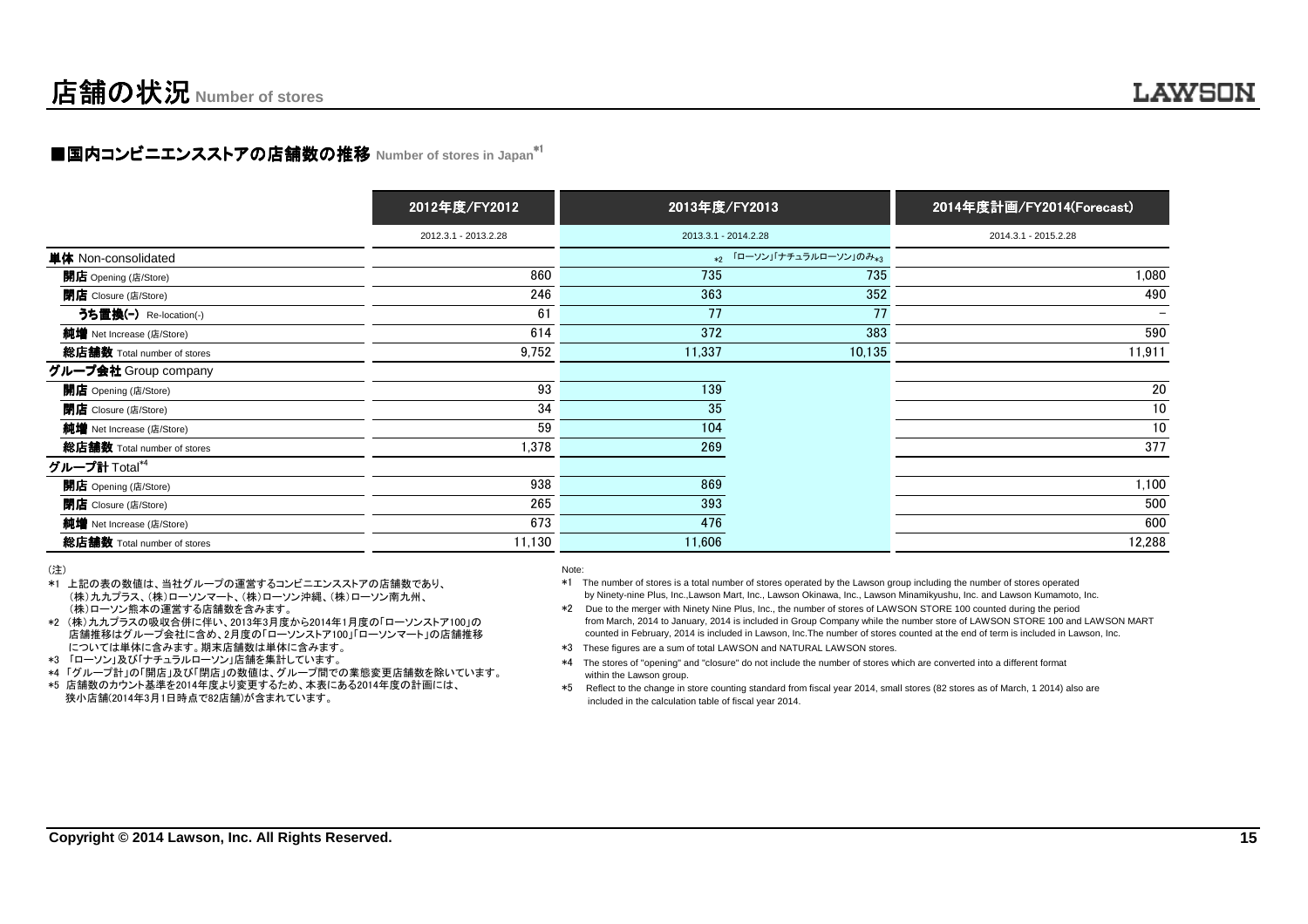### LAWSON

# ■国内コンビニエンスストアの店舗数の推移 Number of stores in Japan<sup>\*1</sup>

|                             | 2012年度/FY2012        | 2013年度/FY2013        |                          | 2014年度計画/FY2014(Forecast) |
|-----------------------------|----------------------|----------------------|--------------------------|---------------------------|
|                             | 2012.3.1 - 2013.2.28 | 2013.3.1 - 2014.2.28 |                          | 2014.3.1 - 2015.2.28      |
| 単体 Non-consolidated         |                      |                      | *2 「ローソン」「ナチュラルローソン」のみ*3 |                           |
| 開店 Opening (店/Store)        | 860                  | 735                  | 735                      | 1,080                     |
| <b>閉店</b> Closure (店/Store) | 246                  | 363                  | 352                      | 490                       |
| うち置換(-) Re-location(-)      | 61                   | 77                   | 77                       | $\overline{\phantom{0}}$  |
| 純増 Net Increase (店/Store)   | 614                  | 372                  | 383                      | 590                       |
| 総店舗数 Total number of stores | 9,752                | 11,337               | 10,135                   | 11,911                    |
| グループ会社 Group company        |                      |                      |                          |                           |
| <b>開店</b> Opening (店/Store) | 93                   | 139                  |                          | 20                        |
| <b>閉店</b> Closure (店/Store) | 34                   | 35                   |                          | 10                        |
| 純増 Net Increase (店/Store)   | 59                   | 104                  |                          | 10                        |
| 総店舗数 Total number of stores | 1,378                | 269                  |                          | 377                       |
| グループ計 Total*4               |                      |                      |                          |                           |
| <b>開店</b> Opening (店/Store) | 938                  | 869                  |                          | 1,100                     |
| <b>閉店</b> Closure (店/Store) | 265                  | 393                  |                          | 500                       |
| 純増 Net Increase (店/Store)   | 673                  | 476                  |                          | 600                       |
| 総店舗数 Total number of stores | 11,130               | 11,606               |                          | 12,288                    |

(注)

- \*1 上記の表の数値は、当社グループの運営するコンビニエンスストアの店舗数であり、 (株)九九プラス、(株)ローソンマート、(株)ローソン沖縄、(株)ローソン南九州、(株)ローソン熊本の運営する店舗数を含みます。
- \*2 (株)九九プラスの吸収合併に伴い、2013年3月度から2014年1月度の「ローソンストア100」の 店舗推移はグループ会社に含め、2月度の「ローソンストア100」「ローソンマート」の店舗推移については単体に含みます。期末店舗数は単体に含みます。
- \*3 「ローソン」及び「ナチュラルローソン」店舗を集計しています。
- \*4 「グループ計」の「開店」及び「閉店」の数値は、グループ間での業態変更店舗数を除いています。\*5 店舗数のカウント基準を2014年度より変更するため、本表にある2014年度の計画には、
- 狭小店舗(2014年3月1日時点で82店舗)が含まれています。
- Note:
- \*1 The number of stores is a total number of stores operated by the Lawson group including the number of stores operatedby Ninety-nine Plus, Inc.,Lawson Mart, Inc., Lawson Okinawa, Inc., Lawson Minamikyushu, Inc. and Lawson Kumamoto, Inc.
- \*2 Due to the merger with Ninety Nine Plus, Inc., the number of stores of LAWSON STORE 100 counted during the period from March, 2014 to January, 2014 is included in Group Company while the number store of LAWSON STORE 100 and LAWSON MARTcounted in February, 2014 is included in Lawson, Inc.The number of stores counted at the end of term is included in Lawson, Inc.
- \*3 These figures are a sum of total LAWSON and NATURAL LAWSON stores.
- \*4 The stores of "opening" and "closure" do not include the number of stores which are converted into a different formatwithin the Lawson group.
- \*5 Reflect to the change in store counting standard from fiscal year 2014, small stores (82 stores as of March, 1 2014) also areincluded in the calculation table of fiscal year 2014.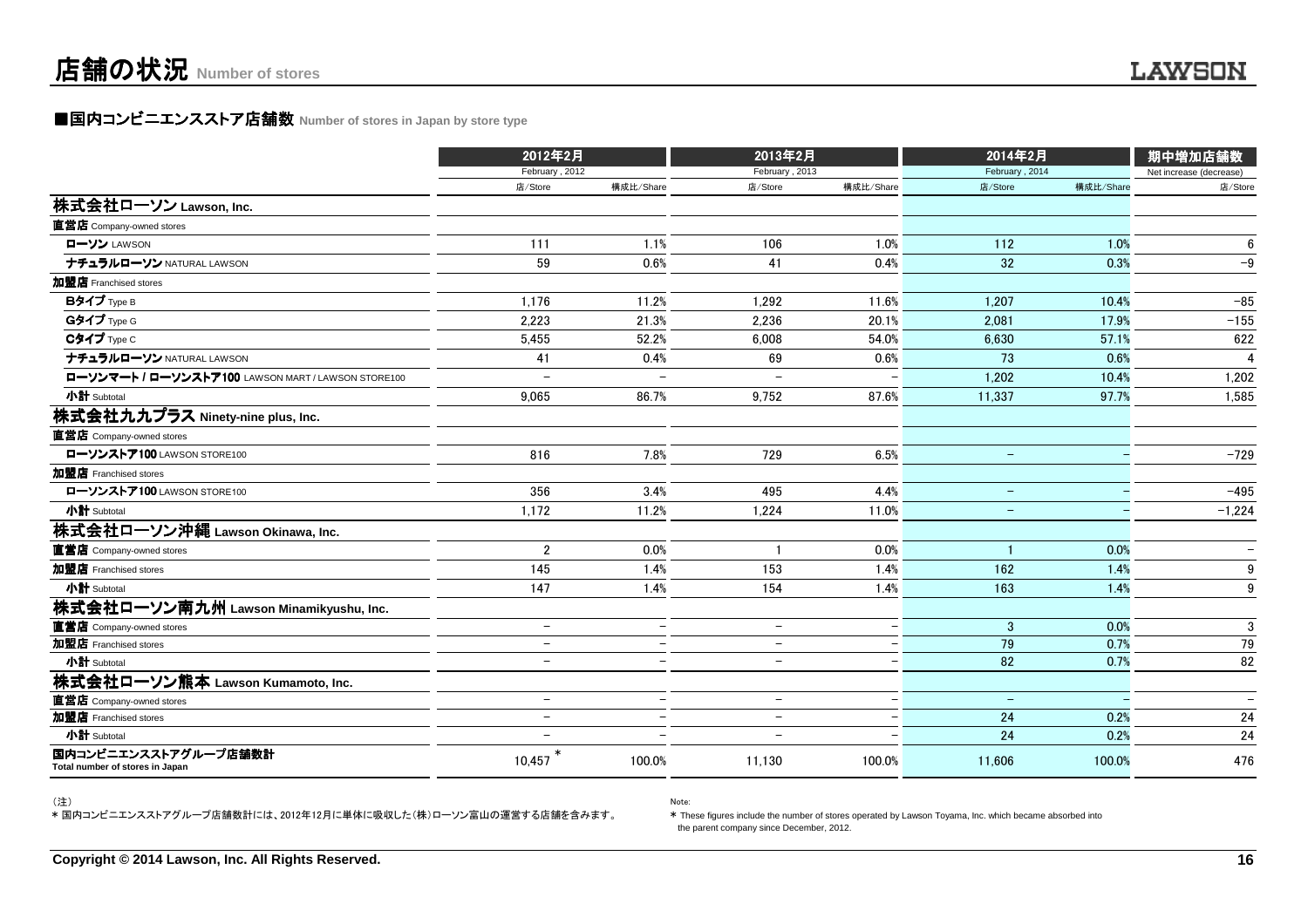## ■国内コンビニエンスストア店舗数 Number of stores in Japan by store type

|                                                         | 2012年2月                  |                          | 2013年2月                  |                          | 2014年2月           |           | 期中増加店舗数                  |
|---------------------------------------------------------|--------------------------|--------------------------|--------------------------|--------------------------|-------------------|-----------|--------------------------|
|                                                         | February, 2012           |                          | February, 2013           |                          | February, 2014    |           | Net increase (decrease)  |
|                                                         | 店/Store                  | 構成比/Share                | 店/Store                  | 構成比/Share                | 店/Store           | 構成比/Share | 店/Store                  |
| 株式会社ローソン Lawson, Inc.                                   |                          |                          |                          |                          |                   |           |                          |
| 直営店 Company-owned stores                                |                          |                          |                          |                          |                   |           |                          |
| ローソン LAWSON                                             | 111                      | 1.1%                     | 106                      | 1.0%                     | 112               | 1.0%      | 6                        |
| ナチュラルローソン NATURAL LAWSON                                | 59                       | 0.6%                     | 41                       | 0.4%                     | 32                | 0.3%      | $-9$                     |
| 加盟店 Franchised stores                                   |                          |                          |                          |                          |                   |           |                          |
| Bタイプ Type B                                             | 1.176                    | 11.2%                    | 1.292                    | 11.6%                    | 1.207             | 10.4%     | $-85$                    |
| Gタイプ Type G                                             | 2.223                    | 21.3%                    | 2.236                    | 20.1%                    | 2.081             | 17.9%     | $-155$                   |
| Cタイプ Type C                                             | 5,455                    | 52.2%                    | 6,008                    | 54.0%                    | 6,630             | 57.1%     | 622                      |
| ナチュラルローソン NATURAL LAWSON                                | 41                       | 0.4%                     | 69                       | 0.6%                     | 73                | 0.6%      | $\overline{\mathbf{A}}$  |
| ローソンマート / ローソンストア100 LAWSON MART / LAWSON STORE100      |                          |                          |                          |                          | 1.202             | 10.4%     | 1,202                    |
| 小計 Subtotal                                             | 9.065                    | 86.7%                    | 9,752                    | 87.6%                    | 11,337            | 97.7%     | 1,585                    |
| 株式会社九九プラス Ninety-nine plus, Inc.                        |                          |                          |                          |                          |                   |           |                          |
| 直営店 Company-owned stores                                |                          |                          |                          |                          |                   |           |                          |
| ローソンストア100 LAWSON STORE100                              | 816                      | 7.8%                     | 729                      | 6.5%                     | $\equiv$          |           | $-729$                   |
| 加盟店 Franchised stores                                   |                          |                          |                          |                          |                   |           |                          |
| ローソンストア100 LAWSON STORE100                              | 356                      | 3.4%                     | 495                      | 4.4%                     | $\qquad \qquad -$ |           | $-495$                   |
| 小計 Subtotal                                             | 1,172                    | 11.2%                    | 1,224                    | 11.0%                    |                   |           | $-1,224$                 |
| 株式会社ローソン沖縄 Lawson Okinawa, Inc.                         |                          |                          |                          |                          |                   |           |                          |
| 直営店 Company-owned stores                                | $\overline{2}$           | 0.0%                     |                          | 0.0%                     |                   | 0.0%      |                          |
| 加盟店 Franchised stores                                   | 145                      | 1.4%                     | 153                      | 1.4%                     | 162               | 1.4%      | 9                        |
| 小計 Subtotal                                             | 147                      | 1.4%                     | 154                      | 1.4%                     | 163               | 1.4%      | 9                        |
| 株式会社ローソン南九州 Lawson Minamikyushu, Inc.                   |                          |                          |                          |                          |                   |           |                          |
| 直営店 Company-owned stores                                | $\qquad \qquad -$        |                          | $\qquad \qquad -$        |                          | $\mathbf{3}$      | 0.0%      | $\mathbf{3}$             |
| 加盟店 Franchised stores                                   | $\equiv$                 |                          | $\overline{\phantom{0}}$ |                          | 79                | 0.7%      | 79                       |
| 小計 Subtotal                                             | $\overline{\phantom{0}}$ |                          | $\overline{\phantom{0}}$ | $\equiv$                 | 82                | 0.7%      | 82                       |
| 株式会社ローソン熊本 Lawson Kumamoto, Inc.                        |                          |                          |                          |                          |                   |           |                          |
| 直営店 Company-owned stores                                | $\overline{\phantom{0}}$ | $\overline{\phantom{0}}$ | $\overline{\phantom{m}}$ | $\overline{\phantom{a}}$ | $-$               |           | $\overline{\phantom{a}}$ |
| 加盟店 Franchised stores                                   | $\overline{\phantom{a}}$ |                          | $\overline{\phantom{m}}$ | $\equiv$                 | 24                | 0.2%      | 24                       |
| 小計 Subtotal                                             |                          |                          |                          |                          | 24                | 0.2%      | 24                       |
| 国内コンビニエンスストアグループ店舗数計<br>Total number of stores in Japan | 10,457                   | 100.0%                   | 11,130                   | 100.0%                   | 11,606            | 100.0%    | 476                      |

(注)

\* 国内コンビニエンスストアグループ店舗数計には、2012年12月に単体に吸収した(株)ローソン富山の運営する店舗を含みます。

Note:

\* These figures include the number of stores operated by Lawson Toyama, Inc. which became absorbed intothe parent company since December, 2012.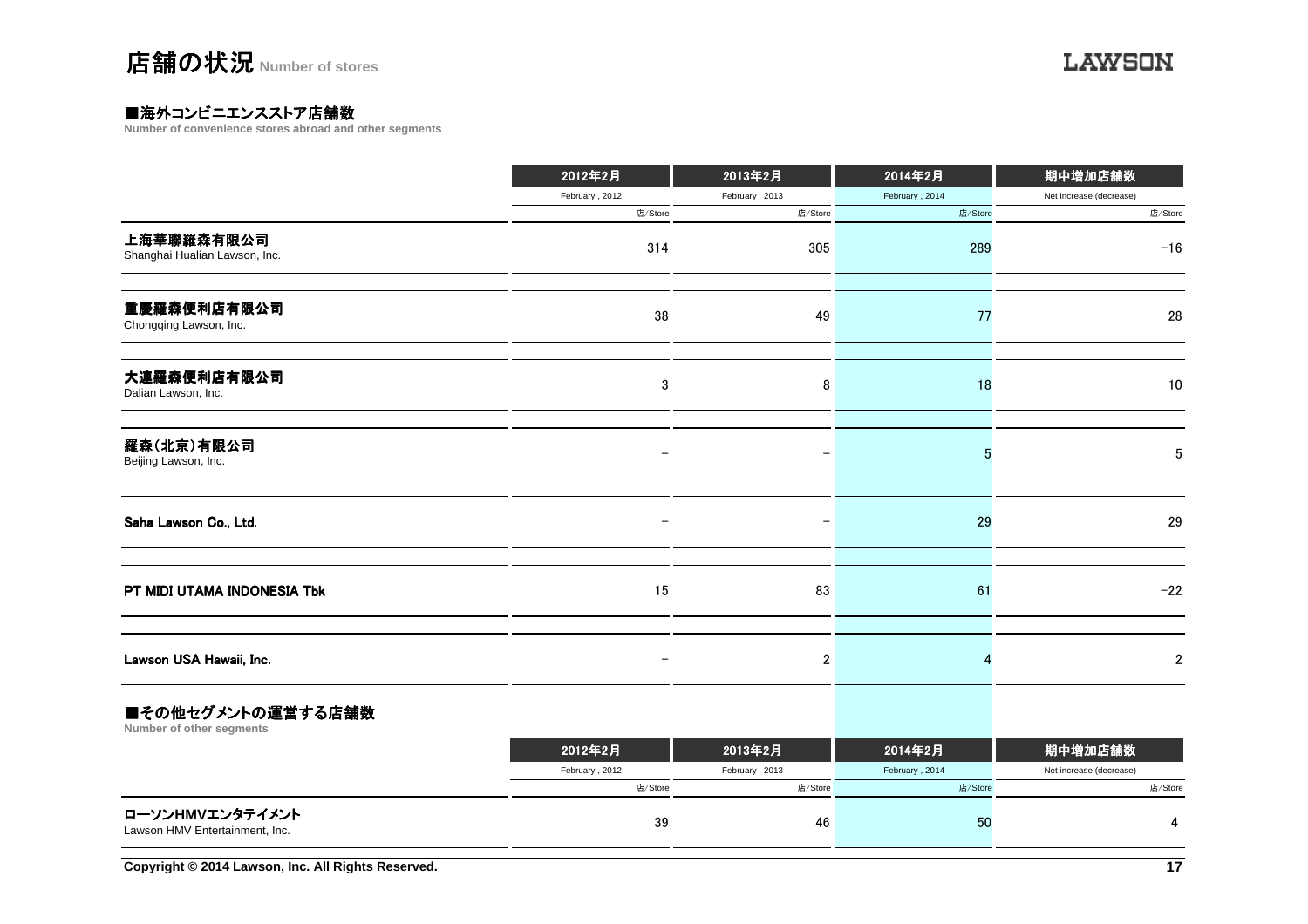## ■海外コンビニエンスストア店舗数<br>Number of convenience stores abroad and

**Number of convenience stores abroad and other segments**

|                                             | 2012年2月                  | 2013年2月           | 2014年2月        | 期中増加店舗数                 |  |
|---------------------------------------------|--------------------------|-------------------|----------------|-------------------------|--|
|                                             | February, 2012           | February, 2013    | February, 2014 | Net increase (decrease) |  |
|                                             | 店/Store                  | 店/Store           | 店/Store        | 店/Store                 |  |
| 上海華聯羅森有限公司<br>Shanghai Hualian Lawson, Inc. | 314                      | 305               | 289            | $-16$                   |  |
| 重慶羅森便利店有限公司<br>Chongqing Lawson, Inc.       | 38                       | 49                | 77             | 28                      |  |
| 大連羅森便利店有限公司<br>Dalian Lawson, Inc.          | 3                        | 8                 | 18             | 10                      |  |
| 羅森(北京)有限公司<br>Beijing Lawson, Inc.          | $\overline{\phantom{m}}$ | $\qquad \qquad -$ | 5              | 5                       |  |
| Saha Lawson Co., Ltd.                       |                          |                   | 29             | 29                      |  |
| PT MIDI UTAMA INDONESIA Tbk                 | 15                       | 83                | 61             | $-22$                   |  |
| Lawson USA Hawaii, Inc.                     |                          | $\overline{2}$    |                | $\overline{2}$          |  |
|                                             |                          |                   |                |                         |  |

#### ■その他セグメントの運営する店舗数

**Number of other segments**

|                                                   | 2012年2月        | 2013年2月        | 2014年2月        | 期中増加店舗数                 |  |
|---------------------------------------------------|----------------|----------------|----------------|-------------------------|--|
|                                                   | February, 2012 | February, 2013 | February, 2014 | Net increase (decrease) |  |
|                                                   | 店/Store        | 店/Store        | 店/Store        | 店/Store                 |  |
| ローソンHMVエンタテイメント<br>Lawson HMV Entertainment, Inc. | 39             | 46             | 50             | 4                       |  |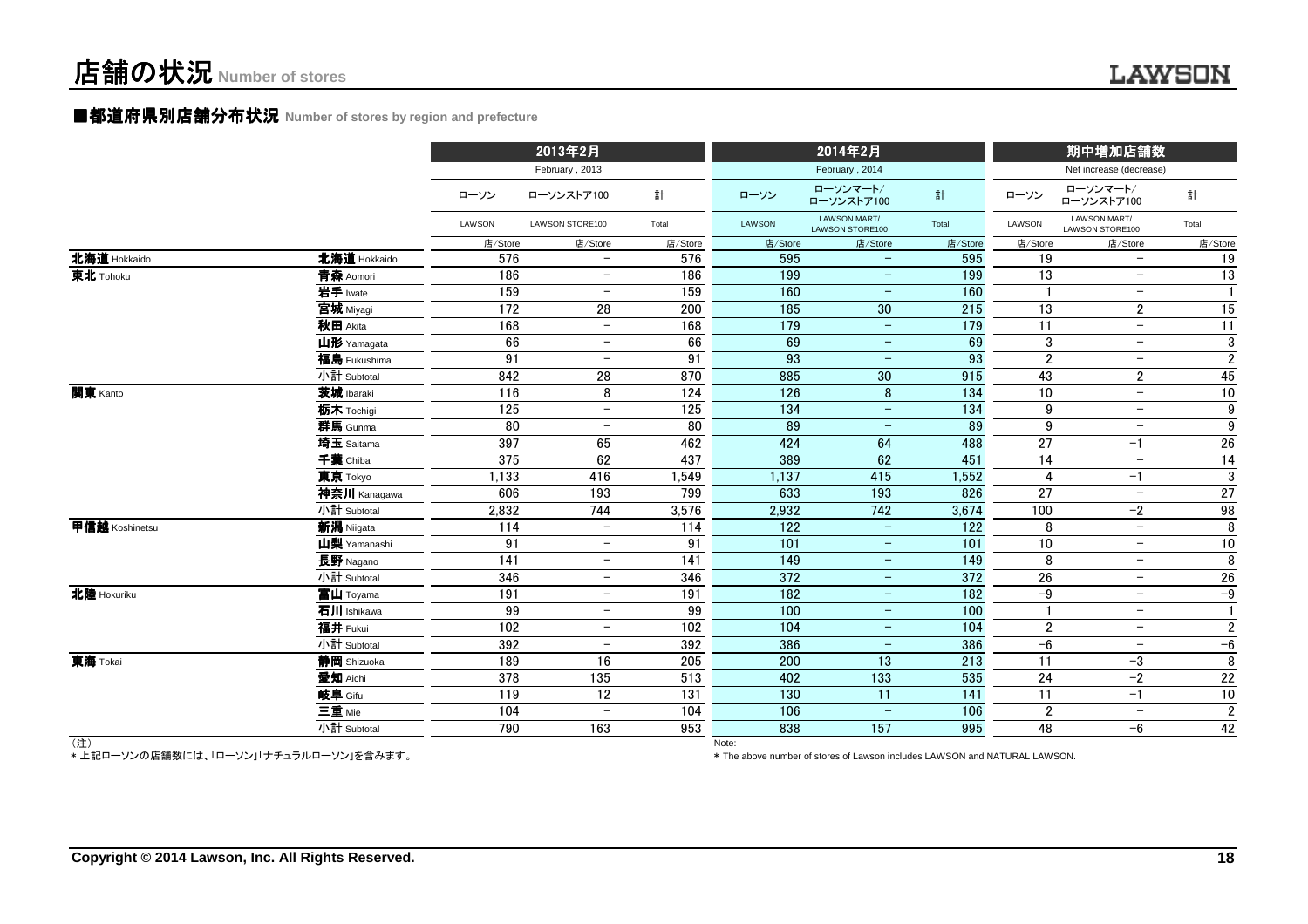#### ■都道府県別店舗分布状況 Number of stores by region and prefecture

|                |              | 2013年2月          |                          |         |         | 2014年2月                         |         | 期中増加店舗数          |                                 |                  |
|----------------|--------------|------------------|--------------------------|---------|---------|---------------------------------|---------|------------------|---------------------------------|------------------|
|                |              |                  | February, 2013           |         |         | February, 2014                  |         |                  | Net increase (decrease)         |                  |
|                |              | ローソン             | ローソンストア100               | 計       | ローソン    | ローソンマート/<br>ローソンストア100          | 計       | ローソン             | ローソンマート/<br>ローソンストア100          | 計                |
|                |              | LAWSON           | LAWSON STORE100          | Total   | LAWSON  | LAWSON MART/<br>LAWSON STORE100 | Total   | LAWSON           | LAWSON MART/<br>LAWSON STORE100 | Total            |
|                |              | 店/Store          | 店/Store                  | 店/Store | 店/Store | 店/Store                         | 店/Store | 店/Store          | 店/Store                         | 店/Store          |
| 北海道 Hokkaido   | 北海道 Hokkaido | 576              | $\overline{\phantom{0}}$ | 576     | 595     | $\overline{\phantom{m}}$        | 595     | 19               | $\overline{\phantom{m}}$        | 19               |
| 東北 Tohoku      | 青森 Aomori    | 186              | $\overline{\phantom{m}}$ | 186     | 199     | $\overline{\phantom{m}}$        | 199     | 13               | $\overline{\phantom{m}}$        | 13               |
|                | 岩手 lwate     | 159              | $\overline{\phantom{m}}$ | 159     | 160     | $\overline{\phantom{m}}$        | 160     |                  | $\overline{\phantom{m}}$        | $\mathbf{1}$     |
|                | 宮城 Miyagi    | 172              | 28                       | 200     | 185     | 30                              | 215     | 13               | $\overline{2}$                  | 15               |
|                | 秋田 Akita     | 168              | $\overline{\phantom{m}}$ | 168     | 179     | $\overline{\phantom{m}}$        | 179     | 11               | $-$                             | 11               |
|                | 山形 Yamagata  | 66               | $\overline{\phantom{m}}$ | 66      | 69      | $\overline{\phantom{m}}$        | 69      | 3                | $\overline{\phantom{m}}$        | $\sqrt{3}$       |
|                | 福島 Fukushima | 91               | $\overline{\phantom{0}}$ | 91      | 93      | $\overline{\phantom{0}}$        | 93      | $\boldsymbol{2}$ | $\overline{\phantom{0}}$        | $\overline{2}$   |
|                | 小計 Subtotal  | 842              | 28                       | 870     | 885     | 30                              | 915     | 43               | $\overline{2}$                  | 45               |
| 関東 Kanto       | 茨城 Ibaraki   | 116              | 8                        | 124     | 126     | 8                               | 134     | 10               | $\overline{\phantom{m}}$        | 10               |
|                | 栃木 Tochigi   | 125              | $\overline{\phantom{a}}$ | 125     | 134     | $\overline{\phantom{m}}$        | 134     | 9                | $\overline{\phantom{m}}$        | $\boldsymbol{9}$ |
|                | 群馬 Gunma     | $\overline{80}$  | $\overline{\phantom{m}}$ | 80      | 89      | $\qquad \qquad -$               | 89      | 9                | $\overline{\phantom{m}}$        | $\overline{9}$   |
|                | 埼玉 Saitama   | 397              | 65                       | 462     | 424     | 64                              | 488     | 27               | $-1$                            | 26               |
|                | 千葉 Chiba     | 375              | 62                       | 437     | 389     | 62                              | 451     | 14               | $-$                             | 14               |
|                | 東京 Tokyo     | 1,133            | 416                      | 1,549   | 1,137   | 415                             | 1,552   | $\overline{4}$   | $-1$                            | 3                |
|                | 神奈川 Kanagawa | 606              | 193                      | 799     | 633     | 193                             | 826     | 27               | $\overline{\phantom{m}}$        | 27               |
|                | 小計 Subtotal  | 2,832            | 744                      | 3,576   | 2,932   | 742                             | 3,674   | 100              | $-2$                            | 98               |
| 甲信越 Koshinetsu | 新潟 Niigata   | 114              | $-$                      | 114     | 122     | $\overline{\phantom{a}}$        | 122     | 8                | $\equiv$                        | 8                |
|                | 山梨 Yamanashi | 91               | $\overline{\phantom{0}}$ | 91      | 101     | $\overline{\phantom{m}}$        | 101     | 10               | $\overline{\phantom{m}}$        | $10\,$           |
|                | 長野 Nagano    | $\overline{141}$ | $\overline{\phantom{m}}$ | 141     | 149     | $\qquad \qquad -$               | 149     | 8                | $-$                             | $\overline{8}$   |
|                | 小計 Subtotal  | 346              | $-$                      | 346     | 372     | $\overline{\phantom{m}}$        | 372     | 26               | $\overline{\phantom{m}}$        | 26               |
| 北陸 Hokuriku    | 富山 Toyama    | 191              | $\overline{\phantom{m}}$ | 191     | 182     | $\overline{\phantom{m}}$        | 182     | $-9$             | $-$                             | $-9$             |
|                | 石川 Ishikawa  | 99               | $\overline{\phantom{m}}$ | 99      | 100     | $\overline{\phantom{m}}$        | 100     | $\mathbf{1}$     | $\overline{\phantom{m}}$        | $\mathbf{1}$     |
|                | 福井 Fukui     | 102              | $-$                      | 102     | 104     | $\overline{\phantom{m}}$        | 104     | $\boldsymbol{2}$ | $\overline{\phantom{m}}$        | $\overline{2}$   |
|                | 小計 Subtotal  | 392              | $\overline{\phantom{m}}$ | 392     | 386     | $\qquad \qquad -$               | 386     | $-6$             | $\overline{\phantom{m}}$        | $-6$             |
| 東海 Tokai       | 静岡 Shizuoka  | 189              | 16                       | 205     | 200     | 13                              | 213     | 11               | $-3$                            | 8                |
|                | 愛知 Aichi     | 378              | 135                      | 513     | 402     | 133                             | 535     | 24               | $-2$                            | 22               |
|                | 岐阜 Gifu      | 119              | 12                       | 131     | 130     | 11                              | 141     | 11               | $-1$                            | $10\,$           |
|                | 三重 Mie       | 104              | $\overline{\phantom{a}}$ | 104     | 106     | $\overline{\phantom{m}}$        | 106     | $\overline{2}$   | $\overline{\phantom{m}}$        | $\overline{2}$   |
|                | 小計 Subtotal  | 790              | 163                      | 953     | 838     | 157                             | 995     | 48               | $-6$                            | 42               |
| (注)            |              |                  |                          |         | Note:   |                                 |         |                  |                                 |                  |

(注)

\* 上記ローソンの店舗数には、「ローソン」「ナチュラルローソン」を含みます。

\* The above number of stores of Lawson includes LAWSON and NATURAL LAWSON.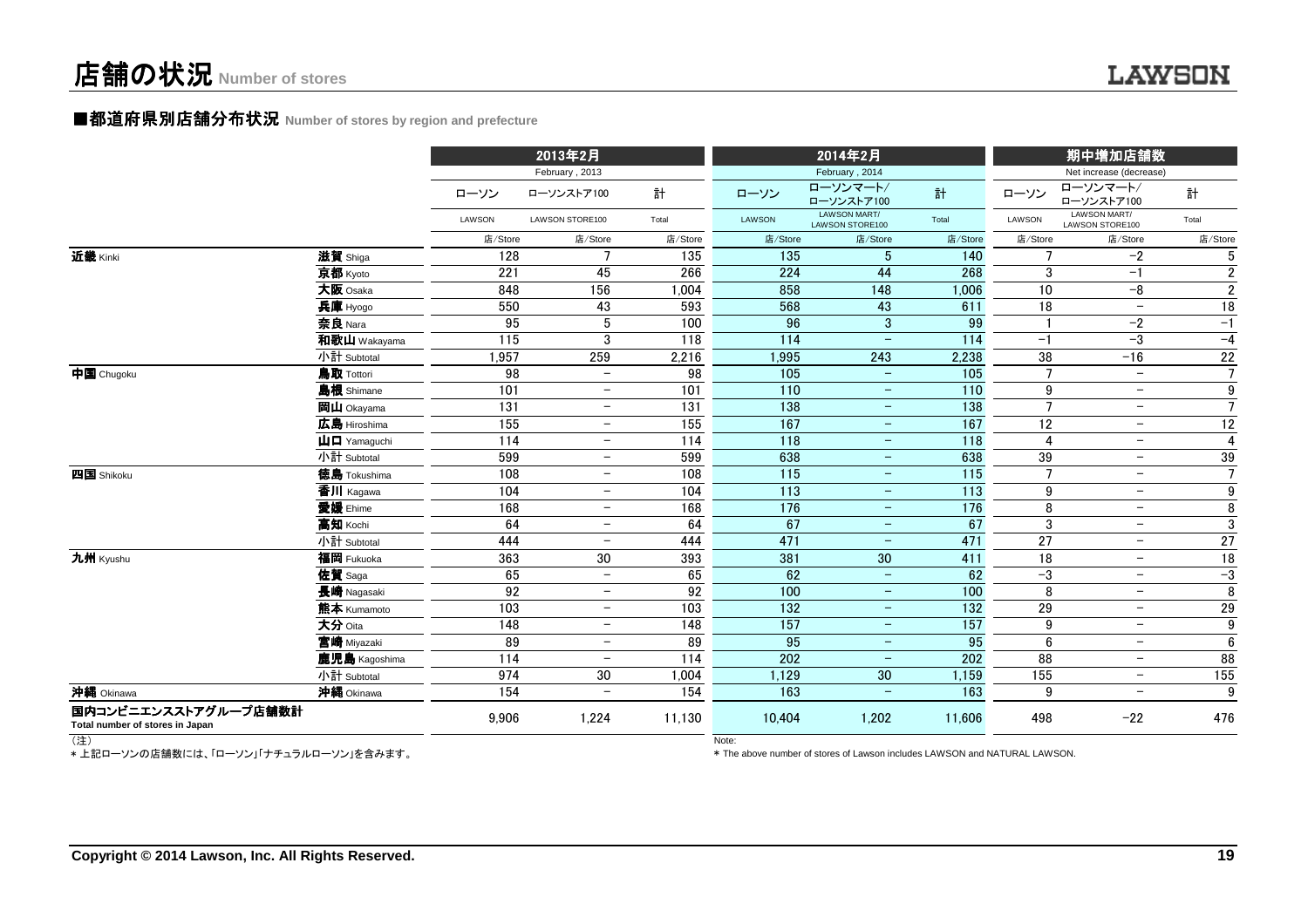#### ■都道府県別店舗分布状況 Number of stores by region and prefecture

|                                                         |                                         |         | 2013年2月                  |                 |                   | 2014年2月                         |                   | 期中増加店舗数        |                                 |                  |
|---------------------------------------------------------|-----------------------------------------|---------|--------------------------|-----------------|-------------------|---------------------------------|-------------------|----------------|---------------------------------|------------------|
|                                                         |                                         |         | February, 2013           |                 |                   | February, 2014                  |                   |                | Net increase (decrease)         |                  |
|                                                         |                                         | ローソン    | ローソンストア100               | 計               | ローソン              | ローソンマート/<br>ローソンストア100          | 計                 | ローソン           | ローソンマート/<br>ローソンストア100          | 計                |
|                                                         |                                         | LAWSON  | LAWSON STORE100          | Total           | <b>LAWSON</b>     | LAWSON MART/<br>LAWSON STORE100 | Total             | LAWSON         | LAWSON MART/<br>LAWSON STORE100 | Total            |
|                                                         |                                         | 店/Store | 店/Store                  | 店/Store         | 店/Store           | 店/Store                         | 店/Store           | 店/Store        | 店/Store                         | 店/Store          |
| 近畿 Kinki                                                | 滋賀 Shiga                                | 128     | $\overline{7}$           | 135             | 135               | 5                               | 140               |                | $-2$                            | 5                |
|                                                         | 京都 Kyoto                                | 221     | 45                       | 266             | 224               | 44                              | 268               | 3              | $-1$                            | $\overline{2}$   |
|                                                         | 大阪 Osaka                                | 848     | 156                      | 1,004           | 858               | 148                             | 1,006             | 10             | $-8$                            | $\overline{2}$   |
|                                                         | 兵庫 Hyogo                                | 550     | 43                       | 593             | 568               | 43                              | 611               | 18             | $\overline{\phantom{a}}$        | 18               |
|                                                         | 奈良 Nara                                 | 95      | $5\phantom{.0}$          | 100             | 96                | 3                               | 99                |                | $-2$                            | $-1$             |
|                                                         | 和歌山 Wakayama                            | 115     | 3                        | 118             | 114               | $\overline{\phantom{m}}$        | 114               | $-1$           | -3                              | $-4$             |
|                                                         | 小計 Subtotal                             | 1,957   | 259                      | 2,216           | 1,995             | 243                             | 2,238             | 38             | $-16$                           | 22               |
| 中国 Chugoku                                              | 鳥取 Tottori                              | 98      | $\overline{\phantom{0}}$ | $\overline{98}$ | 105               | $\equiv$                        | 105               | $\overline{7}$ | $\qquad \qquad -$               | $\overline{7}$   |
|                                                         | 島根 Shimane                              | 101     | $\overline{\phantom{m}}$ | 101             | 110               | $\overline{\phantom{m}}$        | 110               | 9              | $-$                             | $\boldsymbol{9}$ |
|                                                         | 岡山 Okayama                              | 131     | $\overline{\phantom{m}}$ | 131             | 138               | $\overline{\phantom{m}}$        | 138               | $\overline{7}$ | $\overline{\phantom{m}}$        | $\overline{7}$   |
|                                                         | 広島 Hiroshima                            | 155     | $\overline{\phantom{m}}$ | 155             | 167               | $\overline{\phantom{m}}$        | 167               | 12             | $-$                             | 12               |
|                                                         | $\mathbf{\mu}$ $\mathbf{\Pi}$ Yamaguchi | 114     | $\overline{\phantom{m}}$ | 114             | 118               | $\overline{\phantom{m}}$        | 118               | $\overline{4}$ | $-$                             | $\overline{4}$   |
|                                                         | 小計 Subtotal                             | 599     | $\overline{\phantom{m}}$ | 599             | 638               | $\overline{\phantom{m}}$        | 638               | 39             | $\overline{\phantom{0}}$        | $39\,$           |
| 四国 Shikoku                                              | <b>德島 Tokushima</b>                     | 108     | $\equiv$                 | 108             | $\frac{115}{115}$ | $-$                             | $\frac{115}{115}$ | $\overline{7}$ | $-$                             | $\overline{7}$   |
|                                                         | 香川 Kagawa                               | 104     | $\overline{\phantom{m}}$ | 104             | 113               | $\overline{\phantom{m}}$        | 113               | 9              | $-$                             | $9\,$            |
|                                                         | 愛媛 Ehime                                | 168     | $\overline{\phantom{m}}$ | 168             | 176               | $-$                             | 176               | 8              | $-$                             | 8                |
|                                                         | 高知 Kochi                                | 64      | $\overline{\phantom{m}}$ | 64              | 67                | $\overline{\phantom{m}}$        | 67                | 3              | $\overline{\phantom{0}}$        | 3                |
|                                                         | 小計 Subtotal                             | 444     | $\overline{\phantom{m}}$ | 444             | 471               | $\overline{\phantom{m}}$        | 471               | 27             | $-$                             | 27               |
| 九州 Kyushu                                               | 福岡 Fukuoka                              | 363     | 30                       | 393             | 381               | 30                              | 411               | 18             | $\overline{\phantom{m}}$        | 18               |
|                                                         | 佐賀 Saga                                 | 65      | $\overline{\phantom{m}}$ | 65              | 62                | $-$                             | 62                | $-3$           | $\overline{\phantom{m}}$        | $-3$             |
|                                                         | 長崎 Nagasaki                             | 92      | $\overline{\phantom{m}}$ | 92              | 100               | $-$                             | 100               | 8              | $\overline{\phantom{a}}$        | 8                |
|                                                         | 熊本 Kumamoto                             | 103     | $\overline{\phantom{m}}$ | 103             | 132               | $\overline{\phantom{m}}$        | 132               | 29             | $\overline{\phantom{m}}$        | 29               |
|                                                         | 大分 Oita                                 | 148     | $-$                      | 148             | 157               | $-$                             | 157               | 9              | $-$                             | 9                |
|                                                         | 宮崎 Miyazaki                             | 89      | $\overline{\phantom{m}}$ | 89              | 95                | $\overline{\phantom{m}}$        | 95                | $6\phantom{1}$ | $\qquad \qquad -$               | $6\phantom{.}$   |
|                                                         | 鹿児島 Kagoshima                           | 114     | $\overline{\phantom{m}}$ | 114             | 202               | $\overline{\phantom{m}}$        | 202               | 88             | $\overline{\phantom{0}}$        | $\overline{88}$  |
|                                                         | 小計 Subtotal                             | 974     | 30                       | 1,004           | 1,129             | $30\,$                          | 1,159             | 155            | $-$                             | 155              |
| 沖縄 Okinawa                                              | 沖縄 Okinawa                              | 154     | $\overline{\phantom{0}}$ | 154             | 163               | $\equiv$                        | 163               | 9              | $-$                             | 9                |
| 国内コンビニエンスストアグループ店舗数計<br>Total number of stores in Japan |                                         | 9,906   | 1,224                    | 11,130          | 10,404            | 1,202                           | 11,606            | 498            | $-22$                           | 476              |

(注) \* 上記ローソンの店舗数には、「ローソン」「ナチュラルローソン」を含みます。

Note:

\* The above number of stores of Lawson includes LAWSON and NATURAL LAWSON.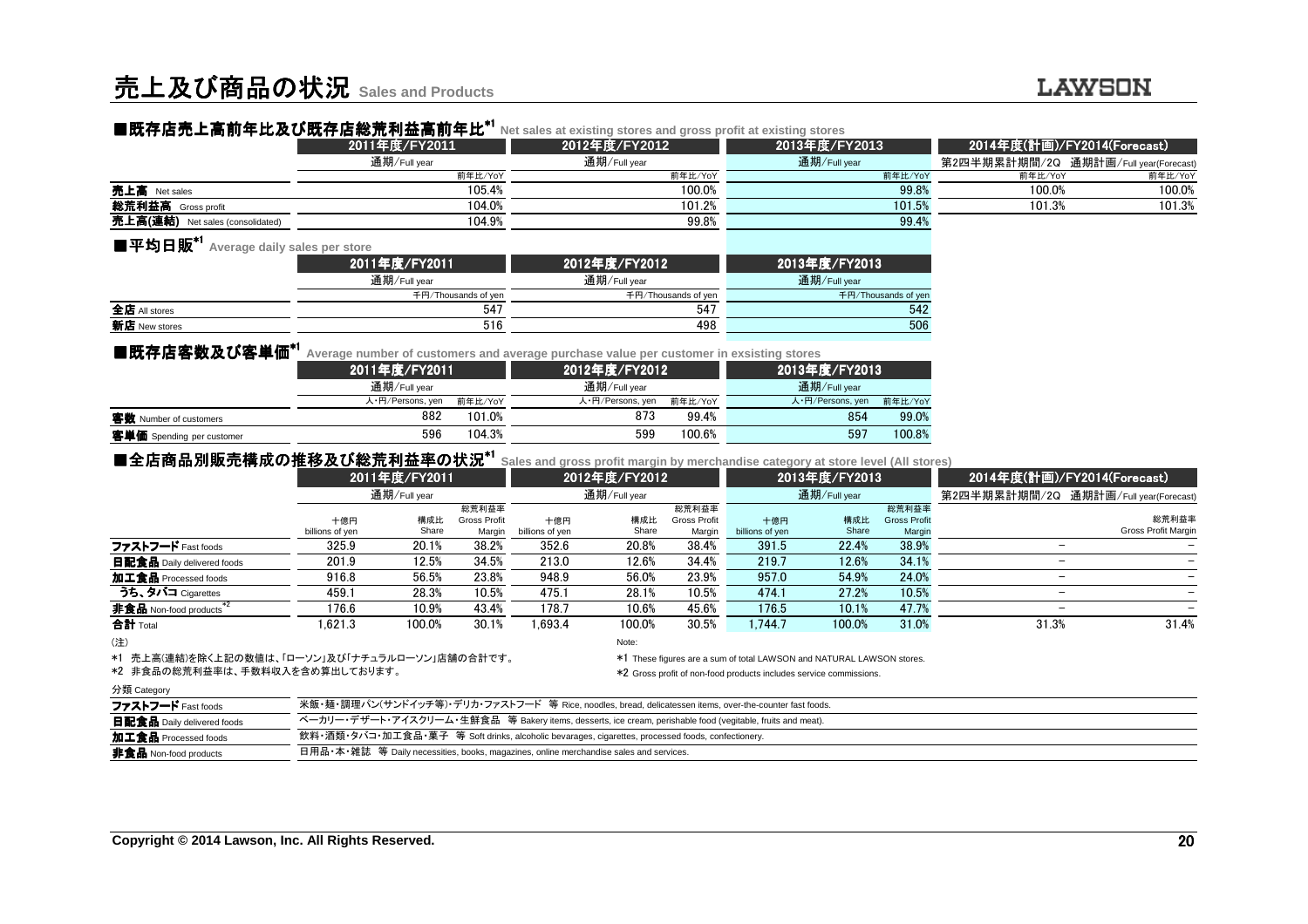|                                                   | ■既存店売上高前年比及び既存店総荒利益高前年比*1 | Net sales at existing stores and gross profit at existing stores |                     |                                       |         |  |
|---------------------------------------------------|---------------------------|------------------------------------------------------------------|---------------------|---------------------------------------|---------|--|
|                                                   | 2011年度/FY2011             | 2012年度/FY2012                                                    | 2013年度/FY2013       | 2014年度(計画)/FY2014(Forecast)           |         |  |
|                                                   | 通期/Full year              | 通期/Full year                                                     | 通期/Full year        | 第2四半期累計期間/2Q 通期計画/Full year(Forecast) |         |  |
|                                                   | 前年比/YoY                   | 前年比/YoY                                                          | 前年比/YoY             | 前年比/YoY                               | 前年比/YoY |  |
| 売上高 Net sales                                     | 105.4%                    | 100.0%                                                           | 99.8%               | 100.0%                                | 100.0%  |  |
| 総荒利益高 Gross profit                                | 104.0%                    | 101.2%                                                           | 101.5%              | 101.3%                                | 101.3%  |  |
| 売上高(連結) Net sales (consolidated)                  | 104.9%                    | 99.8%                                                            | 99.4%               |                                       |         |  |
| ■平均日販 <sup>*1</sup> Average daily sales per store |                           |                                                                  |                     |                                       |         |  |
|                                                   | 2011年度/FY2011             | 2012年度/FY2012                                                    | 2013年度/FY2013       |                                       |         |  |
|                                                   | 通期/Full year              | 通期/Full year                                                     | 通期/Full year        |                                       |         |  |
|                                                   | 千円/Thousands of yen       | 千円/Thousands of yen                                              | 千円/Thousands of yen |                                       |         |  |

| 全店<br>' stores       | $-1-$<br>54 | 547 | $-1.0$<br>٦4 |
|----------------------|-------------|-----|--------------|
| .<br>析店<br>ew stores | m a<br>UIU  | 498 | 506          |
|                      |             |     |              |

| ■既存店客数及び客単価 <sup>*1</sup> | Average number of customers and average purchase value per customer in exsisting stores |         |                  |         |                  |         |  |  |  |
|---------------------------|-----------------------------------------------------------------------------------------|---------|------------------|---------|------------------|---------|--|--|--|
|                           | 2011年度/FY2011                                                                           |         | 2012年度/FY2012    |         | 2013年度/FY2013    |         |  |  |  |
|                           | 通期/Full year                                                                            |         | 通期/Full year     |         | 通期/Full year     |         |  |  |  |
|                           | 人・円/Persons, yen                                                                        | 前年比/YoY | 人·円/Persons, yen | 前年比/YoY | 人·円/Persons, yen | 前年比/YoY |  |  |  |
| 客数 Number of customers    | 882                                                                                     | 101.0%  | 873              | 99.4%   | 854              | 99.0%   |  |  |  |
| 客単価 Spending per customer | 596                                                                                     | 104.3%  | 599              | 100.6%  | 597              | 100.8%  |  |  |  |
|                           |                                                                                         |         |                  |         |                  |         |  |  |  |

| ■全店商品別販売構成の推移及び総荒利益率の状況*╵           |                 |        |                     |                 | Sales and gross profit margin by merchandise category at store level (All stores) |              |                 |        |                                       |                          |                             |  |
|-------------------------------------|-----------------|--------|---------------------|-----------------|-----------------------------------------------------------------------------------|--------------|-----------------|--------|---------------------------------------|--------------------------|-----------------------------|--|
|                                     | 2011年度/FY2011   |        |                     | 2012年度/FY2012   |                                                                                   |              | 2013年度/FY2013   |        |                                       |                          | 2014年度(計画)/FY2014(Forecast) |  |
|                                     | 通期/Full year    |        |                     | 通期/Full year    |                                                                                   | 通期/Full year |                 |        | 第2四半期累計期間/2Q 通期計画/Full year(Forecast) |                          |                             |  |
|                                     |                 |        | 総荒利益率               |                 |                                                                                   | 総荒利益率        |                 |        | 総荒利益率                                 |                          |                             |  |
|                                     | 十億円             | 構成比    | <b>Gross Profit</b> | 十億円             | 構成比                                                                               | Gross Profit | 十億円             | 構成比    | <b>Gross Profit</b>                   |                          | 総荒利益率                       |  |
|                                     | billions of yen | Share  | Margin              | billions of yen | Share                                                                             | Margin       | billions of yen | Share  | Margin                                |                          | <b>Gross Profit Margin</b>  |  |
| ファストフード Fast foods                  | 325.9           | 20.1%  | 38.2%               | 352.6           | 20.8%                                                                             | 38.4%        | 391.5           | 22.4%  | 38.9%                                 | -                        |                             |  |
| 日配食品 Daily delivered foods          | 201.9           | 12.5%  | 34.5%               | 213.0           | 12.6%                                                                             | 34.4%        | 219.7           | 12.6%  | 34.1%                                 | -                        |                             |  |
| 加工食品 Processed foods                | 916.8           | 56.5%  | 23.8%               | 948.9           | 56.0%                                                                             | 23.9%        | 957.0           | 54.9%  | 24.0%                                 | $\overline{\phantom{m}}$ |                             |  |
| うち、タバコ Cigarettes                   | 459.1           | 28.3%  | 10.5%               | 475.1           | 28.1%                                                                             | 10.5%        | 474.1           | 27.2%  | 10.5%                                 | $\overline{\phantom{m}}$ |                             |  |
| 非食品 Non-food products <sup>*2</sup> | 176.6           | 10.9%  | 43.4%               | 178.7           | 10.6%                                                                             | 45.6%        | 176.5           | 10.1%  | 47.7%                                 | -                        |                             |  |
| 合計 Total                            | 1.621.3         | 100.0% | 30.1%               | 1.693.4         | 100.0%                                                                            | 30.5%        | 1.744.7         | 100.0% | 31.0%                                 | 31.3%                    | 31.4%                       |  |
| $\sim$                              |                 |        |                     |                 | $k + 1$                                                                           |              |                 |        |                                       |                          |                             |  |

(注)

note: the contract of the contract of the contract of the contract of the contract of the contract of the contract of the contract of the contract of the contract of the contract of the contract of the contract of the cont

\*1 売上高(連結)を除く上記の数値は、「ローソン」及び「ナチュラルローソン」店舗の合計です。\*1 These figures are a sum of total LAWSON and NATURAL LAWSON stores.

\*2 Gross profit of non-food products includes service commissions.

#### 分類 Category

| ファストフード Fast foods         | 米飯・麺・調理パン(サンドイッチ等)・デリカ・ファストフード 等 Rice, noodles, bread, delicatessen items, over-the-counter fast foods.    |
|----------------------------|------------------------------------------------------------------------------------------------------------|
| 日配食品 Daily delivered foods | ベーカリー・デザート・アイスクリーム・生鮮食品 等 Bakery items, desserts, ice cream, perishable food (vegitable, fruits and meat). |
| 加工食品 Processed foods       | 飲料・酒類・タバコ・加工食品・菓子 等 Soft drinks, alcoholic bevarages, cigarettes, processed foods, confectionery.          |
| 非食品 Non-food products      | 日用品・本・雑誌   等 Daily necessities, books, magazines, online merchandise sales and services.                   |

\*2 非食品の総荒利益率は、手数料収入を含め算出しております。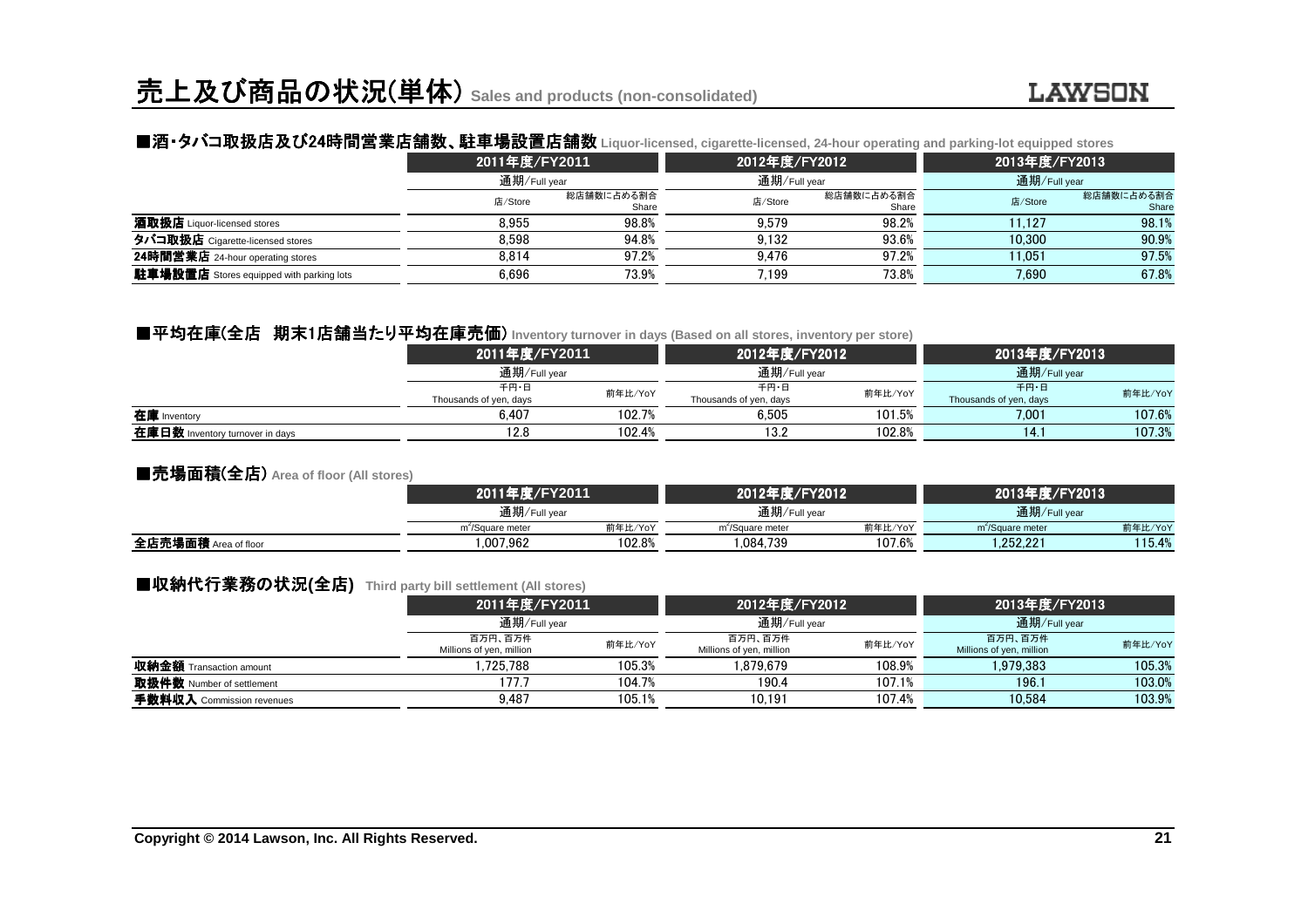# ■酒・タバコ取扱店及び24時間営業店舗数 時間営業店舗数、駐車場設置店舗数 、駐車場設置店舗数 **Liquor-licensed, cigarette-licensed, 24-hour operating and parking-lot equipped stores**

|                                                 |         | 2011年度/FY2011<br>通期/Full year |         | 2012年度/FY2012       | 2013年度/FY2013<br>通期/Full year |                     |
|-------------------------------------------------|---------|-------------------------------|---------|---------------------|-------------------------------|---------------------|
|                                                 |         |                               |         | 通期/Full year        |                               |                     |
|                                                 | 店/Store | 総店舗数に占める割合<br>Share           | 店/Store | 総店舗数に占める割合<br>Share | 店/Store                       | 総店舗数に占める割合<br>Share |
| 酒取扱店 Liquor-licensed stores                     | 8.955   | 98.8%                         | 9.579   | 98.2%               | 11.127                        | 98.1%               |
| タバコ取扱店 Cigarette-licensed stores                | 8.598   | 94.8%                         | 9.132   | 93.6%               | 10.300                        | 90.9%               |
| 24時間営業店 24-hour operating stores                | 8.814   | 97.2%                         | 9.476   | 97.2%               | 11.051                        | 97.5%               |
| <b>駐車場設置店</b> Stores equipped with parking lots | 6.696   | 73.9%                         | 7.199   | 73.8%               | 7.690                         | 67.8%               |

## ■平均在庫(全店 期末1店舗当たり平均在庫売価 たり平均在庫売価) **Inventory turnover in days (Based on all stores, inventory per store)**

|                                 | 2011年度/FY2011                  |              | 2012年度/FY2012                  |              | 2013年度/FY2013                  |         |
|---------------------------------|--------------------------------|--------------|--------------------------------|--------------|--------------------------------|---------|
|                                 |                                | 通期/Full year |                                | 通期/Full year | 通期/Full year                   |         |
|                                 | 千円・日<br>Thousands of yen, days | 前年比/YoY      | 千円・日<br>Thousands of yen, days | 前年比/YoY      | 千円・日<br>Thousands of yen, days | 前年比/YoY |
| 在庫 Inventory                    | 6.407                          | 102.7%       | 6.505                          | 101.5%       | 7.001                          | 107.6%  |
| 在庫日数 Inventory turnover in days | 12.8                           | 102.4%       | 13.2                           | 102.8%       | 14.                            | 107.3%  |

#### ■売場面積(全店) **Area of floor (All stores)**

|                      |                              | 2011年度/FY2011<br>通期/Full year |                              | 2012年度/FY2012 | 2013年度/FY2013                |         |  |
|----------------------|------------------------------|-------------------------------|------------------------------|---------------|------------------------------|---------|--|
|                      |                              |                               |                              | 通期/Full year  | 通期/Full year                 |         |  |
|                      | m <sup>-</sup> /Square meter | 前年比/YoY                       | m <sup>2</sup> /Square meter | 前年比/YoY       | m <sup>2</sup> /Square meter | 前年比/YoY |  |
| 全店売場面積 Area of floor | .007.962                     | 102.8%                        | 1.084.739                    | 107.6%        | .252.221                     | 115.4%  |  |
|                      |                              |                               |                              |               |                              |         |  |

## ■収納代行業務の状況(全店) Third party bill settlement (All stores)<br>2011年度/EY2011

|                                |                                     | 2011年度/FY2011<br>通期/Full year |                                     | 2012年度/FY2012 | 2013年度/FY2013<br>通期/Full year       |         |
|--------------------------------|-------------------------------------|-------------------------------|-------------------------------------|---------------|-------------------------------------|---------|
|                                |                                     |                               |                                     | 通期/Full year  |                                     |         |
|                                | 百万円、百万件<br>Millions of yen, million | 前年比/YoY                       | 百万円、百万件<br>Millions of yen, million | 前年比/YoY       | 百万円、百万件<br>Millions of yen, million | 前年比/YoY |
| <b>収納金額</b> Transaction amount | .725.788                            | 105.3%                        | 1.879.679                           | 108.9%        | 1.979.383                           | 105.3%  |
| 取扱件数 Number of settlement      | 177.7                               | 104.7%                        | 190.4                               | 107.1%        | 196.1                               | 103.0%  |
| 手数料収入 Commission revenues      | 9.487                               | 105.1%                        | 10.191                              | 107.4%        | 10.584                              | 103.9%  |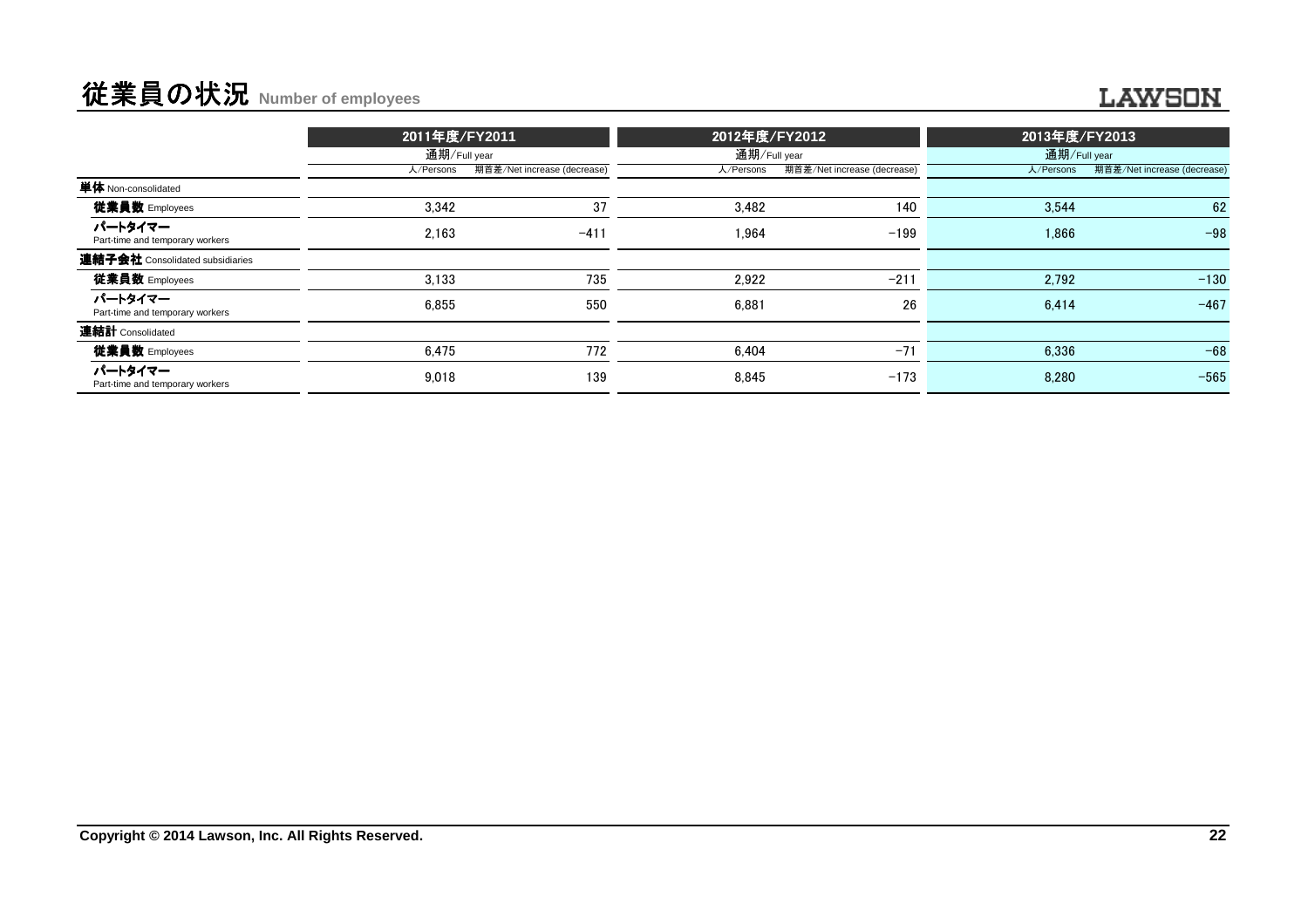# 従業員の状況 **Number of employees**

|                                            | 2011年度/FY2011 |                             | 2012年度/FY2012 |                             | 2013年度/FY2013 |                             |  |
|--------------------------------------------|---------------|-----------------------------|---------------|-----------------------------|---------------|-----------------------------|--|
|                                            |               | 通期/Full year                |               | 通期/Full year                | 通期/Full year  |                             |  |
|                                            | 人/Persons     | 期首差/Net increase (decrease) | 人/Persons     | 期首差/Net increase (decrease) | 人/Persons     | 期首差/Net increase (decrease) |  |
| 単体 Non-consolidated                        |               |                             |               |                             |               |                             |  |
| 従業員数 Employees                             | 3,342         | 37                          | 3,482         | 140                         | 3,544         | 62                          |  |
| パートタイマー<br>Part-time and temporary workers | 2.163         | $-411$                      | 1.964         | $-199$                      | 1.866         | $-98$                       |  |
| <b>連結子会社</b> Consolidated subsidiaries     |               |                             |               |                             |               |                             |  |
| 従業員数 Employees                             | 3.133         | 735                         | 2.922         | $-211$                      | 2.792         | $-130$                      |  |
| パートタイマー<br>Part-time and temporary workers | 6.855         | 550                         | 6.881         | 26                          | 6.414         | $-467$                      |  |
| 連結計 Consolidated                           |               |                             |               |                             |               |                             |  |
| 従業員数 Employees                             | 6.475         | 772                         | 6.404         | $-71$                       | 6.336         | $-68$                       |  |
| パートタイマー<br>Part-time and temporary workers | 9.018         | 139                         | 8.845         | $-173$                      | 8.280         | $-565$                      |  |
|                                            |               |                             |               |                             |               |                             |  |